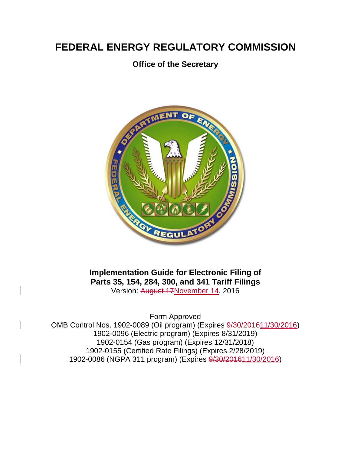# **FEDERAL ENERGY REGULATORY COMMISSION**

# **Office of the Secretary**



I**mplementation Guide for Electronic Filing of Parts 35, 154, 284, 300, and 341 Tariff Filings** Version: August 17November 14, 2016

Form Approved

OMB Control Nos. 1902-0089 (Oil program) (Expires  $\frac{9}{30/201611/30}{2016}$ ) 1902-0096 (Electric program) (Expires 8/31/2019) 1902-0154 (Gas program) (Expires 12/31/2018) 1902-0155 (Certified Rate Filings) (Expires 2/28/2019) 1902-0086 (NGPA 311 program) (Expires  $9/30/201611/30/2016$ )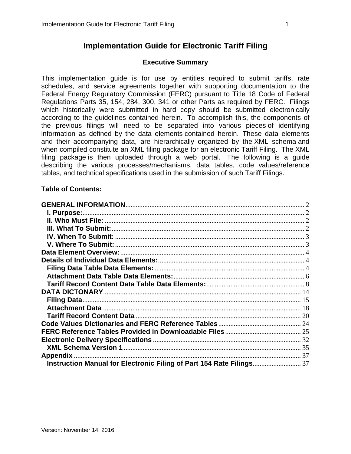# **Implementation Guide for Electronic Tariff Filing**

# **Executive Summary**

This implementation guide is for use by entities required to submit tariffs, rate schedules, and service agreements together with supporting documentation to the Federal Energy Regulatory Commission (FERC) pursuant to Title 18 Code of Federal Regulations Parts 35, 154, 284, 300, 341 or other Parts as required by FERC. Filings which historically were submitted in hard copy should be submitted electronically according to the guidelines contained herein. To accomplish this, the components of the previous filings will need to be separated into various pieces of identifying information as defined by the data elements contained herein. These data elements and their accompanying data, are hierarchically organized by the XML schema and when compiled constitute an XML filing package for an electronic Tariff Filing. The XML filing package is then uploaded through a web portal. The following is a guide describing the various processes/mechanisms, data tables, code values/reference tables, and technical specifications used in the submission of such Tariff Filings.

## **Table of Contents:**

| <b>Appendix</b>                                                   |  |
|-------------------------------------------------------------------|--|
| Instruction Manual for Electronic Filing of Part 154 Rate Filings |  |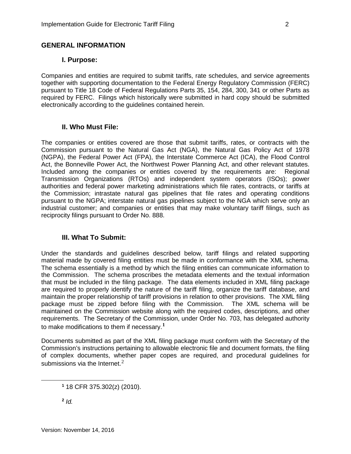## <span id="page-2-0"></span>**I. Purpose:**

<span id="page-2-1"></span>Companies and entities are required to submit tariffs, rate schedules, and service agreements together with supporting documentation to the Federal Energy Regulatory Commission (FERC) pursuant to Title 18 Code of Federal Regulations Parts 35, 154, 284, 300, 341 or other Parts as required by FERC. Filings which historically were submitted in hard copy should be submitted electronically according to the guidelines contained herein.

# **II. Who Must File:**

<span id="page-2-2"></span>The companies or entities covered are those that submit tariffs, rates, or contracts with the Commission pursuant to the Natural Gas Act (NGA), the Natural Gas Policy Act of 1978 (NGPA), the Federal Power Act (FPA), the Interstate Commerce Act (ICA), the Flood Control Act, the Bonneville Power Act, the Northwest Power Planning Act, and other relevant statutes. Included among the companies or entities covered by the requirements are: Regional Transmission Organizations (RTOs) and independent system operators (ISOs); power authorities and federal power marketing administrations which file rates, contracts, or tariffs at the Commission; intrastate natural gas pipelines that file rates and operating conditions pursuant to the NGPA; interstate natural gas pipelines subject to the NGA which serve only an industrial customer; and companies or entities that may make voluntary tariff filings, such as reciprocity filings pursuant to Order No. 888.

# **III. What To Submit:**

<span id="page-2-3"></span>Under the standards and guidelines described below, tariff filings and related supporting material made by covered filing entities must be made in conformance with the XML schema. The schema essentially is a method by which the filing entities can communicate information to the Commission. The schema proscribes the metadata elements and the textual information that must be included in the filing package. The data elements included in XML filing package are required to properly identify the nature of the tariff filing, organize the tariff database, and maintain the proper relationship of tariff provisions in relation to other provisions. The XML filing package must be zipped before filing with the Commission. The XML schema will be maintained on the Commission website along with the required codes, descriptions, and other requirements. The Secretary of the Commission, under Order No. 703, has delegated authority to make modifications to them if necessary.**[1](#page-2-4)**

Documents submitted as part of the XML filing package must conform with the Secretary of the Commission's instructions pertaining to allowable electronic file and document formats, the filing of complex documents, whether paper copes are required, and procedural guidelines for submissions via the Internet.<sup>[2](#page-2-5)</sup>

<span id="page-2-5"></span>**<sup>2</sup>** *Id.*

<span id="page-2-4"></span>**<sup>1</sup>** 18 CFR 375.302(z) (2010).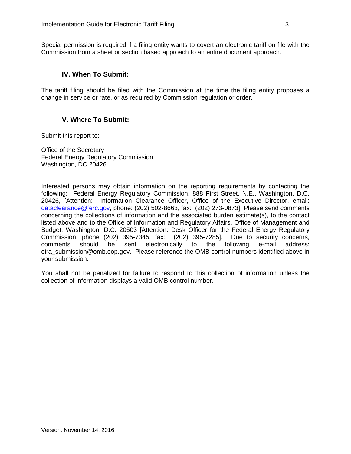Special permission is required if a filing entity wants to covert an electronic tariff on file with the Commission from a sheet or section based approach to an entire document approach.

## **IV. When To Submit:**

<span id="page-3-0"></span>The tariff filing should be filed with the Commission at the time the filing entity proposes a change in service or rate, or as required by Commission regulation or order.

# **V. Where To Submit:**

<span id="page-3-1"></span>Submit this report to:

Office of the Secretary Federal Energy Regulatory Commission Washington, DC 20426

Interested persons may obtain information on the reporting requirements by contacting the following: Federal Energy Regulatory Commission, 888 First Street, N.E., Washington, D.C. 20426, [Attention: Information Clearance Officer, Office of the Executive Director, email: [dataclearance@ferc.gov,](mailto:dataclearance@ferc.gov) phone: (202) 502-8663, fax: (202) 273-0873] Please send comments concerning the collections of information and the associated burden estimate(s), to the contact listed above and to the Office of Information and Regulatory Affairs, Office of Management and Budget, Washington, D.C. 20503 [Attention: Desk Officer for the Federal Energy Regulatory<br>Commission, phone (202) 395-7345, fax: (202) 395-7285]. Due to security concerns, Commission, phone (202) 395-7345, fax: (202) 395-7285]. comments should be sent electronically to the following e-mail address: oira\_submission@omb.eop.gov. Please reference the OMB control numbers identified above in your submission.

You shall not be penalized for failure to respond to this collection of information unless the collection of information displays a valid OMB control number.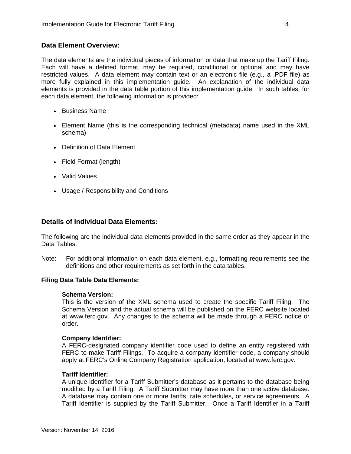## <span id="page-4-0"></span>**Data Element Overview:**

The data elements are the individual pieces of information or data that make up the Tariff Filing. Each will have a defined format, may be required, conditional or optional and may have restricted values. A data element may contain text or an electronic file (e.g., a .PDF file) as more fully explained in this implementation guide. An explanation of the individual data elements is provided in the data table portion of this implementation guide. In such tables, for each data element, the following information is provided:

- Business Name
- Element Name (this is the corresponding technical (metadata) name used in the XML schema)
- Definition of Data Element
- Field Format (length)
- Valid Values
- Usage / Responsibility and Conditions

### <span id="page-4-1"></span>**Details of Individual Data Elements:**

The following are the individual data elements provided in the same order as they appear in the Data Tables:

Note: For additional information on each data element, e.g., formatting requirements see the definitions and other requirements as set forth in the data tables.

#### <span id="page-4-2"></span>**Filing Data Table Data Elements:**

#### **Schema Version:**

This is the version of the XML schema used to create the specific Tariff Filing. The Schema Version and the actual schema will be published on the FERC website located at www.ferc.gov. Any changes to the schema will be made through a FERC notice or order.

#### **Company Identifier:**

A FERC-designated company identifier code used to define an entity registered with FERC to make Tariff Filings. To acquire a company identifier code, a company should apply at FERC's Online Company Registration application, located at [www.ferc.gov.](http://www.ferc.gov/)

#### **Tariff Identifier:**

A unique identifier for a Tariff Submitter's database as it pertains to the database being modified by a Tariff Filing. A Tariff Submitter may have more than one active database. A database may contain one or more tariffs, rate schedules, or service agreements. A Tariff Identifier is supplied by the Tariff Submitter. Once a Tariff Identifier in a Tariff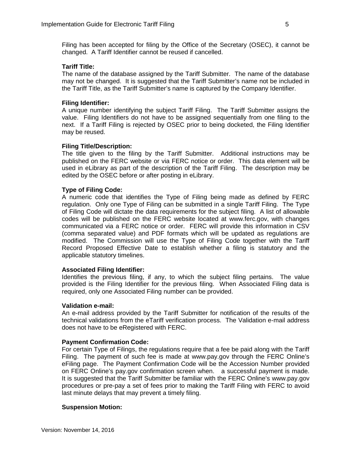Filing has been accepted for filing by the Office of the Secretary (OSEC), it cannot be changed. A Tariff Identifier cannot be reused if cancelled.

### **Tariff Title:**

The name of the database assigned by the Tariff Submitter. The name of the database may not be changed. It is suggested that the Tariff Submitter's name not be included in the Tariff Title, as the Tariff Submitter's name is captured by the Company Identifier.

## **Filing Identifier:**

A unique number identifying the subject Tariff Filing. The Tariff Submitter assigns the value. Filing Identifiers do not have to be assigned sequentially from one filing to the next. If a Tariff Filing is rejected by OSEC prior to being docketed, the Filing Identifier may be reused.

### **Filing Title/Description:**

The title given to the filing by the Tariff Submitter. Additional instructions may be published on the FERC website or via FERC notice or order. This data element will be used in eLibrary as part of the description of the Tariff Filing. The description may be edited by the OSEC before or after posting in eLibrary.

### **Type of Filing Code:**

A numeric code that identifies the Type of Filing being made as defined by FERC regulation. Only one Type of Filing can be submitted in a single Tariff Filing. The Type of Filing Code will dictate the data requirements for the subject filing. A list of allowable codes will be published on the FERC website located at www.ferc.gov, with changes communicated via a FERC notice or order. FERC will provide this information in CSV (comma separated value) and PDF formats which will be updated as regulations are modified. The Commission will use the Type of Filing Code together with the Tariff Record Proposed Effective Date to establish whether a filing is statutory and the applicable statutory timelines.

#### **Associated Filing Identifier:**

Identifies the previous filing, if any, to which the subject filing pertains. The value provided is the Filing Identifier for the previous filing. When Associated Filing data is required, only one Associated Filing number can be provided.

#### **Validation e-mail:**

An e-mail address provided by the Tariff Submitter for notification of the results of the technical validations from the eTariff verification process. The Validation e-mail address does not have to be eRegistered with FERC.

#### **Payment Confirmation Code:**

For certain Type of Filings, the regulations require that a fee be paid along with the Tariff Filing. The payment of such fee is made at www.pay.gov through the FERC Online's eFiling page. The Payment Confirmation Code will be the Accession Number provided on FERC Online's pay.gov confirmation screen when. a successful payment is made. It is suggested that the Tariff Submitter be familiar with the FERC Online's www.pay.gov procedures or pre-pay a set of fees prior to making the Tariff Filing with FERC to avoid last minute delays that may prevent a timely filing.

#### **Suspension Motion:**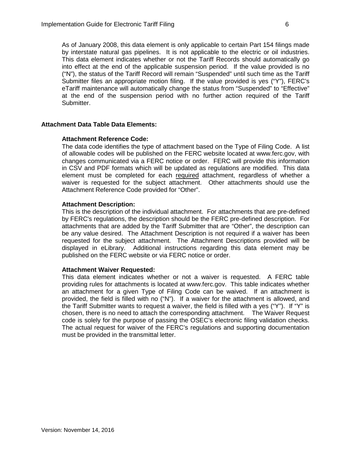As of January 2008, this data element is only applicable to certain Part 154 filings made by interstate natural gas pipelines. It is not applicable to the electric or oil industries. This data element indicates whether or not the Tariff Records should automatically go into effect at the end of the applicable suspension period. If the value provided is no ("N"), the status of the Tariff Record will remain "Suspended" until such time as the Tariff Submitter files an appropriate motion filing. If the value provided is yes ("Y"), FERC's eTariff maintenance will automatically change the status from "Suspended" to "Effective" at the end of the suspension period with no further action required of the Tariff Submitter.

### <span id="page-6-0"></span>**Attachment Data Table Data Elements:**

#### **Attachment Reference Code:**

The data code identifies the type of attachment based on the Type of Filing Code. A list of allowable codes will be published on the FERC website located at www.ferc.gov, with changes communicated via a FERC notice or order. FERC will provide this information in CSV and PDF formats which will be updated as regulations are modified. This data element must be completed for each required attachment, regardless of whether a waiver is requested for the subject attachment. Other attachments should use the Attachment Reference Code provided for "Other".

### **Attachment Description:**

This is the description of the individual attachment. For attachments that are pre-defined by FERC's regulations, the description should be the FERC pre-defined description. For attachments that are added by the Tariff Submitter that are "Other", the description can be any value desired. The Attachment Description is not required if a waiver has been requested for the subject attachment. The Attachment Descriptions provided will be displayed in eLibrary. Additional instructions regarding this data element may be published on the FERC website or via FERC notice or order.

#### **Attachment Waiver Requested:**

This data element indicates whether or not a waiver is requested. A FERC table providing rules for attachments is located at www.ferc.gov. This table indicates whether an attachment for a given Type of Filing Code can be waived. If an attachment is provided, the field is filled with no ("N"). If a waiver for the attachment is allowed, and the Tariff Submitter wants to request a waiver, the field is filled with a yes ("Y"). If "Y" is chosen, there is no need to attach the corresponding attachment. The Waiver Request code is solely for the purpose of passing the OSEC's electronic filing validation checks. The actual request for waiver of the FERC's regulations and supporting documentation must be provided in the transmittal letter.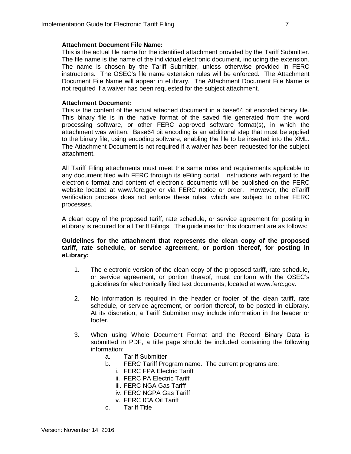#### **Attachment Document File Name:**

This is the actual file name for the identified attachment provided by the Tariff Submitter. The file name is the name of the individual electronic document, including the extension. The name is chosen by the Tariff Submitter, unless otherwise provided in FERC instructions. The OSEC's file name extension rules will be enforced. The Attachment Document File Name will appear in eLibrary. The Attachment Document File Name is not required if a waiver has been requested for the subject attachment.

#### **Attachment Document:**

This is the content of the actual attached document in a base64 bit encoded binary file. This binary file is in the native format of the saved file generated from the word processing software, or other FERC approved software format(s), in which the attachment was written. Base64 bit encoding is an additional step that must be applied to the binary file, using encoding software, enabling the file to be inserted into the XML. The Attachment Document is not required if a waiver has been requested for the subject attachment.

All Tariff Filing attachments must meet the same rules and requirements applicable to any document filed with FERC through its eFiling portal. Instructions with regard to the electronic format and content of electronic documents will be published on the FERC website located at www.ferc.gov or via FERC notice or order. However, the eTariff verification process does not enforce these rules, which are subject to other FERC processes.

A clean copy of the proposed tariff, rate schedule, or service agreement for posting in eLibrary is required for all Tariff Filings. The guidelines for this document are as follows:

#### **Guidelines for the attachment that represents the clean copy of the proposed tariff, rate schedule, or service agreement, or portion thereof, for posting in eLibrary:**

- 1. The electronic version of the clean copy of the proposed tariff, rate schedule, or service agreement, or portion thereof, must conform with the OSEC's guidelines for electronically filed text documents, located at www.ferc.gov.
- 2. No information is required in the header or footer of the clean tariff, rate schedule, or service agreement, or portion thereof, to be posted in eLibrary. At its discretion, a Tariff Submitter may include information in the header or footer.
- 3. When using Whole Document Format and the Record Binary Data is submitted in PDF, a title page should be included containing the following information:
	- a. Tariff Submitter
	- b. FERC Tariff Program name. The current programs are:
		- i. FERC FPA Electric Tariff
		- ii. FERC PA Electric Tariff
		- iii. FERC NGA Gas Tariff
		- iv. FERC NGPA Gas Tariff
		- v. FERC ICA Oil Tariff
	- c. Tariff Title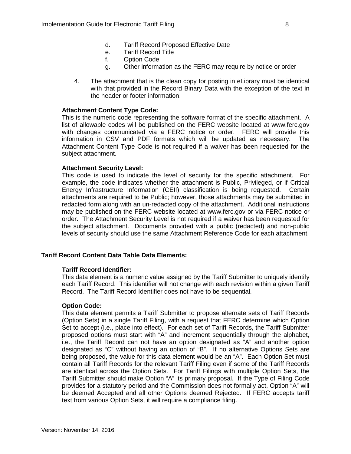- d. Tariff Record Proposed Effective Date
- e. Tariff Record Title
- f. Option Code
- g. Other information as the FERC may require by notice or order
- 4. The attachment that is the clean copy for posting in eLibrary must be identical with that provided in the Record Binary Data with the exception of the text in the header or footer information.

#### **Attachment Content Type Code:**

This is the numeric code representing the software format of the specific attachment. A list of allowable codes will be published on the FERC website located at www.ferc.gov with changes communicated via a FERC notice or order. FERC will provide this information in CSV and PDF formats which will be updated as necessary. The Attachment Content Type Code is not required if a waiver has been requested for the subject attachment.

### **Attachment Security Level:**

This code is used to indicate the level of security for the specific attachment. For example, the code indicates whether the attachment is Public, Privileged, or if Critical Energy Infrastructure Information (CEII) classification is being requested. Certain attachments are required to be Public; however, those attachments may be submitted in redacted form along with an un-redacted copy of the attachment. Additional instructions may be published on the FERC website located at www.ferc.gov or via FERC notice or order. The Attachment Security Level is not required if a waiver has been requested for the subject attachment. Documents provided with a public (redacted) and non-public levels of security should use the same Attachment Reference Code for each attachment.

## <span id="page-8-0"></span>**Tariff Record Content Data Table Data Elements:**

#### **Tariff Record Identifier:**

This data element is a numeric value assigned by the Tariff Submitter to uniquely identify each Tariff Record. This identifier will not change with each revision within a given Tariff Record. The Tariff Record Identifier does not have to be sequential.

#### **Option Code:**

This data element permits a Tariff Submitter to propose alternate sets of Tariff Records (Option Sets) in a single Tariff Filing, with a request that FERC determine which Option Set to accept (i.e., place into effect). For each set of Tariff Records, the Tariff Submitter proposed options must start with "A" and increment sequentially through the alphabet, i.e., the Tariff Record can not have an option designated as "A" and another option designated as "C" without having an option of "B". If no alternative Options Sets are being proposed, the value for this data element would be an "A". Each Option Set must contain all Tariff Records for the relevant Tariff Filing even if some of the Tariff Records are identical across the Option Sets. For Tariff Filings with multiple Option Sets, the Tariff Submitter should make Option "A" its primary proposal. If the Type of Filing Code provides for a statutory period and the Commission does not formally act, Option "A" will be deemed Accepted and all other Options deemed Rejected. If FERC accepts tariff text from various Option Sets, it will require a compliance filing.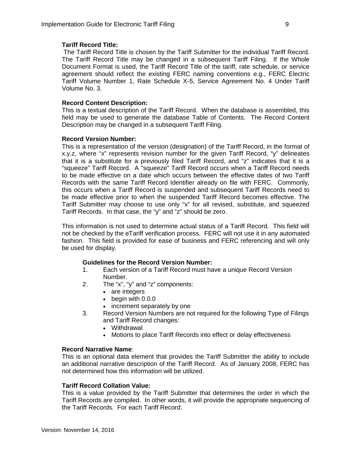## **Tariff Record Title:**

The Tariff Record Title is chosen by the Tariff Submitter for the individual Tariff Record. The Tariff Record Title may be changed in a subsequent Tariff Filing. If the Whole Document Format is used, the Tariff Record Title of the tariff, rate schedule, or service agreement should reflect the existing FERC naming conventions e.g., FERC Electric Tariff Volume Number 1, Rate Schedule X-5, Service Agreement No. 4 Under Tariff Volume No. 3.

## **Record Content Description:**

This is a textual description of the Tariff Record. When the database is assembled, this field may be used to generate the database Table of Contents. The Record Content Description may be changed in a subsequent Tariff Filing.

## **Record Version Number:**

This is a representation of the version (designation) of the Tariff Record, in the format of x.y.z, where "x" represents revision number for the given Tariff Record, "y" delineates that it is a substitute for a previously filed Tariff Record, and "z" indicates that it is a "squeeze" Tariff Record. A "squeeze" Tariff Record occurs when a Tariff Record needs to be made effective on a date which occurs between the effective dates of two Tariff Records with the same Tariff Record Identifier already on file with FERC. Commonly, this occurs when a Tariff Record is suspended and subsequent Tariff Records need to be made effective prior to when the suspended Tariff Record becomes effective. The Tariff Submitter may choose to use only "x" for all revised, substitute, and squeezed Tariff Records. In that case, the "y" and "z" should be zero.

This information is not used to determine actual status of a Tariff Record. This field will not be checked by the eTariff verification process. FERC will not use it in any automated fashion. This field is provided for ease of business and FERC referencing and will only be used for display.

## **Guidelines for the Record Version Number:**

- 1. Each version of a Tariff Record must have a unique Record Version Number.
- 2. The "x", "y" and "z" components:
	- are integers
	- begin with 0.0.0
	- increment separately by one
- 3. Record Version Numbers are not required for the following Type of Filings and Tariff Record changes:
	- Withdrawal
	- Motions to place Tariff Records into effect or delay effectiveness

## **Record Narrative Name**:

This is an optional data element that provides the Tariff Submitter the ability to include an additional narrative description of the Tariff Record. As of January 2008, FERC has not determined how this information will be utilized.

#### **Tariff Record Collation Value:**

This is a value provided by the Tariff Submitter that determines the order in which the Tariff Records are compiled. In other words, it will provide the appropriate sequencing of the Tariff Records. For each Tariff Record: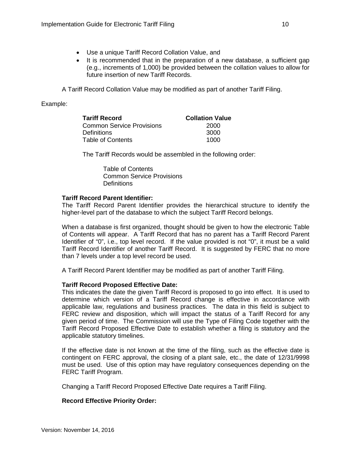- Use a unique Tariff Record Collation Value, and
- It is recommended that in the preparation of a new database, a sufficient gap (e.g., increments of 1,000) be provided between the collation values to allow for future insertion of new Tariff Records.

A Tariff Record Collation Value may be modified as part of another Tariff Filing.

## Example:

| <b>Tariff Record</b>             | <b>Collation Value</b> |
|----------------------------------|------------------------|
| <b>Common Service Provisions</b> | 2000                   |
| <b>Definitions</b>               | 3000                   |
| Table of Contents                | 1000                   |

The Tariff Records would be assembled in the following order:

Table of Contents Common Service Provisions **Definitions** 

### **Tariff Record Parent Identifier:**

The Tariff Record Parent Identifier provides the hierarchical structure to identify the higher-level part of the database to which the subject Tariff Record belongs.

When a database is first organized, thought should be given to how the electronic Table of Contents will appear. A Tariff Record that has no parent has a Tariff Record Parent Identifier of "0", i.e., top level record. If the value provided is not "0", it must be a valid Tariff Record Identifier of another Tariff Record. It is suggested by FERC that no more than 7 levels under a top level record be used.

A Tariff Record Parent Identifier may be modified as part of another Tariff Filing.

## **Tariff Record Proposed Effective Date:**

This indicates the date the given Tariff Record is proposed to go into effect. It is used to determine which version of a Tariff Record change is effective in accordance with applicable law, regulations and business practices. The data in this field is subject to FERC review and disposition, which will impact the status of a Tariff Record for any given period of time. The Commission will use the Type of Filing Code together with the Tariff Record Proposed Effective Date to establish whether a filing is statutory and the applicable statutory timelines.

If the effective date is not known at the time of the filing, such as the effective date is contingent on FERC approval, the closing of a plant sale, etc., the date of 12/31/9998 must be used. Use of this option may have regulatory consequences depending on the FERC Tariff Program.

Changing a Tariff Record Proposed Effective Date requires a Tariff Filing.

## **Record Effective Priority Order:**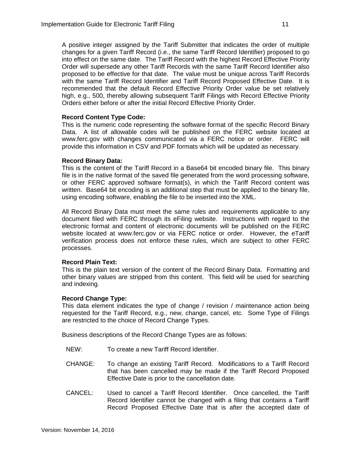A positive integer assigned by the Tariff Submitter that indicates the order of multiple changes for a given Tariff Record (i.e., the same Tariff Record Identifier) proposed to go into effect on the same date. The Tariff Record with the highest Record Effective Priority Order will supersede any other Tariff Records with the same Tariff Record Identifier also proposed to be effective for that date. The value must be unique across Tariff Records with the same Tariff Record Identifier and Tariff Record Proposed Effective Date. It is recommended that the default Record Effective Priority Order value be set relatively high, e.g., 500, thereby allowing subsequent Tariff Filings with Record Effective Priority Orders either before or after the initial Record Effective Priority Order.

### **Record Content Type Code:**

This is the numeric code representing the software format of the specific Record Binary Data. A list of allowable codes will be published on the FERC website located at www.ferc.gov with changes communicated via a FERC notice or order. FERC will provide this information in CSV and PDF formats which will be updated as necessary.

### **Record Binary Data:**

This is the content of the Tariff Record in a Base64 bit encoded binary file. This binary file is in the native format of the saved file generated from the word processing software, or other FERC approved software format(s), in which the Tariff Record content was written. Base64 bit encoding is an additional step that must be applied to the binary file, using encoding software, enabling the file to be inserted into the XML.

All Record Binary Data must meet the same rules and requirements applicable to any document filed with FERC through its eFiling website. Instructions with regard to the electronic format and content of electronic documents will be published on the FERC website located at www.ferc.gov or via FERC notice or order. However, the eTariff verification process does not enforce these rules, which are subject to other FERC processes.

## **Record Plain Text:**

This is the plain text version of the content of the Record Binary Data. Formatting and other binary values are stripped from this content. This field will be used for searching and indexing.

## **Record Change Type:**

This data element indicates the type of change / revision / maintenance action being requested for the Tariff Record, e.g., new, change, cancel, etc. Some Type of Filings are restricted to the choice of Record Change Types.

Business descriptions of the Record Change Types are as follows:

- NEW: To create a new Tariff Record Identifier.
- CHANGE: To change an existing Tariff Record. Modifications to a Tariff Record that has been cancelled may be made if the Tariff Record Proposed Effective Date is prior to the cancellation date.
- CANCEL: Used to cancel a Tariff Record Identifier. Once cancelled, the Tariff Record Identifier cannot be changed with a filing that contains a Tariff Record Proposed Effective Date that is after the accepted date of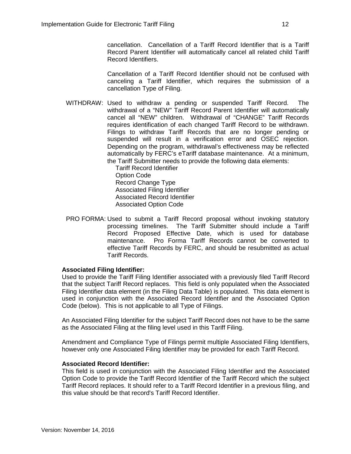cancellation. Cancellation of a Tariff Record Identifier that is a Tariff Record Parent Identifier will automatically cancel all related child Tariff Record Identifiers.

Cancellation of a Tariff Record Identifier should not be confused with canceling a Tariff Identifier, which requires the submission of a cancellation Type of Filing.

WITHDRAW: Used to withdraw a pending or suspended Tariff Record. The withdrawal of a "NEW" Tariff Record Parent Identifier will automatically cancel all "NEW" children. Withdrawal of "CHANGE" Tariff Records requires identification of each changed Tariff Record to be withdrawn. Filings to withdraw Tariff Records that are no longer pending or suspended will result in a verification error and OSEC rejection. Depending on the program, withdrawal's effectiveness may be reflected automatically by FERC's eTariff database maintenance. At a minimum, the Tariff Submitter needs to provide the following data elements:

Tariff Record Identifier Option Code Record Change Type Associated Filing Identifier Associated Record Identifier Associated Option Code

PRO FORMA: Used to submit a Tariff Record proposal without invoking statutory processing timelines. The Tariff Submitter should include a Tariff Record Proposed Effective Date, which is used for database maintenance. Pro Forma Tariff Records cannot be converted to effective Tariff Records by FERC, and should be resubmitted as actual Tariff Records.

## **Associated Filing Identifier:**

Used to provide the Tariff Filing Identifier associated with a previously filed Tariff Record that the subject Tariff Record replaces. This field is only populated when the Associated Filing Identifier data element (in the Filing Data Table) is populated. This data element is used in conjunction with the Associated Record Identifier and the Associated Option Code (below).This is not applicable to all Type of Filings.

An Associated Filing Identifier for the subject Tariff Record does not have to be the same as the Associated Filing at the filing level used in this Tariff Filing.

Amendment and Compliance Type of Filings permit multiple Associated Filing Identifiers, however only one Associated Filing Identifier may be provided for each Tariff Record.

#### **Associated Record Identifier:**

This field is used in conjunction with the Associated Filing Identifier and the Associated Option Code to provide the Tariff Record Identifier of the Tariff Record which the subject Tariff Record replaces. It should refer to a Tariff Record Identifier in a previous filing, and this value should be that record's Tariff Record Identifier.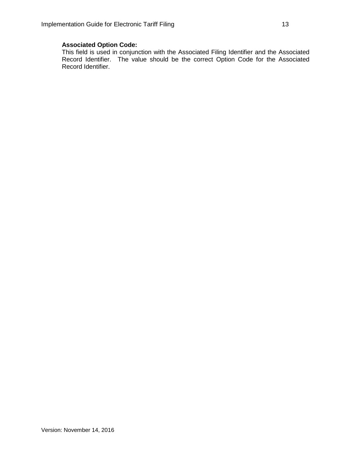## **Associated Option Code:**

This field is used in conjunction with the Associated Filing Identifier and the Associated Record Identifier. The value should be the correct Option Code for the Associated Record Identifier.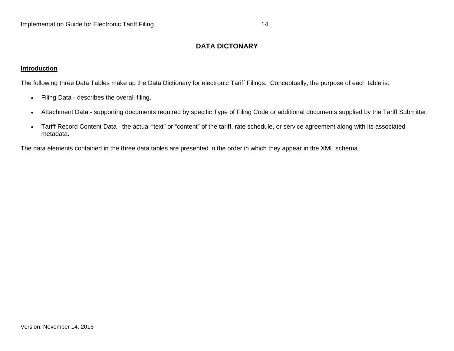# **DATA DICTONARY**

### **Introduction**

The following three Data Tables make up the Data Dictionary for electronic Tariff Filings. Conceptually, the purpose of each table is:

- Filing Data describes the overall filing.
- Attachment Data supporting documents required by specific Type of Filing Code or additional documents supplied by the Tariff Submitter.
- Tariff Record Content Data the actual "text" or "content" of the tariff, rate schedule, or service agreement along with its associated metadata.

<span id="page-14-0"></span>The data elements contained in the three data tables are presented in the order in which they appear in the XML schema.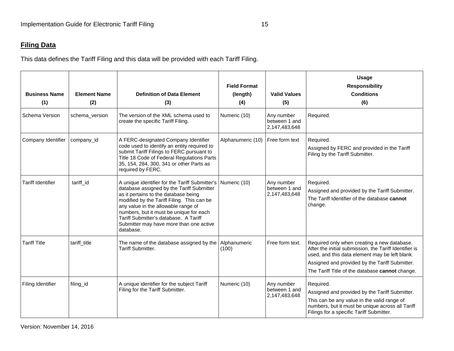# **Filing Data**

This data defines the Tariff Filing and this data will be provided with each Tariff Filing.

<span id="page-15-0"></span>

| <b>Business Name</b><br>(1) | <b>Element Name</b><br>(2) | <b>Definition of Data Element</b><br>(3)                                                                                                                                                                                                                                                                                                                             | <b>Field Format</b><br>(length)<br>(4) | <b>Valid Values</b><br>(5)                   | <b>Usage</b><br><b>Responsibility</b><br><b>Conditions</b><br>(6)                                                                                                                                                                                            |
|-----------------------------|----------------------------|----------------------------------------------------------------------------------------------------------------------------------------------------------------------------------------------------------------------------------------------------------------------------------------------------------------------------------------------------------------------|----------------------------------------|----------------------------------------------|--------------------------------------------------------------------------------------------------------------------------------------------------------------------------------------------------------------------------------------------------------------|
| Schema Version              | schema_version             | The version of the XML schema used to<br>create the specific Tariff Filing.                                                                                                                                                                                                                                                                                          | Numeric (10)                           | Any number<br>between 1 and<br>2,147,483,648 | Required.                                                                                                                                                                                                                                                    |
| Company Identifier          | company_id                 | A FERC-designated Company Identifier<br>code used to identify an entity required to<br>submit Tariff Filings to FERC pursuant to<br>Title 18 Code of Federal Regulations Parts<br>35, 154, 284, 300, 341 or other Parts as<br>required by FERC.                                                                                                                      | Alphanumeric (10)                      | Free form text                               | Required.<br>Assigned by FERC and provided in the Tariff<br>Filing by the Tariff Submitter.                                                                                                                                                                  |
| <b>Tariff Identifier</b>    | tariff id                  | A unique identifier for the Tariff Submitter's<br>database assigned by the Tariff Submitter<br>as it pertains to the database being<br>modified by the Tariff Filing. This can be<br>any value in the allowable range of<br>numbers, but it must be unique for each<br>Tariff Submitter's database. A Tariff<br>Submitter may have more than one active<br>database. | Numeric (10)                           | Any number<br>between 1 and<br>2,147,483,648 | Required.<br>Assigned and provided by the Tariff Submitter.<br>The Tariff Identifier of the database cannot<br>change.                                                                                                                                       |
| <b>Tariff Title</b>         | tariff_title               | The name of the database assigned by the<br>Tariff Submitter.                                                                                                                                                                                                                                                                                                        | Alphanumeric<br>(100)                  | Free form text.                              | Required only when creating a new database.<br>After the initial submission, the Tariff Identifier is<br>used, and this data element may be left blank.<br>Assigned and provided by the Tariff Submitter.<br>The Tariff Title of the database cannot change. |
| Filing Identifier           | filing_id                  | A unique identifier for the subject Tariff<br>Filing for the Tariff Submitter.                                                                                                                                                                                                                                                                                       | Numeric (10)                           | Any number<br>between 1 and<br>2,147,483,648 | Required.<br>Assigned and provided by the Tariff Submitter.<br>This can be any value in the valid range of<br>numbers, but it must be unique across all Tariff<br>Filings for a specific Tariff Submitter.                                                   |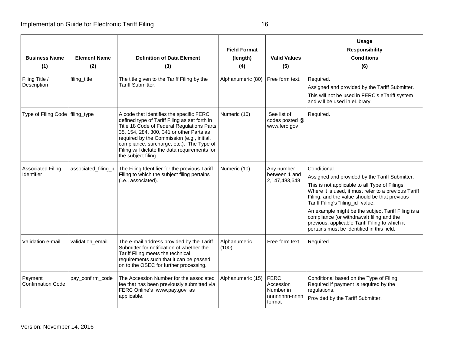| <b>Business Name</b><br>(1)            | <b>Element Name</b><br>(2) | <b>Definition of Data Element</b><br>(3)                                                                                                                                                                                                                                                                                                              | <b>Field Format</b><br>(length)<br>(4) | <b>Valid Values</b><br>(5)                                       | Usage<br><b>Responsibility</b><br><b>Conditions</b><br>(6)                                                                                                                                                                                                                                                                                                                                                                                                         |
|----------------------------------------|----------------------------|-------------------------------------------------------------------------------------------------------------------------------------------------------------------------------------------------------------------------------------------------------------------------------------------------------------------------------------------------------|----------------------------------------|------------------------------------------------------------------|--------------------------------------------------------------------------------------------------------------------------------------------------------------------------------------------------------------------------------------------------------------------------------------------------------------------------------------------------------------------------------------------------------------------------------------------------------------------|
| Filing Title /<br>Description          | filing_title               | The title given to the Tariff Filing by the<br>Tariff Submitter.                                                                                                                                                                                                                                                                                      | Alphanumeric (80)                      | Free form text.                                                  | Required.<br>Assigned and provided by the Tariff Submitter.<br>This will not be used in FERC's eTariff system<br>and will be used in eLibrary.                                                                                                                                                                                                                                                                                                                     |
| Type of Filing Code   filing_type      |                            | A code that identifies the specific FERC<br>defined type of Tariff Filing as set forth in<br>Title 18 Code of Federal Regulations Parts<br>35, 154, 284, 300, 341 or other Parts as<br>required by the Commission (e.g., initial,<br>compliance, surcharge, etc.). The Type of<br>Filing will dictate the data requirements for<br>the subject filing | Numeric (10)                           | See list of<br>codes posted @<br>www.ferc.gov                    | Required.                                                                                                                                                                                                                                                                                                                                                                                                                                                          |
| <b>Associated Filing</b><br>Identifier |                            | associated_filing_id   The Filing Identifier for the previous Tariff<br>Filing to which the subject filing pertains<br>(i.e., associated).                                                                                                                                                                                                            | Numeric (10)                           | Any number<br>between 1 and<br>2,147,483,648                     | Conditional.<br>Assigned and provided by the Tariff Submitter.<br>This is not applicable to all Type of Filings.<br>Where it is used, it must refer to a previous Tariff<br>Filing, and the value should be that previous<br>Tariff Filing's "filing_id" value.<br>An example might be the subject Tariff Filing is a<br>compliance (or withdrawal) filing and the<br>previous, applicable Tariff Filing to which it<br>pertains must be identified in this field. |
| Validation e-mail                      | validation_email           | The e-mail address provided by the Tariff<br>Submitter for notification of whether the<br>Tariff Filing meets the technical<br>requirements such that it can be passed<br>on to the OSEC for further processing.                                                                                                                                      | Alphanumeric<br>(100)                  | Free form text                                                   | Required.                                                                                                                                                                                                                                                                                                                                                                                                                                                          |
| Payment<br><b>Confirmation Code</b>    | pay_confirm_code           | The Accession Number for the associated<br>fee that has been previously submitted via<br>FERC Online's www.pay.gov, as<br>applicable.                                                                                                                                                                                                                 | Alphanumeric (15)                      | <b>FERC</b><br>Accession<br>Number in<br>nnnnnnnn-nnnn<br>format | Conditional based on the Type of Filing.<br>Required if payment is required by the<br>regulations.<br>Provided by the Tariff Submitter.                                                                                                                                                                                                                                                                                                                            |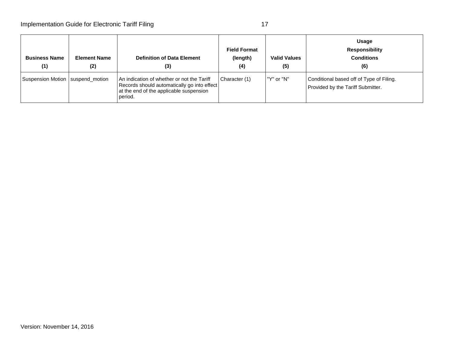| <b>Business Name</b><br>(1)        | <b>Element Name</b><br>(2) | <b>Definition of Data Element</b><br>(3)                                                                                                        | <b>Field Format</b><br>(length)<br>(4) | <b>Valid Values</b><br>(5) | Usage<br><b>Responsibility</b><br><b>Conditions</b><br>(6)                    |
|------------------------------------|----------------------------|-------------------------------------------------------------------------------------------------------------------------------------------------|----------------------------------------|----------------------------|-------------------------------------------------------------------------------|
| Suspension Motion   suspend motion |                            | An indication of whether or not the Tariff<br>Records should automatically go into effect<br>at the end of the applicable suspension<br>period. | Character (1)                          | "Y" or "N"                 | Conditional based off of Type of Filing.<br>Provided by the Tariff Submitter. |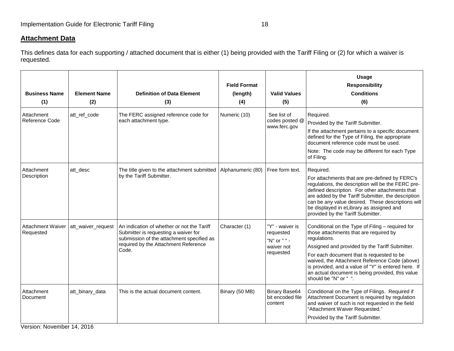## **Attachment Data**

This defines data for each supporting / attached document that is either (1) being provided with the Tariff Filing or (2) for which a waiver is requested.

<span id="page-18-0"></span>

| <b>Business Name</b><br>(1)           | <b>Element Name</b><br>(2) | <b>Definition of Data Element</b><br>(3)                                                                                                                                         | <b>Field Format</b><br>(length)<br>(4) | <b>Valid Values</b><br>(5)                                              | <b>Usage</b><br><b>Responsibility</b><br><b>Conditions</b><br>(6)                                                                                                                                                                                                                                                                                                                              |
|---------------------------------------|----------------------------|----------------------------------------------------------------------------------------------------------------------------------------------------------------------------------|----------------------------------------|-------------------------------------------------------------------------|------------------------------------------------------------------------------------------------------------------------------------------------------------------------------------------------------------------------------------------------------------------------------------------------------------------------------------------------------------------------------------------------|
| Attachment<br>Reference Code          | att_ref_code               | The FERC assigned reference code for<br>each attachment type.                                                                                                                    | Numeric (10)                           | See list of<br>codes posted @<br>www.ferc.gov                           | Required.<br>Provided by the Tariff Submitter.<br>If the attachment pertains to a specific document<br>defined for the Type of Filing, the appropriate<br>document reference code must be used.<br>Note: The code may be different for each Type<br>of Filing.                                                                                                                                 |
| Attachment<br>Description             | att_desc                   | The title given to the attachment submitted<br>by the Tariff Submitter.                                                                                                          | Alphanumeric (80)                      | Free form text.                                                         | Required.<br>For attachments that are pre-defined by FERC's<br>regulations, the description will be the FERC pre-<br>defined description. For other attachments that<br>are added by the Tariff Submitter, the description<br>can be any value desired. These descriptions will<br>be displayed in eLibrary as assigned and<br>provided by the Tariff Submitter.                               |
| <b>Attachment Waiver</b><br>Requested | att waiver request         | An indication of whether or not the Tariff<br>Submitter is requesting a waiver for<br>submission of the attachment specified as<br>required by the Attachment Reference<br>Code. | Character (1)                          | "Y" - waiver is<br>requested<br>"N" or " " -<br>waiver not<br>requested | Conditional on the Type of Filing - required for<br>those attachments that are required by<br>regulations.<br>Assigned and provided by the Tariff Submitter.<br>For each document that is requested to be<br>waived, the Attachment Reference Code (above)<br>is provided, and a value of "Y" is entered here. If<br>an actual document is being provided, this value<br>should be "N" or " ". |
| Attachment<br>Document                | att_binary_data            | This is the actual document content.                                                                                                                                             | Binary (50 MB)                         | <b>Binary Base64</b><br>bit encoded file<br>content                     | Conditional on the Type of Filings. Required if<br>Attachment Document is required by regulation<br>and waiver of such is not requested in the field<br>"Attachment Waiver Requested."<br>Provided by the Tariff Submitter.                                                                                                                                                                    |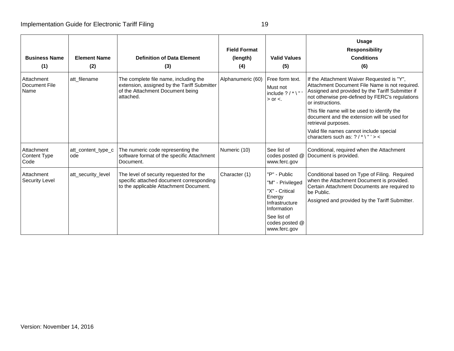| <b>Business Name</b><br>(1)         | <b>Element Name</b><br>(2) | <b>Definition of Data Element</b><br>(3)                                                                                              | <b>Field Format</b><br>(length)<br>(4) | <b>Valid Values</b><br>(5)                                                                                                                     | <b>Usage</b><br><b>Responsibility</b><br><b>Conditions</b><br>(6)                                                                                                                                                                                                                                                                                                                                                             |
|-------------------------------------|----------------------------|---------------------------------------------------------------------------------------------------------------------------------------|----------------------------------------|------------------------------------------------------------------------------------------------------------------------------------------------|-------------------------------------------------------------------------------------------------------------------------------------------------------------------------------------------------------------------------------------------------------------------------------------------------------------------------------------------------------------------------------------------------------------------------------|
| Attachment<br>Document File<br>Name | att filename               | The complete file name, including the<br>extension, assigned by the Tariff Submitter<br>of the Attachment Document being<br>attached. | Alphanumeric (60)                      | Free form text.<br>Must not<br>include $?$ / $*$ \"<br>$>$ or $<$ .                                                                            | If the Attachment Waiver Requested is "Y",<br>Attachment Document File Name is not required.<br>Assigned and provided by the Tariff Submitter if<br>not otherwise pre-defined by FERC's regulations<br>or instructions.<br>This file name will be used to identify the<br>document and the extension will be used for<br>retrieval purposes.<br>Valid file names cannot include special<br>characters such as: $?$ /* \"' > < |
| Attachment<br>Content Type<br>Code  | att_content_type_c<br>ode  | The numeric code representing the<br>software format of the specific Attachment<br>Document.                                          | Numeric (10)                           | See list of<br>codes posted @<br>www.ferc.gov                                                                                                  | Conditional, required when the Attachment<br>Document is provided.                                                                                                                                                                                                                                                                                                                                                            |
| Attachment<br><b>Security Level</b> | att security level         | The level of security requested for the<br>specific attached document corresponding<br>to the applicable Attachment Document.         | Character (1)                          | "P" - Public<br>"M" - Privileged<br>"X" - Critical<br>Energy<br>Infrastructure<br>Information<br>See list of<br>codes posted @<br>www.ferc.gov | Conditional based on Type of Filing. Required<br>when the Attachment Document is provided.<br>Certain Attachment Documents are required to<br>be Public.<br>Assigned and provided by the Tariff Submitter.                                                                                                                                                                                                                    |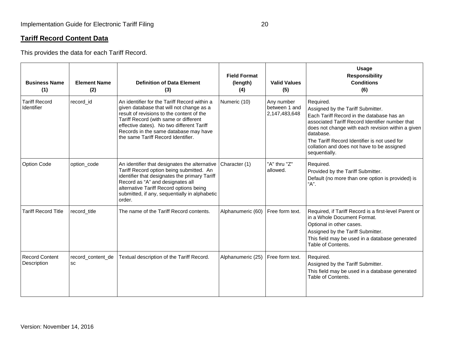# **Tariff Record Content Data**

This provides the data for each Tariff Record.

<span id="page-20-0"></span>

| <b>Business Name</b><br>(1)          | <b>Element Name</b><br>(2) | <b>Definition of Data Element</b><br>(3)                                                                                                                                                                                                                                                                   | <b>Field Format</b><br>(length)<br>(4) | <b>Valid Values</b><br>(5)                   | <b>Usage</b><br><b>Responsibility</b><br><b>Conditions</b><br>(6)                                                                                                                                                                                                                                                               |
|--------------------------------------|----------------------------|------------------------------------------------------------------------------------------------------------------------------------------------------------------------------------------------------------------------------------------------------------------------------------------------------------|----------------------------------------|----------------------------------------------|---------------------------------------------------------------------------------------------------------------------------------------------------------------------------------------------------------------------------------------------------------------------------------------------------------------------------------|
| <b>Tariff Record</b><br>Identifier   | record id                  | An identifier for the Tariff Record within a<br>given database that will not change as a<br>result of revisions to the content of the<br>Tariff Record (with same or different<br>effective dates). No two different Tariff<br>Records in the same database may have<br>the same Tariff Record Identifier. | Numeric (10)                           | Any number<br>between 1 and<br>2,147,483,648 | Required.<br>Assigned by the Tariff Submitter.<br>Each Tariff Record in the database has an<br>associated Tariff Record Identifier number that<br>does not change with each revision within a given<br>database.<br>The Tariff Record Identifier is not used for<br>collation and does not have to be assigned<br>sequentially. |
| Option Code                          | option_code                | An identifier that designates the alternative<br>Tariff Record option being submitted. An<br>identifier that designates the primary Tariff<br>Record as "A" and designates all<br>alternative Tariff Record options being<br>submitted, if any, sequentially in alphabetic<br>order.                       | Character (1)                          | "A" thru "Z"<br>allowed.                     | Required.<br>Provided by the Tariff Submitter.<br>Default (no more than one option is provided) is<br>"A".                                                                                                                                                                                                                      |
| <b>Tariff Record Title</b>           | record_title               | The name of the Tariff Record contents.                                                                                                                                                                                                                                                                    | Alphanumeric (60)                      | Free form text.                              | Required, if Tariff Record is a first-level Parent or<br>in a Whole Document Format.<br>Optional in other cases.<br>Assigned by the Tariff Submitter.<br>This field may be used in a database generated<br>Table of Contents.                                                                                                   |
| <b>Record Content</b><br>Description | record_content_de<br>SC    | Textual description of the Tariff Record.                                                                                                                                                                                                                                                                  | Alphanumeric (25)                      | Free form text.                              | Required.<br>Assigned by the Tariff Submitter.<br>This field may be used in a database generated<br>Table of Contents.                                                                                                                                                                                                          |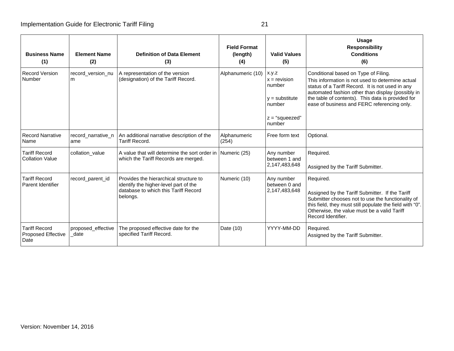| <b>Business Name</b><br>(1)                               | <b>Element Name</b><br>(2) | <b>Definition of Data Element</b><br>(3)                                                                                            | <b>Field Format</b><br>(length)<br>(4) | <b>Valid Values</b><br>(5)                                                                    | <b>Usage</b><br><b>Responsibility</b><br><b>Conditions</b><br>(6)                                                                                                                                                                                                                                     |
|-----------------------------------------------------------|----------------------------|-------------------------------------------------------------------------------------------------------------------------------------|----------------------------------------|-----------------------------------------------------------------------------------------------|-------------------------------------------------------------------------------------------------------------------------------------------------------------------------------------------------------------------------------------------------------------------------------------------------------|
| <b>Record Version</b><br>Number                           | record version nu<br>m     | A representation of the version<br>(designation) of the Tariff Record.                                                              | Alphanumeric (10)                      | X.Y.Z<br>$x =$ revision<br>number<br>$v =$ substitute<br>number<br>$z =$ "squeezed"<br>number | Conditional based on Type of Filing.<br>This information is not used to determine actual<br>status of a Tariff Record. It is not used in any<br>automated fashion other than display (possibly in<br>the table of contents). This data is provided for<br>ease of business and FERC referencing only. |
| <b>Record Narrative</b><br>Name                           | record_narrative_n<br>ame  | An additional narrative description of the<br>Tariff Record.                                                                        | Alphanumeric<br>(254)                  | Free form text                                                                                | Optional.                                                                                                                                                                                                                                                                                             |
| <b>Tariff Record</b><br><b>Collation Value</b>            | collation_value            | A value that will determine the sort order in<br>which the Tariff Records are merged.                                               | Numeric (25)                           | Any number<br>between 1 and<br>2,147,483,648                                                  | Required.<br>Assigned by the Tariff Submitter.                                                                                                                                                                                                                                                        |
| <b>Tariff Record</b><br>Parent Identifier                 | record_parent_id           | Provides the hierarchical structure to<br>identify the higher-level part of the<br>database to which this Tariff Record<br>belongs. | Numeric (10)                           | Any number<br>between 0 and<br>2,147,483,648                                                  | Required.<br>Assigned by the Tariff Submitter. If the Tariff<br>Submitter chooses not to use the functionality of<br>this field, they must still populate the field with "0".<br>Otherwise, the value must be a valid Tariff<br>Record Identifier.                                                    |
| <b>Tariff Record</b><br><b>Proposed Effective</b><br>Date | proposed effective<br>date | The proposed effective date for the<br>specified Tariff Record.                                                                     | Date (10)                              | YYYY-MM-DD                                                                                    | Required.<br>Assigned by the Tariff Submitter.                                                                                                                                                                                                                                                        |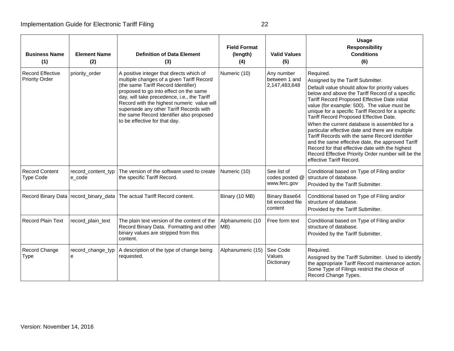| <b>Business Name</b><br>(1)                      | <b>Element Name</b><br>(2)              | <b>Definition of Data Element</b><br>(3)                                                                                                                                                                                                                                                                                                                                                    | <b>Field Format</b><br>(length)<br>(4) | <b>Valid Values</b><br>(5)                          | <b>Usage</b><br><b>Responsibility</b><br><b>Conditions</b><br>(6)                                                                                                                                                                                                                                                                                                                                                                                                                                                                                                                                                                                                                                  |
|--------------------------------------------------|-----------------------------------------|---------------------------------------------------------------------------------------------------------------------------------------------------------------------------------------------------------------------------------------------------------------------------------------------------------------------------------------------------------------------------------------------|----------------------------------------|-----------------------------------------------------|----------------------------------------------------------------------------------------------------------------------------------------------------------------------------------------------------------------------------------------------------------------------------------------------------------------------------------------------------------------------------------------------------------------------------------------------------------------------------------------------------------------------------------------------------------------------------------------------------------------------------------------------------------------------------------------------------|
| <b>Record Effective</b><br><b>Priority Order</b> | priority_order                          | A positive integer that directs which of<br>multiple changes of a given Tariff Record<br>(the same Tariff Record Identifier)<br>proposed to go into effect on the same<br>day, will take precedence, i.e., the Tariff<br>Record with the highest numeric value will<br>supersede any other Tariff Records with<br>the same Record Identifier also proposed<br>to be effective for that day. | Numeric (10)                           | Any number<br>between 1 and<br>2,147,483,648        | Required.<br>Assigned by the Tariff Submitter.<br>Default value should allow for priority values<br>below and above the Tariff Record of a specific<br>Tariff Record Proposed Effective Date initial<br>value (for example: 500). The value must be<br>unique for a specific Tariff Record for a specific<br>Tariff Record Proposed Effective Date.<br>When the current database is assembled for a<br>particular effective date and there are multiple<br>Tariff Records with the same Record Identifier<br>and the same effective date, the approved Tariff<br>Record for that effective date with the highest<br>Record Effective Priority Order number will be the<br>effective Tariff Record. |
| <b>Record Content</b><br><b>Type Code</b>        | record_content_typ<br>e_code            | The version of the software used to create<br>the specific Tariff Record.                                                                                                                                                                                                                                                                                                                   | Numeric (10)                           | See list of<br>codes posted @<br>www.ferc.gov       | Conditional based on Type of Filing and/or<br>structure of database.<br>Provided by the Tariff Submitter.                                                                                                                                                                                                                                                                                                                                                                                                                                                                                                                                                                                          |
|                                                  | Record Binary Data   record_binary_data | The actual Tariff Record content.                                                                                                                                                                                                                                                                                                                                                           | Binary (10 MB)                         | <b>Binary Base64</b><br>bit encoded file<br>content | Conditional based on Type of Filing and/or<br>structure of database.<br>Provided by the Tariff Submitter.                                                                                                                                                                                                                                                                                                                                                                                                                                                                                                                                                                                          |
| <b>Record Plain Text</b>                         | record_plain_text                       | The plain text version of the content of the<br>Record Binary Data. Formatting and other   MB)<br>binary values are stripped from this<br>content.                                                                                                                                                                                                                                          | Alphanumeric (10                       | Free form text                                      | Conditional based on Type of Filing and/or<br>structure of database.<br>Provided by the Tariff Submitter.                                                                                                                                                                                                                                                                                                                                                                                                                                                                                                                                                                                          |
| Record Change<br>Type                            | record_change_typ<br>е                  | A description of the type of change being<br>requested.                                                                                                                                                                                                                                                                                                                                     | Alphanumeric (15)                      | See Code<br>Values<br>Dictionary                    | Required.<br>Assigned by the Tariff Submitter. Used to identify<br>the appropriate Tariff Record maintenance action.<br>Some Type of Filings restrict the choice of<br>Record Change Types.                                                                                                                                                                                                                                                                                                                                                                                                                                                                                                        |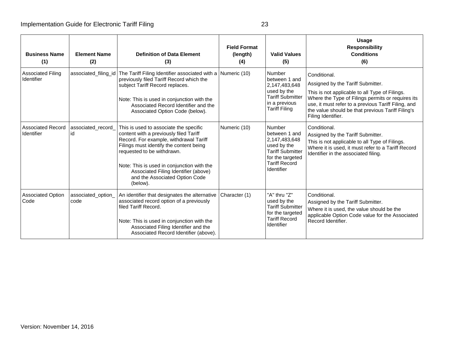| <b>Business Name</b><br>(1)            | <b>Element Name</b><br>(2) | <b>Definition of Data Element</b><br>(3)                                                                                                                                                                                                                                                                                                | <b>Field Format</b><br>(length)<br>(4) | <b>Valid Values</b><br>(5)                                                                                                                   | Usage<br><b>Responsibility</b><br><b>Conditions</b><br>(6)                                                                                                                                                                                                                                 |
|----------------------------------------|----------------------------|-----------------------------------------------------------------------------------------------------------------------------------------------------------------------------------------------------------------------------------------------------------------------------------------------------------------------------------------|----------------------------------------|----------------------------------------------------------------------------------------------------------------------------------------------|--------------------------------------------------------------------------------------------------------------------------------------------------------------------------------------------------------------------------------------------------------------------------------------------|
| <b>Associated Filing</b><br>Identifier |                            | associated_filing_id   The Tariff Filing Identifier associated with a<br>previously filed Tariff Record which the<br>subject Tariff Record replaces.<br>Note: This is used in conjunction with the<br>Associated Record Identifier and the<br>Associated Option Code (below).                                                           | Numeric (10)                           | Number<br>between 1 and<br>2,147,483,648<br>used by the<br><b>Tariff Submitter</b><br>in a previous<br><b>Tariff Filing</b>                  | Conditional.<br>Assigned by the Tariff Submitter.<br>This is not applicable to all Type of Filings.<br>Where the Type of Filings permits or requires its<br>use, it must refer to a previous Tariff Filing, and<br>the value should be that previous Tariff Filing's<br>Filing Identifier. |
| <b>Associated Record</b><br>Identifier | associated_record_<br>id   | This is used to associate the specific<br>content with a previously filed Tariff<br>Record. For example, withdrawal Tariff<br>Filings must identify the content being<br>requested to be withdrawn.<br>Note: This is used in conjunction with the<br>Associated Filing Identifier (above)<br>and the Associated Option Code<br>(below). | Numeric (10)                           | Number<br>between 1 and<br>2,147,483,648<br>used by the<br><b>Tariff Submitter</b><br>for the targeted<br><b>Tariff Record</b><br>Identifier | Conditional.<br>Assigned by the Tariff Submitter.<br>This is not applicable to all Type of Filings.<br>Where it is used, it must refer to a Tariff Record<br>Identifier in the associated filing.                                                                                          |
| <b>Associated Option</b><br>Code       | associated_option_<br>code | An identifier that designates the alternative<br>associated record option of a previously<br>filed Tariff Record.<br>Note: This is used in conjunction with the<br>Associated Filing Identifier and the<br>Associated Record Identifier (above).                                                                                        | Character (1)                          | "A" thru "Z"<br>used by the<br><b>Tariff Submitter</b><br>for the targeted<br><b>Tariff Record</b><br>Identifier                             | Conditional.<br>Assigned by the Tariff Submitter.<br>Where it is used, the value should be the<br>applicable Option Code value for the Associated<br>Record Identifier.                                                                                                                    |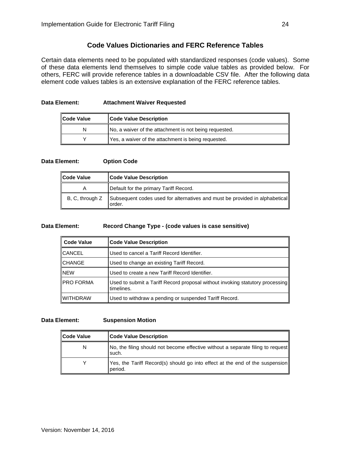# **Code Values Dictionaries and FERC Reference Tables**

<span id="page-24-0"></span>Certain data elements need to be populated with standardized responses (code values). Some of these data elements lend themselves to simple code value tables as provided below. For others, FERC will provide reference tables in a downloadable CSV file. After the following data element code values tables is an extensive explanation of the FERC reference tables.

#### **Data Element: Attachment Waiver Requested**

| ∥Code Value | <b>Code Value Description</b>                          |
|-------------|--------------------------------------------------------|
| N           | No, a waiver of the attachment is not being requested. |
|             | Yes, a waiver of the attachment is being requested.    |

#### **Data Element: Option Code**

| Code Value      | <b>Code Value Description</b>                                                         |
|-----------------|---------------------------------------------------------------------------------------|
| A               | Default for the primary Tariff Record.                                                |
| B, C, through Z | Subsequent codes used for alternatives and must be provided in alphabetical<br>order. |

#### **Data Element: Record Change Type - (code values is case sensitive)**

| Code Value       | <b>Code Value Description</b>                                                               |
|------------------|---------------------------------------------------------------------------------------------|
| <b>CANCEL</b>    | Used to cancel a Tariff Record Identifier.                                                  |
| <b>CHANGE</b>    | Used to change an existing Tariff Record.                                                   |
| <b>NEW</b>       | Used to create a new Tariff Record Identifier.                                              |
| <b>PRO FORMA</b> | Used to submit a Tariff Record proposal without invoking statutory processing<br>timelines. |
| IWITHDRAW        | Used to withdraw a pending or suspended Tariff Record.                                      |

#### **Data Element: Suspension Motion**

| <b>Code Value</b> | <b>Code Value Description</b>                                                            |
|-------------------|------------------------------------------------------------------------------------------|
| N                 | No, the filing should not become effective without a separate filing to request<br>such. |
|                   | Yes, the Tariff Record(s) should go into effect at the end of the suspension<br>period.  |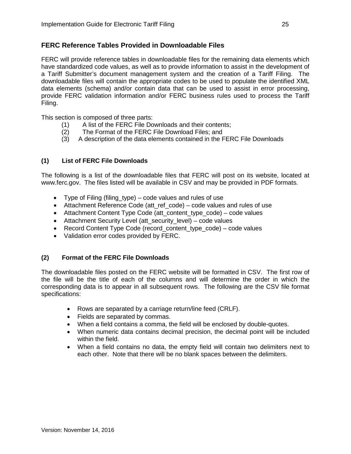# <span id="page-25-0"></span>**FERC Reference Tables Provided in Downloadable Files**

FERC will provide reference tables in downloadable files for the remaining data elements which have standardized code values, as well as to provide information to assist in the development of a Tariff Submitter's document management system and the creation of a Tariff Filing. The downloadable files will contain the appropriate codes to be used to populate the identified XML data elements (schema) and/or contain data that can be used to assist in error processing, provide FERC validation information and/or FERC business rules used to process the Tariff Filing.

This section is composed of three parts:

- (1) A list of the FERC File Downloads and their contents;
- (2) The Format of the FERC File Download Files; and
- (3) A description of the data elements contained in the FERC File Downloads

## **(1) List of FERC File Downloads**

The following is a list of the downloadable files that FERC will post on its website, located at www.ferc.gov. The files listed will be available in CSV and may be provided in PDF formats.

- Type of Filing (filing type) code values and rules of use
- Attachment Reference Code (att\_ref\_code) code values and rules of use
- Attachment Content Type Code (att content type code) code values
- Attachment Security Level (att\_security\_level) code values
- Record Content Type Code (record content type code) code values
- Validation error codes provided by FERC.

# **(2) Format of the FERC File Downloads**

The downloadable files posted on the FERC website will be formatted in CSV. The first row of the file will be the title of each of the columns and will determine the order in which the corresponding data is to appear in all subsequent rows. The following are the CSV file format specifications:

- Rows are separated by a carriage return/line feed (CRLF).
- Fields are separated by commas.
- When a field contains a comma, the field will be enclosed by double-quotes.
- When numeric data contains decimal precision, the decimal point will be included within the field.
- When a field contains no data, the empty field will contain two delimiters next to each other. Note that there will be no blank spaces between the delimiters.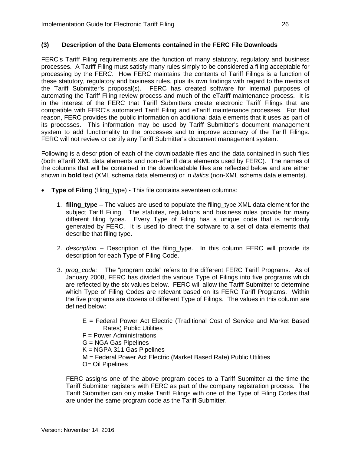## **(3) Description of the Data Elements contained in the FERC File Downloads**

FERC's Tariff Filing requirements are the function of many statutory, regulatory and business processes. A Tariff Filing must satisfy many rules simply to be considered a filing acceptable for processing by the FERC. How FERC maintains the contents of Tariff Filings is a function of these statutory, regulatory and business rules, plus its own findings with regard to the merits of the Tariff Submitter's proposal(s). FERC has created software for internal purposes of automating the Tariff Filing review process and much of the eTariff maintenance process. It is in the interest of the FERC that Tariff Submitters create electronic Tariff Filings that are compatible with FERC's automated Tariff Filing and eTariff maintenance processes. For that reason, FERC provides the public information on additional data elements that it uses as part of its processes. This information may be used by Tariff Submitter's document management system to add functionality to the processes and to improve accuracy of the Tariff Filings. FERC will not review or certify any Tariff Submitter's document management system.

Following is a description of each of the downloadable files and the data contained in such files (both eTariff XML data elements and non-eTariff data elements used by FERC). The names of the columns that will be contained in the downloadable files are reflected below and are either shown in **bold** text (XML schema data elements) or in *italics* (non-XML schema data elements).

- **Type of Filing** (filing\_type) This file contains seventeen columns:
	- 1. **filing\_type** The values are used to populate the filing\_type XML data element for the subject Tariff Filing. The statutes, regulations and business rules provide for many different filing types. Every Type of Filing has a unique code that is randomly generated by FERC. It is used to direct the software to a set of data elements that describe that filing type.
	- 2*. description*  Description of the filing\_type. In this column FERC will provide its description for each Type of Filing Code.
	- 3. *prog\_code:* The "program code" refers to the different FERC Tariff Programs. As of January 2008, FERC has divided the various Type of Filings into five programs which are reflected by the six values below. FERC will allow the Tariff Submitter to determine which Type of Filing Codes are relevant based on its FERC Tariff Programs. Within the five programs are dozens of different Type of Filings. The values in this column are defined below:
		- E = Federal Power Act Electric (Traditional Cost of Service and Market Based Rates) Public Utilities
		- F = Power Administrations
		- G = NGA Gas Pipelines
		- $K = NGPA$  311 Gas Pipelines
		- M = Federal Power Act Electric (Market Based Rate) Public Utilities
		- O= Oil Pipelines

FERC assigns one of the above program codes to a Tariff Submitter at the time the Tariff Submitter registers with FERC as part of the company registration process. The Tariff Submitter can only make Tariff Filings with one of the Type of Filing Codes that are under the same program code as the Tariff Submitter.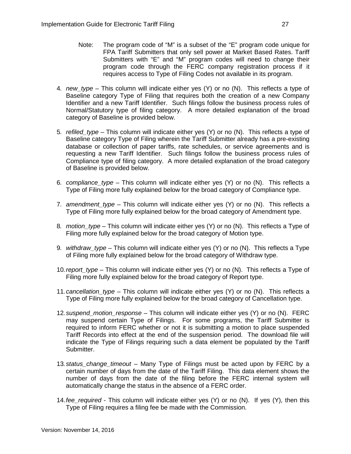- Note: The program code of "M" is a subset of the "E" program code unique for FPA Tariff Submitters that only sell power at Market Based Rates. Tariff Submitters with "E" and "M" program codes will need to change their program code through the FERC company registration process if it requires access to Type of Filing Codes not available in its program.
- 4*. new\_type* This column will indicate either yes (Y) or no (N). This reflects a type of Baseline category Type of Filing that requires both the creation of a new Company Identifier and a new Tariff Identifier. Such filings follow the business process rules of Normal/Statutory type of filing category. A more detailed explanation of the broad category of Baseline is provided below.
- 5*. refiled\_type* This column will indicate either yes (Y) or no (N). This reflects a type of Baseline category Type of Filing wherein the Tariff Submitter already has a pre-existing database or collection of paper tariffs, rate schedules, or service agreements and is requesting a new Tariff Identifier. Such filings follow the business process rules of Compliance type of filing category. A more detailed explanation of the broad category of Baseline is provided below.
- 6*. compliance\_type* This column will indicate either yes (Y) or no (N). This reflects a Type of Filing more fully explained below for the broad category of Compliance type.
- 7*. amendment\_type* This column will indicate either yes (Y) or no (N). This reflects a Type of Filing more fully explained below for the broad category of Amendment type.
- 8*. motion\_type* This column will indicate either yes (Y) or no (N). This reflects a Type of Filing more fully explained below for the broad category of Motion type.
- 9*. withdraw\_type* This column will indicate either yes (Y) or no (N). This reflects a Type of Filing more fully explained below for the broad category of Withdraw type.
- 10*.report\_type* This column will indicate either yes (Y) or no (N). This reflects a Type of Filing more fully explained below for the broad category of Report type.
- 11*.cancellation\_type* This column will indicate either yes (Y) or no (N). This reflects a Type of Filing more fully explained below for the broad category of Cancellation type.
- 12*.suspend\_motion\_response*  This column will indicate either yes (Y) or no (N). FERC may suspend certain Type of Filings. For some programs, the Tariff Submitter is required to inform FERC whether or not it is submitting a motion to place suspended Tariff Records into effect at the end of the suspension period. The download file will indicate the Type of Filings requiring such a data element be populated by the Tariff Submitter.
- 13*.status\_change\_timeout* Many Type of Filings must be acted upon by FERC by a certain number of days from the date of the Tariff Filing. This data element shows the number of days from the date of the filing before the FERC internal system will automatically change the status in the absence of a FERC order.
- 14.*fee\_required* This column will indicate either yes (Y) or no (N). If yes (Y), then this Type of Filing requires a filing fee be made with the Commission.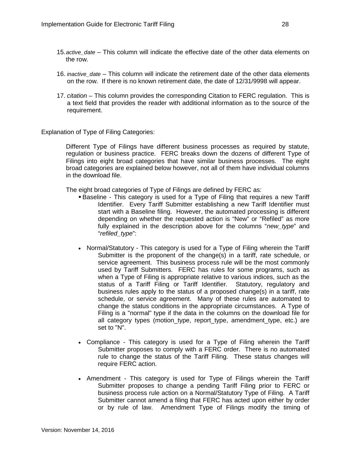- 15.*active\_date* This column will indicate the effective date of the other data elements on the row.
- 16. *inactive\_date*  This column will indicate the retirement date of the other data elements on the row. If there is no known retirement date, the date of 12/31/9998 will appear.
- 17. *citation* This column provides the corresponding Citation to FERC regulation. This is a text field that provides the reader with additional information as to the source of the requirement.

#### Explanation of Type of Filing Categories:

Different Type of Filings have different business processes as required by statute, regulation or business practice. FERC breaks down the dozens of different Type of Filings into eight broad categories that have similar business processes. The eight broad categories are explained below however, not all of them have individual columns in the download file.

The eight broad categories of Type of Filings are defined by FERC as:

- Baseline This category is used for a Type of Filing that requires a new Tariff Identifier. Every Tariff Submitter establishing a new Tariff Identifier must start with a Baseline filing. However, the automated processing is different depending on whether the requested action is "New" or "Refiled" as more fully explained in the description above for the columns "*new\_type*" and "*refiled\_type*":
- Normal/Statutory This category is used for a Type of Filing wherein the Tariff Submitter is the proponent of the change(s) in a tariff, rate schedule, or service agreement. This business process rule will be the most commonly used by Tariff Submitters. FERC has rules for some programs, such as when a Type of Filing is appropriate relative to various indices, such as the status of a Tariff Filing or Tariff Identifier. Statutory, regulatory and business rules apply to the status of a proposed change(s) in a tariff, rate schedule, or service agreement. Many of these rules are automated to change the status conditions in the appropriate circumstances. A Type of Filing is a "normal" type if the data in the columns on the download file for all category types (motion\_type, report\_type, amendment\_type, etc.) are set to "N".
- Compliance This category is used for a Type of Filing wherein the Tariff Submitter proposes to comply with a FERC order. There is no automated rule to change the status of the Tariff Filing. These status changes will require FERC action.
- Amendment This category is used for Type of Filings wherein the Tariff Submitter proposes to change a pending Tariff Filing prior to FERC or business process rule action on a Normal/Statutory Type of Filing. A Tariff Submitter cannot amend a filing that FERC has acted upon either by order or by rule of law. Amendment Type of Filings modify the timing of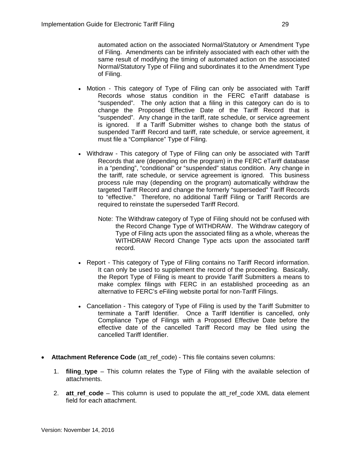automated action on the associated Normal/Statutory or Amendment Type of Filing. Amendments can be infinitely associated with each other with the same result of modifying the timing of automated action on the associated Normal/Statutory Type of Filing and subordinates it to the Amendment Type of Filing.

- Motion This category of Type of Filing can only be associated with Tariff Records whose status condition in the FERC eTariff database is "suspended". The only action that a filing in this category can do is to change the Proposed Effective Date of the Tariff Record that is "suspended". Any change in the tariff, rate schedule, or service agreement is ignored. If a Tariff Submitter wishes to change both the status of suspended Tariff Record and tariff, rate schedule, or service agreement, it must file a "Compliance" Type of Filing.
- Withdraw This category of Type of Filing can only be associated with Tariff Records that are (depending on the program) in the FERC eTariff database in a "pending", "conditional" or "suspended" status condition. Any change in the tariff, rate schedule, or service agreement is ignored. This business process rule may (depending on the program) automatically withdraw the targeted Tariff Record and change the formerly "superseded" Tariff Records to "effective." Therefore, no additional Tariff Filing or Tariff Records are required to reinstate the superseded Tariff Record.
	- Note: The Withdraw category of Type of Filing should not be confused with the Record Change Type of WITHDRAW. The Withdraw category of Type of Filing acts upon the associated filing as a whole, whereas the WITHDRAW Record Change Type acts upon the associated tariff record.
- Report This category of Type of Filing contains no Tariff Record information. It can only be used to supplement the record of the proceeding. Basically, the Report Type of Filing is meant to provide Tariff Submitters a means to make complex filings with FERC in an established proceeding as an alternative to FERC's eFiling website portal for non-Tariff Filings.
- Cancellation This category of Type of Filing is used by the Tariff Submitter to terminate a Tariff Identifier. Once a Tariff Identifier is cancelled, only Compliance Type of Filings with a Proposed Effective Date before the effective date of the cancelled Tariff Record may be filed using the cancelled Tariff Identifier.
- **Attachment Reference Code** (att\_ref\_code) This file contains seven columns:
	- 1. **filing\_type** This column relates the Type of Filing with the available selection of attachments.
	- 2. **att ref code** This column is used to populate the att ref code XML data element field for each attachment.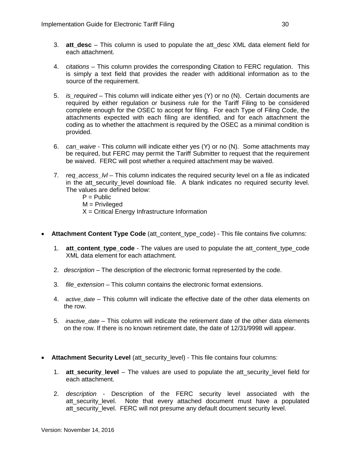- 3. **att\_desc** This column is used to populate the att\_desc XML data element field for each attachment.
- 4. *citations* This column provides the corresponding Citation to FERC regulation. This is simply a text field that provides the reader with additional information as to the source of the requirement.
- 5. *is\_required* This column will indicate either yes (Y) or no (N). Certain documents are required by either regulation or business rule for the Tariff Filing to be considered complete enough for the OSEC to accept for filing. For each Type of Filing Code, the attachments expected with each filing are identified, and for each attachment the coding as to whether the attachment is required by the OSEC as a minimal condition is provided.
- 6. *can\_waive* This column will indicate either yes (Y) or no (N). Some attachments may be required, but FERC may permit the Tariff Submitter to request that the requirement be waived. FERC will post whether a required attachment may be waived.
- 7. *req\_access\_lvl* This column indicates the required security level on a file as indicated in the att security level download file. A blank indicates no required security level. The values are defined below:
	- $P =$  Public
	- M = Privileged
	- $X =$  Critical Energy Infrastructure Information
- **Attachment Content Type Code** (att content type code) This file contains five columns:
	- 1. **att\_content\_type\_code** The values are used to populate the att\_content\_type\_code XML data element for each attachment.
	- 2. *description* The description of the electronic format represented by the code.
	- 3. *file\_extension* This column contains the electronic format extensions.
	- 4. *active date* This column will indicate the effective date of the other data elements on the row.
	- 5. *inactive\_date*  This column will indicate the retirement date of the other data elements on the row. If there is no known retirement date, the date of 12/31/9998 will appear.
- **Attachment Security Level** (att\_security\_level) This file contains four columns:
	- 1. **att\_security\_level** The values are used to populate the att\_security\_level field for each attachment.
	- 2. *description* Description of the FERC security level associated with the att\_security\_level. Note that every attached document must have a populated att security level. FERC will not presume any default document security level.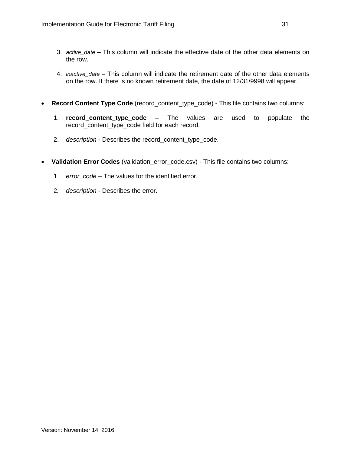- 3. *active\_date* This column will indicate the effective date of the other data elements on the row.
- 4. *inactive date* This column will indicate the retirement date of the other data elements on the row. If there is no known retirement date, the date of 12/31/9998 will appear.
- **Record Content Type Code** (record\_content\_type\_code) This file contains two columns:
	- 1. **record content type code** The values are used to populate the record\_content\_type\_code field for each record.
	- 2. *description* Describes the record\_content\_type\_code.
- Validation Error Codes (validation error code.csv) This file contains two columns:
	- 1. *error\_code* The values for the identified error.
	- 2*. description* Describes the error.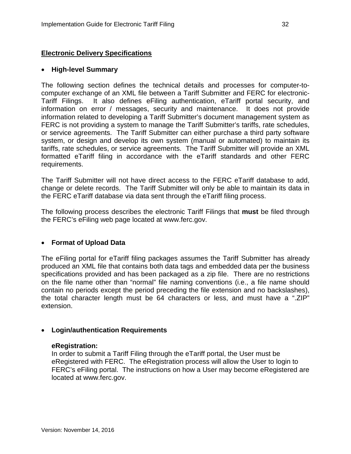# <span id="page-32-0"></span>**Electronic Delivery Specifications**

### • **High-level Summary**

The following section defines the technical details and processes for computer-tocomputer exchange of an XML file between a Tariff Submitter and FERC for electronic-Tariff Filings. It also defines eFiling authentication, eTariff portal security, and information on error / messages, security and maintenance. It does not provide information related to developing a Tariff Submitter's document management system as FERC is not providing a system to manage the Tariff Submitter's tariffs, rate schedules, or service agreements. The Tariff Submitter can either purchase a third party software system, or design and develop its own system (manual or automated) to maintain its tariffs, rate schedules, or service agreements. The Tariff Submitter will provide an XML formatted eTariff filing in accordance with the eTariff standards and other FERC requirements.

The Tariff Submitter will not have direct access to the FERC eTariff database to add, change or delete records. The Tariff Submitter will only be able to maintain its data in the FERC eTariff database via data sent through the eTariff filing process.

The following process describes the electronic Tariff Filings that **must** be filed through the FERC's eFiling web page located at www.ferc.gov.

## • **Format of Upload Data**

The eFiling portal for eTariff filing packages assumes the Tariff Submitter has already produced an XML file that contains both data tags and embedded data per the business specifications provided and has been packaged as a zip file. There are no restrictions on the file name other than "normal" file naming conventions (i.e., a file name should contain no periods except the period preceding the file extension and no backslashes), the total character length must be 64 characters or less, and must have a ".ZIP" extension.

## • **Login/authentication Requirements**

#### **eRegistration:**

In order to submit a Tariff Filing through the eTariff portal, the User must be eRegistered with FERC. The eRegistration process will allow the User to login to FERC's eFiling portal. The instructions on how a User may become eRegistered are located at www.ferc.gov.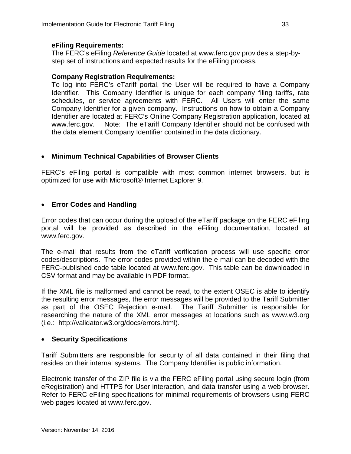# **eFiling Requirements:**

The FERC's eFiling *Reference Guide* located at www.ferc.gov provides a step-bystep set of instructions and expected results for the eFiling process.

# **Company Registration Requirements:**

To log into FERC's eTariff portal, the User will be required to have a Company Identifier. This Company Identifier is unique for each company filing tariffs, rate schedules, or service agreements with FERC. All Users will enter the same Company Identifier for a given company. Instructions on how to obtain a Company Identifier are located at FERC's Online Company Registration application, located at www.ferc.gov. Note: The eTariff Company Identifier should not be confused with the data element Company Identifier contained in the data dictionary.

# • **Minimum Technical Capabilities of Browser Clients**

FERC's eFiling portal is compatible with most common internet browsers, but is optimized for use with Microsoft® Internet Explorer 9.

# • **Error Codes and Handling**

Error codes that can occur during the upload of the eTariff package on the FERC eFiling portal will be provided as described in the eFiling documentation, located at www.ferc.gov.

The e-mail that results from the eTariff verification process will use specific error codes/descriptions. The error codes provided within the e-mail can be decoded with the FERC-published code table located at www.ferc.gov. This table can be downloaded in CSV format and may be available in PDF format.

If the XML file is malformed and cannot be read, to the extent OSEC is able to identify the resulting error messages, the error messages will be provided to the Tariff Submitter as part of the OSEC Rejection e-mail. The Tariff Submitter is responsible for researching the nature of the XML error messages at locations such as [www.w3.org](http://www.w3.org/) (i.e.: [http://validator.w3.org/docs/errors.html\)](http://validator.w3.org/docs/errors.html).

# • **Security Specifications**

Tariff Submitters are responsible for security of all data contained in their filing that resides on their internal systems. The Company Identifier is public information.

Electronic transfer of the ZIP file is via the FERC eFiling portal using secure login (from eRegistration) and HTTPS for User interaction, and data transfer using a web browser. Refer to FERC eFiling specifications for minimal requirements of browsers using FERC web pages located at www.ferc.gov.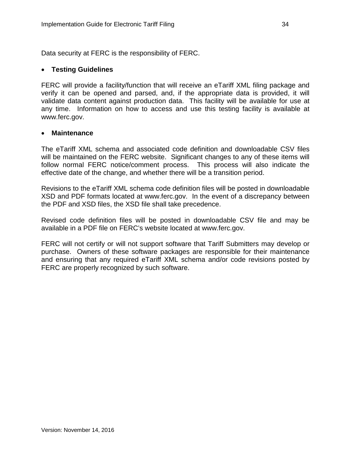Data security at FERC is the responsibility of FERC.

# • **Testing Guidelines**

FERC will provide a facility/function that will receive an eTariff XML filing package and verify it can be opened and parsed, and, if the appropriate data is provided, it will validate data content against production data. This facility will be available for use at any time. Information on how to access and use this testing facility is available at www.ferc.gov.

# • **Maintenance**

The eTariff XML schema and associated code definition and downloadable CSV files will be maintained on the FERC website. Significant changes to any of these items will follow normal FERC notice/comment process. This process will also indicate the effective date of the change, and whether there will be a transition period.

Revisions to the eTariff XML schema code definition files will be posted in downloadable XSD and PDF formats located at www.ferc.gov. In the event of a discrepancy between the PDF and XSD files, the XSD file shall take precedence.

Revised code definition files will be posted in downloadable CSV file and may be available in a PDF file on FERC's website located at www.ferc.gov.

FERC will not certify or will not support software that Tariff Submitters may develop or purchase. Owners of these software packages are responsible for their maintenance and ensuring that any required eTariff XML schema and/or code revisions posted by FERC are properly recognized by such software.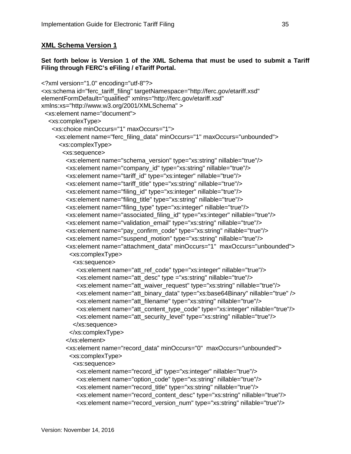# <span id="page-35-0"></span>**XML Schema Version 1**

## **Set forth below is Version 1 of the XML Schema that must be used to submit a Tariff Filing through FERC's eFiling / eTariff Portal.**

```
<?xml version="1.0" encoding="utf-8"?>
<xs:schema id="ferc_tariff_filing" targetNamespace="http://ferc.gov/etariff.xsd" 
elementFormDefault="qualified" xmlns="http://ferc.gov/etariff.xsd" 
xmlns:xs="http://www.w3.org/2001/XMLSchema" >
  <xs:element name="document">
   <xs:complexType>
    <xs:choice minOccurs="1" maxOccurs="1">
      <xs:element name="ferc_filing_data" minOccurs="1" maxOccurs="unbounded">
       <xs:complexType>
        <xs:sequence>
         <xs:element name="schema_version" type="xs:string" nillable="true"/>
         <xs:element name="company_id" type="xs:string" nillable="true"/>
         <xs:element name="tariff_id" type="xs:integer" nillable="true"/>
         <xs:element name="tariff_title" type="xs:string" nillable="true"/>
         <xs:element name="filing_id" type="xs:integer" nillable="true"/>
         <xs:element name="filing_title" type="xs:string" nillable="true"/>
         <xs:element name="filing_type" type="xs:integer" nillable="true"/>
         <xs:element name="associated_filing_id" type="xs:integer" nillable="true"/>
         <xs:element name="validation_email" type="xs:string" nillable="true"/>
         <xs:element name="pay_confirm_code" type="xs:string" nillable="true"/>
         <xs:element name="suspend_motion" type="xs:string" nillable="true"/>
         <xs:element name="attachment_data" minOccurs="1" maxOccurs="unbounded">
          <xs:complexType>
            <xs:sequence>
             <xs:element name="att_ref_code" type="xs:integer" nillable="true"/>
             <xs:element name="att_desc" type ="xs:string" nillable="true"/>
             <xs:element name="att_waiver_request" type="xs:string" nillable="true"/>
             <xs:element name="att_binary_data" type="xs:base64Binary" nillable="true" />
             <xs:element name="att_filename" type="xs:string" nillable="true"/>
             <xs:element name="att_content_type_code" type="xs:integer" nillable="true"/>
             <xs:element name="att_security_level" type="xs:string" nillable="true"/>
            </xs:sequence>
           </xs:complexType>
         </xs:element>
         <xs:element name="record_data" minOccurs="0" maxOccurs="unbounded">
           <xs:complexType>
            <xs:sequence>
             <xs:element name="record_id" type="xs:integer" nillable="true"/>
             <xs:element name="option_code" type="xs:string" nillable="true"/>
             <xs:element name="record_title" type="xs:string" nillable="true"/>
             <xs:element name="record_content_desc" type="xs:string" nillable="true"/>
             <xs:element name="record_version_num" type="xs:string" nillable="true"/>
```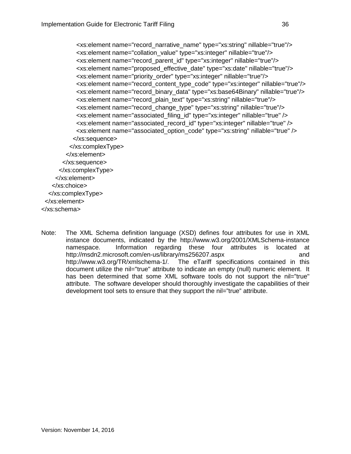<xs:element name="record\_narrative\_name" type="xs:string" nillable="true"/> <xs:element name="collation\_value" type="xs:integer" nillable="true"/> <xs:element name="record\_parent\_id" type="xs:integer" nillable="true"/> <xs:element name="proposed\_effective\_date" type="xs:date" nillable="true"/> <xs:element name="priority\_order" type="xs:integer" nillable="true"/> <xs:element name="record\_content\_type\_code" type="xs:integer" nillable="true"/> <xs:element name="record\_binary\_data" type="xs:base64Binary" nillable="true"/> <xs:element name="record\_plain\_text" type="xs:string" nillable="true"/> <xs:element name="record\_change\_type" type="xs:string" nillable="true"/> <xs:element name="associated\_filing\_id" type="xs:integer" nillable="true" /> <xs:element name="associated\_record\_id" type="xs:integer" nillable="true" /> <xs:element name="associated\_option\_code" type="xs:string" nillable="true" /> </xs:sequence> </xs:complexType> </xs:element> </xs:sequence> </xs:complexType> </xs:element> </xs:choice> </xs:complexType> </xs:element> </xs:schema>

Note: The XML Schema definition language (XSD) defines four attributes for use in XML instance documents, indicated by the http://www.w3.org/2001/XMLSchema-instance namespace. Information regarding these four attributes is located at http://msdn2.microsoft.com/en-us/library/ms256207.aspx and http://www.w3.org/TR/xmlschema-1/. The eTariff specifications contained in this document utilize the nil="true" attribute to indicate an empty (null) numeric element. It has been determined that some XML software tools do not support the nil="true" attribute. The software developer should thoroughly investigate the capabilities of their development tool sets to ensure that they support the nil="true" attribute.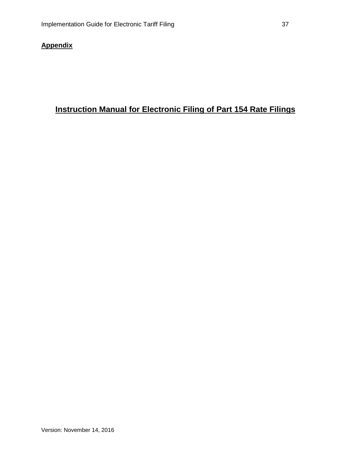## **Appendix**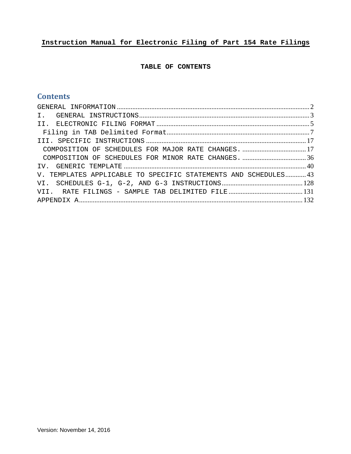# **Instruction Manual for Electronic Filing of Part 154 Rate Filings**

## **TABLE OF CONTENTS**

## **Contents**

| V. TEMPLATES APPLICABLE TO SPECIFIC STATEMENTS AND SCHEDULES43 |  |
|----------------------------------------------------------------|--|
|                                                                |  |
|                                                                |  |
|                                                                |  |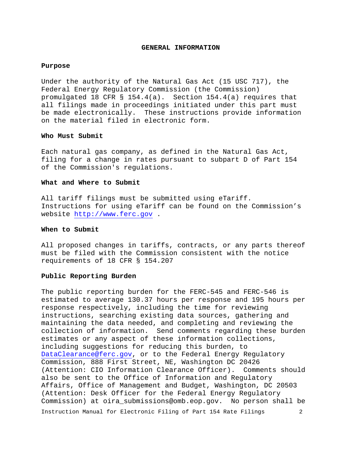#### **GENERAL INFORMATION**

#### <span id="page-39-0"></span>**Purpose**

Under the authority of the Natural Gas Act (15 USC 717), the Federal Energy Regulatory Commission (the Commission) promulgated 18 CFR § 154.4(a). Section 154.4(a) requires that all filings made in proceedings initiated under this part must be made electronically. These instructions provide information on the material filed in electronic form.

## **Who Must Submit**

Each natural gas company, as defined in the Natural Gas Act, filing for a change in rates pursuant to subpart D of Part 154 of the Commission's regulations.

### **What and Where to Submit**

All tariff filings must be submitted using eTariff. Instructions for using eTariff can be found on the Commission's website [http://www.ferc.gov](http://www.ferc.gov/) .

#### **When to Submit**

All proposed changes in tariffs, contracts, or any parts thereof must be filed with the Commission consistent with the notice requirements of 18 CFR § 154.207

#### **Public Reporting Burden**

The public reporting burden for the FERC-545 and FERC-546 is estimated to average 130.37 hours per response and 195 hours per response respectively, including the time for reviewing instructions, searching existing data sources, gathering and maintaining the data needed, and completing and reviewing the collection of information. Send comments regarding these burden estimates or any aspect of these information collections, including suggestions for reducing this burden, to [DataClearance@ferc.gov,](mailto:DataClearance@ferc.gov) or to the Federal Energy Regulatory Commission, 888 First Street, NE, Washington DC 20426 (Attention: CIO Information Clearance Officer). Comments should also be sent to the Office of Information and Regulatory Affairs, Office of Management and Budget, Washington, DC 20503 (Attention: Desk Officer for the Federal Energy Regulatory Commission) at oira\_submissions@omb.eop.gov. No person shall be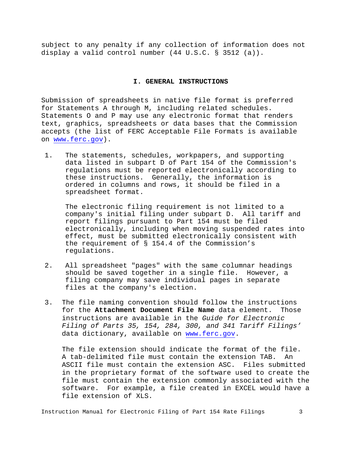<span id="page-40-0"></span>subject to any penalty if any collection of information does not display a valid control number (44 U.S.C. § 3512 (a)).

## **I. GENERAL INSTRUCTIONS**

Submission of spreadsheets in native file format is preferred for Statements A through M, including related schedules. Statements O and P may use any electronic format that renders text, graphics, spreadsheets or data bases that the Commission accepts (the list of FERC Acceptable File Formats is available on [www.ferc.gov\)](http://www.ferc.gov/).

1. The statements, schedules, workpapers, and supporting data listed in subpart D of Part 154 of the Commission's regulations must be reported electronically according to these instructions. Generally, the information is ordered in columns and rows, it should be filed in a spreadsheet format.

The electronic filing requirement is not limited to a company's initial filing under subpart D. All tariff and report filings pursuant to Part 154 must be filed electronically, including when moving suspended rates into effect, must be submitted electronically consistent with the requirement of § 154.4 of the Commission's regulations.

- 2. All spreadsheet "pages" with the same columnar headings should be saved together in a single file. However, a filing company may save individual pages in separate files at the company's election.
- 3. The file naming convention should follow the instructions<br>for the **Attachment Document File Name** data element. Those for the **Attachment Document File Name** data element. instructions are available in the *Guide for Electronic Filing of Parts 35, 154, 284, 300, and 341 Tariff Filings'*  data dictionary, available on [www.ferc.gov.](http://www.ferc.gov/)

The file extension should indicate the format of the file. A tab-delimited file must contain the extension TAB. An ASCII file must contain the extension ASC. Files submitted in the proprietary format of the software used to create the file must contain the extension commonly associated with the software. For example, a file created in EXCEL would have a file extension of XLS.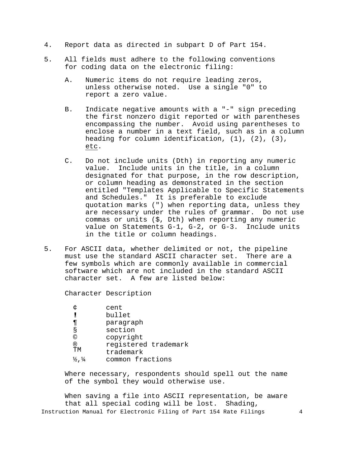- 4. Report data as directed in subpart D of Part 154.
- 5. All fields must adhere to the following conventions for coding data on the electronic filing:
	- A. Numeric items do not require leading zeros, unless otherwise noted. Use a single "0" to report a zero value.
	- B. Indicate negative amounts with a "-" sign preceding the first nonzero digit reported or with parentheses encompassing the number. Avoid using parentheses to enclose a number in a text field, such as in a column heading for column identification, (1), (2), (3), etc.
	- C. Do not include units (Dth) in reporting any numeric value. Include units in the title, in a column designated for that purpose, in the row description, or column heading as demonstrated in the section entitled "Templates Applicable to Specific Statements and Schedules." It is preferable to exclude quotation marks (") when reporting data, unless they are necessary under the rules of grammar. Do not use commas or units (\$, Dth) when reporting any numeric value on Statements G-1, G-2, or G-3. Include units in the title or column headings.
- 5. For ASCII data, whether delimited or not, the pipeline must use the standard ASCII character set. There are a few symbols which are commonly available in commercial software which are not included in the standard ASCII character set. A few are listed below:

Character Description

|                               | cent                 |
|-------------------------------|----------------------|
|                               | bullet               |
| 71                            | paragraph            |
| Š                             | section              |
| ©                             | copyright            |
| ®                             | registered trademark |
| ΤM                            | trademark            |
| $\frac{1}{2}$ , $\frac{1}{4}$ | common fractions     |
|                               |                      |

Where necessary, respondents should spell out the name of the symbol they would otherwise use.

Instruction Manual for Electronic Filing of Part 154 Rate Filings 4 When saving a file into ASCII representation, be aware that all special coding will be lost. Shading,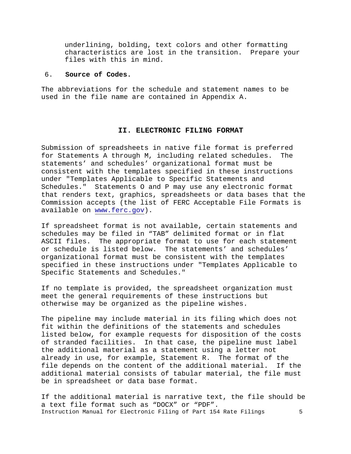underlining, bolding, text colors and other formatting characteristics are lost in the transition. Prepare your files with this in mind.

## 6. **Source of Codes.**

The abbreviations for the schedule and statement names to be used in the file name are contained in Appendix A.

## **II. ELECTRONIC FILING FORMAT**

<span id="page-42-0"></span>Submission of spreadsheets in native file format is preferred for Statements A through M, including related schedules. The statements' and schedules' organizational format must be consistent with the templates specified in these instructions under "Templates Applicable to Specific Statements and Schedules." Statements O and P may use any electronic format that renders text, graphics, spreadsheets or data bases that the Commission accepts (the list of FERC Acceptable File Formats is available on [www.ferc.gov\)](http://www.ferc.gov/).

If spreadsheet format is not available, certain statements and schedules may be filed in "TAB" delimited format or in flat ASCII files. The appropriate format to use for each statement or schedule is listed below. The statements' and schedules' organizational format must be consistent with the templates specified in these instructions under "Templates Applicable to Specific Statements and Schedules."

If no template is provided, the spreadsheet organization must meet the general requirements of these instructions but otherwise may be organized as the pipeline wishes.

The pipeline may include material in its filing which does not fit within the definitions of the statements and schedules listed below, for example requests for disposition of the costs of stranded facilities. In that case, the pipeline must label the additional material as a statement using a letter not already in use, for example, Statement R. The format of the file depends on the content of the additional material. If the additional material consists of tabular material, the file must be in spreadsheet or data base format.

Instruction Manual for Electronic Filing of Part 154 Rate Filings 5 If the additional material is narrative text, the file should be a text file format such as "DOCX" or "PDF".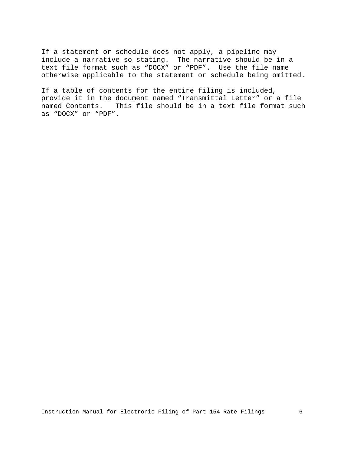If a statement or schedule does not apply, a pipeline may include a narrative so stating. The narrative should be in a text file format such as "DOCX" or "PDF". Use the file name otherwise applicable to the statement or schedule being omitted.

If a table of contents for the entire filing is included, provide it in the document named "Transmittal Letter" or a file named Contents. This file should be in a text file format such as "DOCX" or "PDF".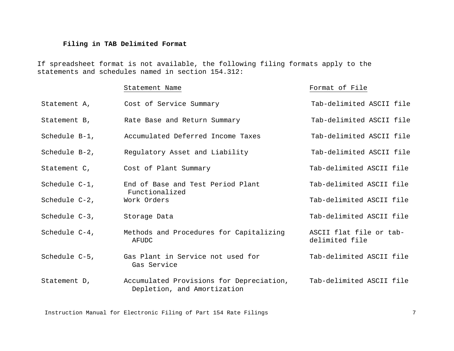## **Filing in TAB Delimited Format**

If spreadsheet format is not available, the following filing formats apply to the statements and schedules named in section 154.312:

## Statement Name **Format of File**

<span id="page-44-0"></span>Statement A, Cost of Service Summary Tab-delimited ASCII file Statement B, The Rate Base and Return Summary Tab-delimited ASCII file Schedule B-1, Accumulated Deferred Income Taxes Tab-delimited ASCII file Schedule B-2, The Regulatory Asset and Liability Tab-delimited ASCII file Statement C,  $\qquad \qquad \qquad$  Cost of Plant Summary  $\qquad \qquad$  Tab-delimited ASCII file Schedule C-1, The End of Base and Test Period Plant Tab-delimited ASCII file Functionalized Schedule C-2, Work Orders Tab-delimited ASCII file Schedule C-3, Storage Data Schedule C-3, Storage Data Schedule C-3, Schedule ASCII file Schedule C-4, Methods and Procedures for Capitalizing ASCII flat file or tab-AFUDC delimited file Schedule C-5, Gas Plant in Service not used for Tab-delimited ASCII file Gas Service Statement D, Accumulated Provisions for Depreciation, Tab-delimited ASCII file Depletion, and Amortization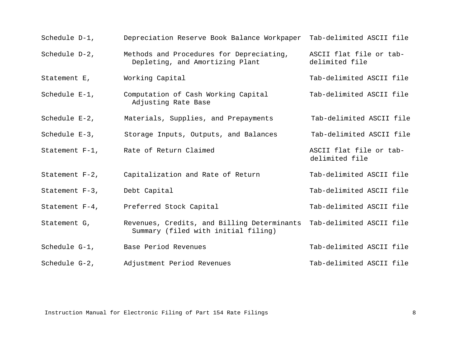| Schedule D-1,     | Depreciation Reserve Book Balance Workpaper                                        | Tab-delimited ASCII file                  |
|-------------------|------------------------------------------------------------------------------------|-------------------------------------------|
| Schedule D-2,     | Methods and Procedures for Depreciating,<br>Depleting, and Amortizing Plant        | ASCII flat file or tab-<br>delimited file |
| Statement E,      | Working Capital                                                                    | Tab-delimited ASCII file                  |
| Schedule E-1,     | Computation of Cash Working Capital<br>Adjusting Rate Base                         | Tab-delimited ASCII file                  |
| Schedule $E-2$ ,  | Materials, Supplies, and Prepayments                                               | Tab-delimited ASCII file                  |
| Schedule $E-3$ ,  | Storage Inputs, Outputs, and Balances                                              | Tab-delimited ASCII file                  |
|                   | Statement F-1, Rate of Return Claimed                                              | ASCII flat file or tab-<br>delimited file |
| Statement $F-2$ , | Capitalization and Rate of Return                                                  | Tab-delimited ASCII file                  |
| Statement $F-3$ , | Debt Capital                                                                       | Tab-delimited ASCII file                  |
| Statement $F-4$ , | Preferred Stock Capital                                                            | Tab-delimited ASCII file                  |
| Statement G,      | Revenues, Credits, and Billing Determinants<br>Summary (filed with initial filing) | Tab-delimited ASCII file                  |
| Schedule G-1,     | Base Period Revenues                                                               | Tab-delimited ASCII file                  |
| Schedule G-2,     | Adjustment Period Revenues                                                         | Tab-delimited ASCII file                  |

Instruction Manual for Electronic Filing of Part 154 Rate Filings 68 (1997) 38 (1998) 8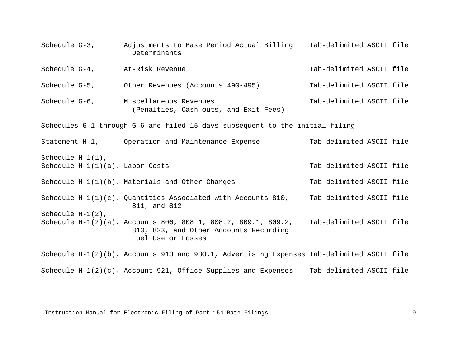Schedule G-3, Adjustments to Base Period Actual Billing Tab-delimited ASCII file Determinants Schedule G-4, At-Risk Revenue Tab-delimited ASCII file Schedule G-5, Other Revenues (Accounts 490-495) Tab-delimited ASCII file Schedule G-6, Miscellaneous Revenues (Penalties, Cash-outs, and Exit Fees) Tab-delimited ASCII file Schedules G-1 through G-6 are filed 15 days subsequent to the initial filing Statement H-1, Operation and Maintenance Expense Tab-delimited ASCII file Schedule H-1(1), Schedule H-1(1)(a), Labor Costs Tab-delimited ASCII file Schedule H-1(1)(b), Materials and Other Charges Tab-delimited ASCII file Schedule  $H-I(1)(c)$ , Quantities Associated with Accounts 810, Tab-delimited ASCII file 811, and 812 Schedule H-1(2), Schedule H-1(2)(a), Accounts 806, 808.1, 808.2, 809.1, 809.2, Tab-delimited ASCII file 813, 823, and Other Accounts Recording Fuel Use or Losses Schedule H-1(2)(b), Accounts 913 and 930.1, Advertising Expenses Tab-delimited ASCII file Schedule H-1(2)(c), Account 921, Office Supplies and Expenses Tab-delimited ASCII file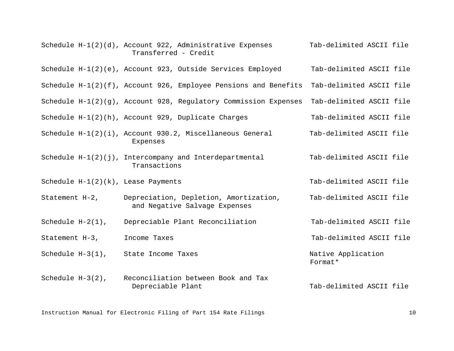|                                       | Schedule $H-1(2)(d)$ , Account 922, Administrative Expenses<br>Transferred - Credit | Tab-delimited ASCII file      |
|---------------------------------------|-------------------------------------------------------------------------------------|-------------------------------|
|                                       | Schedule H-1(2)(e), Account 923, Outside Services Employed                          | Tab-delimited ASCII file      |
|                                       | Schedule $H-1(2)(f)$ , Account 926, Employee Pensions and Benefits                  | Tab-delimited ASCII file      |
|                                       | Schedule $H-1(2)(g)$ , Account 928, Regulatory Commission Expenses                  | Tab-delimited ASCII file      |
|                                       | Schedule H-1(2)(h), Account 929, Duplicate Charges                                  | Tab-delimited ASCII file      |
|                                       | Schedule H-1(2)(i), Account 930.2, Miscellaneous General<br>Expenses                | Tab-delimited ASCII file      |
|                                       | Schedule $H-1(2)(j)$ , Intercompany and Interdepartmental<br>Transactions           | Tab-delimited ASCII file      |
| Schedule $H-1(2)(k)$ , Lease Payments |                                                                                     | Tab-delimited ASCII file      |
| Statement $H-2$ ,                     | Depreciation, Depletion, Amortization,<br>and Negative Salvage Expenses             | Tab-delimited ASCII file      |
| Schedule $H-2(1)$ ,                   | Depreciable Plant Reconciliation                                                    | Tab-delimited ASCII file      |
| Statement $H-3$ ,                     | Income Taxes                                                                        | Tab-delimited ASCII file      |
| Schedule H-3(1), State Income Taxes   |                                                                                     | Native Application<br>Format* |
| Schedule $H-3(2)$ ,                   | Reconciliation between Book and Tax<br>Depreciable Plant                            | Tab-delimited ASCII file      |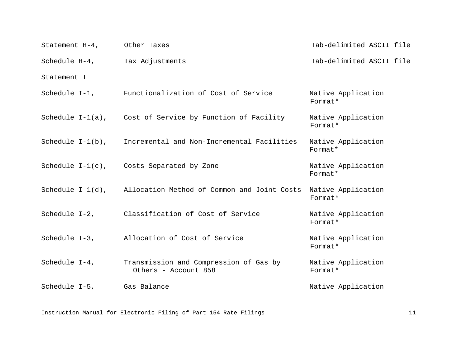| Statement H-4, Other Taxes    |                                                                | Tab-delimited ASCII file      |
|-------------------------------|----------------------------------------------------------------|-------------------------------|
| Schedule H-4, Tax Adjustments |                                                                | Tab-delimited ASCII file      |
| Statement I                   |                                                                |                               |
|                               | Schedule I-1, Functionalization of Cost of Service             | Native Application<br>Format* |
|                               | Schedule I-1(a), Cost of Service by Function of Facility       | Native Application<br>Format* |
|                               | Schedule I-1(b), Incremental and Non-Incremental Facilities    | Native Application<br>Format* |
|                               | Schedule $I-1(c)$ , Costs Separated by Zone                    | Native Application<br>Format* |
|                               | Schedule I-1(d), Allocation Method of Common and Joint Costs   | Native Application<br>Format* |
|                               | Schedule I-2, Classification of Cost of Service                | Native Application<br>Format* |
|                               | Schedule I-3, Allocation of Cost of Service                    | Native Application<br>Format* |
| Schedule $I-4$ ,              | Transmission and Compression of Gas by<br>Others - Account 858 | Native Application<br>Format* |
| Schedule I-5,                 | Gas Balance                                                    | Native Application            |

Instruction Manual for Electronic Filing of Part 154 Rate Filings 11 11 11 11 11 11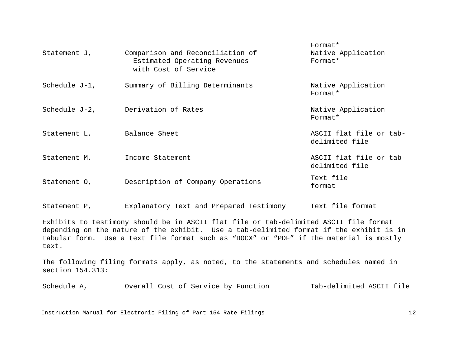| Statement J,     | Comparison and Reconciliation of<br>Estimated Operating Revenues<br>with Cost of Service | Format*<br>Native Application<br>Format*  |
|------------------|------------------------------------------------------------------------------------------|-------------------------------------------|
| Schedule $J-1$ , | Summary of Billing Determinants                                                          | Native Application<br>Format*             |
| Schedule J-2,    | Derivation of Rates                                                                      | Native Application<br>Format*             |
| Statement L,     | Balance Sheet                                                                            | ASCII flat file or tab-<br>delimited file |
| Statement M,     | Income Statement                                                                         | ASCII flat file or tab-<br>delimited file |
| Statement O,     | Description of Company Operations                                                        | Text file<br>format                       |

Statement P, Explanatory Text and Prepared Testimony Text file format

Exhibits to testimony should be in ASCII flat file or tab-delimited ASCII file format depending on the nature of the exhibit. Use a tab-delimited format if the exhibit is in tabular form. Use a text file format such as "DOCX" or "PDF" if the material is mostly text.

The following filing formats apply, as noted, to the statements and schedules named in section 154.313:

Schedule A, 60 Overall Cost of Service by Function Tab-delimited ASCII file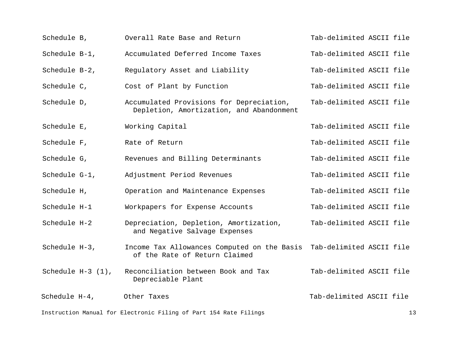| Schedule B,                                                             | Overall Rate Base and Return                                                         | Tab-delimited ASCII file |  |  |
|-------------------------------------------------------------------------|--------------------------------------------------------------------------------------|--------------------------|--|--|
| Schedule B-1,                                                           | Accumulated Deferred Income Taxes                                                    | Tab-delimited ASCII file |  |  |
| Schedule B-2,                                                           | Regulatory Asset and Liability                                                       | Tab-delimited ASCII file |  |  |
| Schedule C,                                                             | Cost of Plant by Function                                                            | Tab-delimited ASCII file |  |  |
| Schedule D,                                                             | Accumulated Provisions for Depreciation,<br>Depletion, Amortization, and Abandonment | Tab-delimited ASCII file |  |  |
| Schedule E,                                                             | Working Capital                                                                      | Tab-delimited ASCII file |  |  |
| Schedule F,                                                             | Rate of Return                                                                       | Tab-delimited ASCII file |  |  |
| Schedule G,                                                             | Revenues and Billing Determinants                                                    | Tab-delimited ASCII file |  |  |
| Schedule G-1,                                                           | Adjustment Period Revenues                                                           | Tab-delimited ASCII file |  |  |
| Schedule H,                                                             | Operation and Maintenance Expenses                                                   | Tab-delimited ASCII file |  |  |
| Schedule H-1                                                            | Workpapers for Expense Accounts                                                      | Tab-delimited ASCII file |  |  |
| Schedule H-2                                                            | Depreciation, Depletion, Amortization,<br>and Negative Salvage Expenses              | Tab-delimited ASCII file |  |  |
| Schedule H-3,                                                           | Income Tax Allowances Computed on the Basis<br>of the Rate of Return Claimed         | Tab-delimited ASCII file |  |  |
| Schedule $H-3(1)$ ,                                                     | Reconciliation between Book and Tax<br>Depreciable Plant                             | Tab-delimited ASCII file |  |  |
| Schedule H-4,                                                           | Other Taxes                                                                          | Tab-delimited ASCII file |  |  |
| Instruction Manual for Electronic Filing of Part 154 Rate Filings<br>13 |                                                                                      |                          |  |  |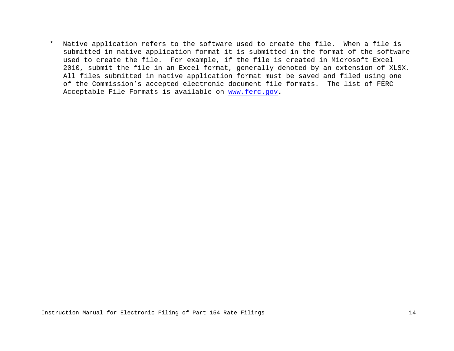\* Native application refers to the software used to create the file. When a file is submitted in native application format it is submitted in the format of the software used to create the file. For example, if the file is created in Microsoft Excel 2010, submit the file in an Excel format, generally denoted by an extension of XLSX. All files submitted in native application format must be saved and filed using one of the Commission's accepted electronic document file formats. The list of FERC Acceptable File Formats is available on [www.ferc.gov](http://www.ferc.gov/)**.**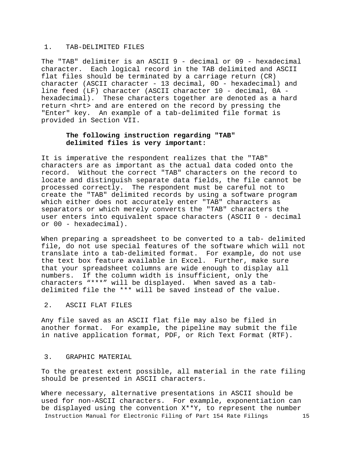## 1. TAB-DELIMITED FILES

The "TAB" delimiter is an ASCII 9 - decimal or 09 - hexadecimal character. Each logical record in the TAB delimited and ASCII flat files should be terminated by a carriage return (CR) character (ASCII character - 13 decimal, 0D - hexadecimal) and line feed (LF) character (ASCII character 10 - decimal, 0A hexadecimal). These characters together are denoted as a hard return <hrt> and are entered on the record by pressing the "Enter" key. An example of a tab-delimited file format is provided in Section VII.

## **The following instruction regarding "TAB" delimited files is very important:**

It is imperative the respondent realizes that the "TAB" characters are as important as the actual data coded onto the record. Without the correct "TAB" characters on the record to locate and distinguish separate data fields, the file cannot be processed correctly. The respondent must be careful not to create the "TAB" delimited records by using a software program which either does not accurately enter "TAB" characters as separators or which merely converts the "TAB" characters the user enters into equivalent space characters (ASCII 0 - decimal or 00 - hexadecimal).

When preparing a spreadsheet to be converted to a tab- delimited file, do not use special features of the software which will not translate into a tab-delimited format. For example, do not use the text box feature available in Excel. Further, make sure that your spreadsheet columns are wide enough to display all numbers. If the column width is insufficient, only the characters "\*\*\*" will be displayed. When saved as a tabdelimited file the \*\*\* will be saved instead of the value.

#### 2. ASCII FLAT FILES

Any file saved as an ASCII flat file may also be filed in another format. For example, the pipeline may submit the file in native application format, PDF, or Rich Text Format (RTF).

## 3. GRAPHIC MATERIAL

To the greatest extent possible, all material in the rate filing should be presented in ASCII characters.

Instruction Manual for Electronic Filing of Part 154 Rate Filings 15 Where necessary, alternative presentations in ASCII should be used for non-ASCII characters. For example, exponentiation can be displayed using the convention X\*\*Y, to represent the number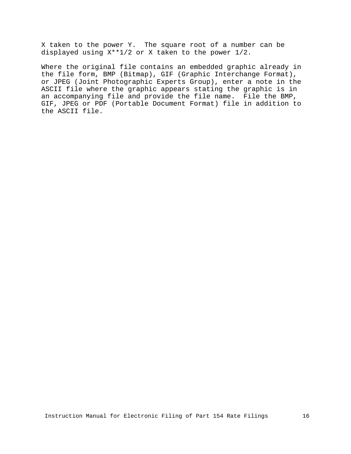X taken to the power Y. The square root of a number can be displayed using X\*\*1/2 or X taken to the power 1/2.

Where the original file contains an embedded graphic already in the file form, BMP (Bitmap), GIF (Graphic Interchange Format), or JPEG (Joint Photographic Experts Group), enter a note in the ASCII file where the graphic appears stating the graphic is in an accompanying file and provide the file name. File the BMP, GIF, JPEG or PDF (Portable Document Format) file in addition to the ASCII file.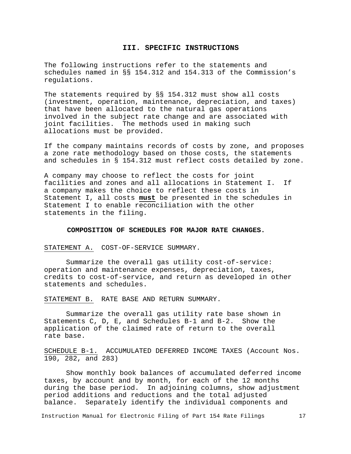## **III. SPECIFIC INSTRUCTIONS**

<span id="page-54-0"></span>The following instructions refer to the statements and schedules named in §§ 154.312 and 154.313 of the Commission's regulations.

The statements required by §§ 154.312 must show all costs (investment, operation, maintenance, depreciation, and taxes) that have been allocated to the natural gas operations involved in the subject rate change and are associated with joint facilities. The methods used in making such allocations must be provided.

If the company maintains records of costs by zone, and proposes a zone rate methodology based on those costs, the statements and schedules in § 154.312 must reflect costs detailed by zone.

A company may choose to reflect the costs for joint facilities and zones and all allocations in Statement I. If a company makes the choice to reflect these costs in Statement I, all costs **must** be presented in the schedules in Statement I to enable reconciliation with the other statements in the filing.

## **COMPOSITION OF SCHEDULES FOR MAJOR RATE CHANGES.**

<span id="page-54-1"></span>STATEMENT A. COST-OF-SERVICE SUMMARY.

Summarize the overall gas utility cost-of-service: operation and maintenance expenses, depreciation, taxes, credits to cost-of-service, and return as developed in other statements and schedules.

STATEMENT B. RATE BASE AND RETURN SUMMARY.

Summarize the overall gas utility rate base shown in Statements C, D, E, and Schedules B-1 and B-2. Show the application of the claimed rate of return to the overall rate base.

SCHEDULE B-1. ACCUMULATED DEFERRED INCOME TAXES (Account Nos. 190, 282, and 283)

Show monthly book balances of accumulated deferred income taxes, by account and by month, for each of the 12 months during the base period. In adjoining columns, show adjustment period additions and reductions and the total adjusted balance. Separately identify the individual components and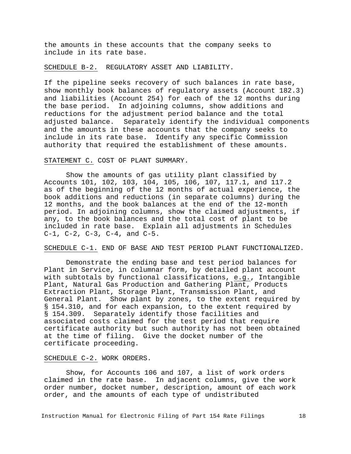the amounts in these accounts that the company seeks to include in its rate base.

SCHEDULE B-2. REGULATORY ASSET AND LIABILITY.

If the pipeline seeks recovery of such balances in rate base, show monthly book balances of regulatory assets (Account 182.3) and liabilities (Account 254) for each of the 12 months during<br>the base period. In adjoining columns, show additions and In adjoining columns, show additions and reductions for the adjustment period balance and the total adjusted balance. Separately identify the individual components and the amounts in these accounts that the company seeks to include in its rate base. Identify any specific Commission authority that required the establishment of these amounts.

## STATEMENT C. COST OF PLANT SUMMARY.

Show the amounts of gas utility plant classified by Accounts 101, 102, 103, 104, 105, 106, 107, 117.1, and 117.2 as of the beginning of the 12 months of actual experience, the book additions and reductions (in separate columns) during the 12 months, and the book balances at the end of the 12-month period. In adjoining columns, show the claimed adjustments, if any, to the book balances and the total cost of plant to be included in rate base. Explain all adjustments in Schedules C-1, C-2, C-3, C-4, and C-5.

SCHEDULE C-1. END OF BASE AND TEST PERIOD PLANT FUNCTIONALIZED.

Demonstrate the ending base and test period balances for Plant in Service, in columnar form, by detailed plant account with subtotals by functional classifications, e.g., Intangible Plant, Natural Gas Production and Gathering Plant, Products Extraction Plant, Storage Plant, Transmission Plant, and General Plant. Show plant by zones, to the extent required by § 154.310, and for each expansion, to the extent required by § 154.309. Separately identify those facilities and associated costs claimed for the test period that require certificate authority but such authority has not been obtained at the time of filing. Give the docket number of the certificate proceeding.

#### SCHEDULE C-2. WORK ORDERS.

Show, for Accounts 106 and 107, a list of work orders claimed in the rate base. In adjacent columns, give the work order number, docket number, description, amount of each work order, and the amounts of each type of undistributed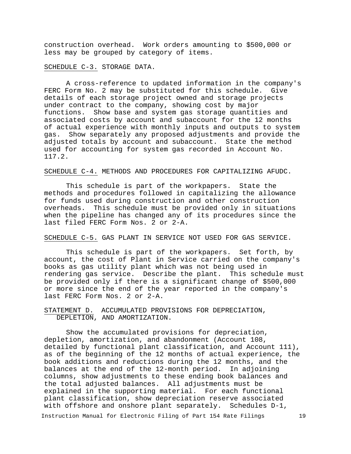construction overhead. Work orders amounting to \$500,000 or less may be grouped by category of items.

SCHEDULE C-3. STORAGE DATA.

A cross-reference to updated information in the company's<br>Form No. 2 may be substituted for this schedule. Give FERC Form No. 2 may be substituted for this schedule. details of each storage project owned and storage projects under contract to the company, showing cost by major functions. Show base and system gas storage quantities and associated costs by account and subaccount for the 12 months of actual experience with monthly inputs and outputs to system gas. Show separately any proposed adjustments and provide the adjusted totals by account and subaccount. State the method used for accounting for system gas recorded in Account No. 117.2.

## SCHEDULE C-4. METHODS AND PROCEDURES FOR CAPITALIZING AFUDC.

This schedule is part of the workpapers. State the methods and procedures followed in capitalizing the allowance for funds used during construction and other construction overheads. This schedule must be provided only in situations when the pipeline has changed any of its procedures since the last filed FERC Form Nos. 2 or 2-A.

SCHEDULE C-5. GAS PLANT IN SERVICE NOT USED FOR GAS SERVICE.

This schedule is part of the workpapers. Set forth, by account, the cost of Plant in Service carried on the company's books as gas utility plant which was not being used in rendering gas service. Describe the plant. This schedule must be provided only if there is a significant change of \$500,000 or more since the end of the year reported in the company's last FERC Form Nos. 2 or 2-A.

## STATEMENT D. ACCUMULATED PROVISIONS FOR DEPRECIATION, DEPLETION, AND AMORTIZATION.

Show the accumulated provisions for depreciation, depletion, amortization, and abandonment (Account 108, detailed by functional plant classification, and Account 111), as of the beginning of the 12 months of actual experience, the book additions and reductions during the 12 months, and the balances at the end of the 12-month period. In adjoining balances at the end of the 12-month period. columns, show adjustments to these ending book balances and the total adjusted balances. All adjustments must be explained in the supporting material. For each functional plant classification, show depreciation reserve associated with offshore and onshore plant separately. Schedules D-1,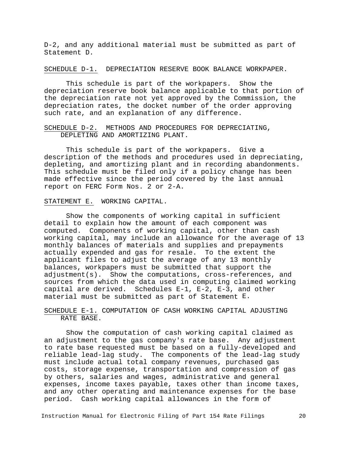D-2, and any additional material must be submitted as part of Statement D.

SCHEDULE D-1. DEPRECIATION RESERVE BOOK BALANCE WORKPAPER.

This schedule is part of the workpapers. Show the depreciation reserve book balance applicable to that portion of the depreciation rate not yet approved by the Commission, the depreciation rates, the docket number of the order approving such rate, and an explanation of any difference.

SCHEDULE D-2. METHODS AND PROCEDURES FOR DEPRECIATING, DEPLETING AND AMORTIZING PLANT.

This schedule is part of the workpapers. Give a description of the methods and procedures used in depreciating, depleting, and amortizing plant and in recording abandonments. This schedule must be filed only if a policy change has been made effective since the period covered by the last annual report on FERC Form Nos. 2 or 2-A.

STATEMENT E. WORKING CAPITAL.

Show the components of working capital in sufficient detail to explain how the amount of each component was computed. Components of working capital, other than cash working capital, may include an allowance for the average of 13 monthly balances of materials and supplies and prepayments actually expended and gas for resale. To the extent the applicant files to adjust the average of any 13 monthly balances, workpapers must be submitted that support the adjustment(s). Show the computations, cross-references, and sources from which the data used in computing claimed working capital are derived. Schedules E-1, E-2, E-3, and other material must be submitted as part of Statement E.

SCHEDULE E-1. COMPUTATION OF CASH WORKING CAPITAL ADJUSTING RATE BASE.

Show the computation of cash working capital claimed as an adjustment to the gas company's rate base. Any adjustment to rate base requested must be based on a fully-developed and reliable lead-lag study. The components of the lead-lag study must include actual total company revenues, purchased gas costs, storage expense, transportation and compression of gas by others, salaries and wages, administrative and general expenses, income taxes payable, taxes other than income taxes, and any other operating and maintenance expenses for the base period. Cash working capital allowances in the form of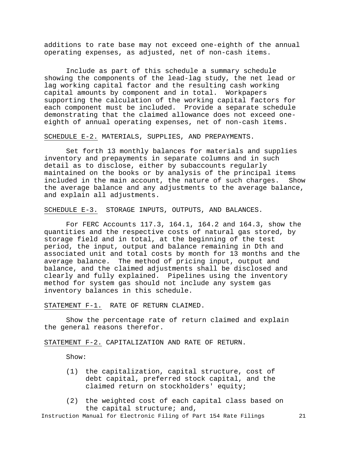additions to rate base may not exceed one-eighth of the annual operating expenses, as adjusted, net of non-cash items.

Include as part of this schedule a summary schedule showing the components of the lead-lag study, the net lead or lag working capital factor and the resulting cash working capital amounts by component and in total. Workpapers supporting the calculation of the working capital factors for each component must be included. Provide a separate schedule demonstrating that the claimed allowance does not exceed oneeighth of annual operating expenses, net of non-cash items.

SCHEDULE E-2. MATERIALS, SUPPLIES, AND PREPAYMENTS.

Set forth 13 monthly balances for materials and supplies inventory and prepayments in separate columns and in such detail as to disclose, either by subaccounts regularly maintained on the books or by analysis of the principal items included in the main account, the nature of such charges. Show the average balance and any adjustments to the average balance, and explain all adjustments.

SCHEDULE E-3. STORAGE INPUTS, OUTPUTS, AND BALANCES.

For FERC Accounts 117.3, 164.1, 164.2 and 164.3, show the quantities and the respective costs of natural gas stored, by storage field and in total, at the beginning of the test period, the input, output and balance remaining in Dth and associated unit and total costs by month for 13 months and the average balance. The method of pricing input, output and balance, and the claimed adjustments shall be disclosed and clearly and fully explained. Pipelines using the inventory method for system gas should not include any system gas inventory balances in this schedule.

STATEMENT F-1. RATE OF RETURN CLAIMED.

Show the percentage rate of return claimed and explain the general reasons therefor.

STATEMENT F-2. CAPITALIZATION AND RATE OF RETURN.

Show:

- (1) the capitalization, capital structure, cost of debt capital, preferred stock capital, and the claimed return on stockholders' equity;
- (2) the weighted cost of each capital class based on the capital structure; and,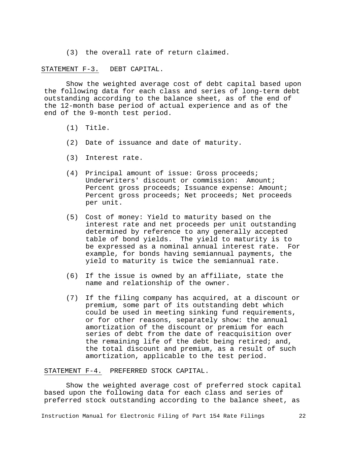(3) the overall rate of return claimed.

STATEMENT F-3. DEBT CAPITAL.

Show the weighted average cost of debt capital based upon the following data for each class and series of long-term debt outstanding according to the balance sheet, as of the end of the 12-month base period of actual experience and as of the end of the 9-month test period.

- (1) Title.
- (2) Date of issuance and date of maturity.
- (3) Interest rate.
- (4) Principal amount of issue: Gross proceeds; Underwriters' discount or commission: Amount; Percent gross proceeds; Issuance expense: Amount; Percent gross proceeds; Net proceeds; Net proceeds per unit.
- (5) Cost of money: Yield to maturity based on the interest rate and net proceeds per unit outstanding determined by reference to any generally accepted table of bond yields. The yield to maturity is to be expressed as a nominal annual interest rate. For example, for bonds having semiannual payments, the yield to maturity is twice the semiannual rate.
- (6) If the issue is owned by an affiliate, state the name and relationship of the owner.
- (7) If the filing company has acquired, at a discount or premium, some part of its outstanding debt which could be used in meeting sinking fund requirements, or for other reasons, separately show: the annual amortization of the discount or premium for each series of debt from the date of reacquisition over the remaining life of the debt being retired; and, the total discount and premium, as a result of such amortization, applicable to the test period.

STATEMENT F-4. PREFERRED STOCK CAPITAL.

Show the weighted average cost of preferred stock capital based upon the following data for each class and series of preferred stock outstanding according to the balance sheet, as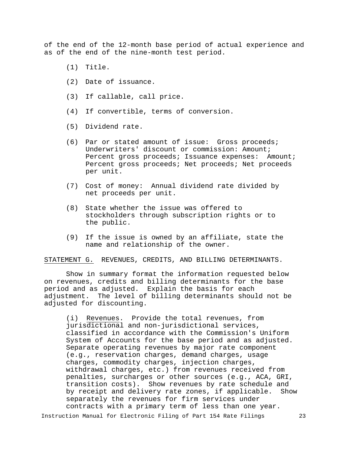of the end of the 12-month base period of actual experience and as of the end of the nine-month test period.

- (1) Title.
- (2) Date of issuance.
- (3) If callable, call price.
- (4) If convertible, terms of conversion.
- (5) Dividend rate.
- (6) Par or stated amount of issue: Gross proceeds; Underwriters' discount or commission: Amount; Percent gross proceeds; Issuance expenses: Amount; Percent gross proceeds; Net proceeds; Net proceeds per unit.
- (7) Cost of money: Annual dividend rate divided by net proceeds per unit.
- (8) State whether the issue was offered to stockholders through subscription rights or to the public.
- (9) If the issue is owned by an affiliate, state the name and relationship of the owner.

STATEMENT G. REVENUES, CREDITS, AND BILLING DETERMINANTS.

Show in summary format the information requested below on revenues, credits and billing determinants for the base period and as adjusted. Explain the basis for each adjustment. The level of billing determinants should not be adjusted for discounting.

(i) Revenues. Provide the total revenues, from jurisdictional and non-jurisdictional services, classified in accordance with the Commission's Uniform System of Accounts for the base period and as adjusted. Separate operating revenues by major rate component (e.g., reservation charges, demand charges, usage charges, commodity charges, injection charges, withdrawal charges, etc.) from revenues received from penalties, surcharges or other sources (e.g., ACA, GRI, transition costs). Show revenues by rate schedule and<br>by receipt and delivery rate zones, if applicable. Show by receipt and delivery rate zones, if applicable. separately the revenues for firm services under contracts with a primary term of less than one year.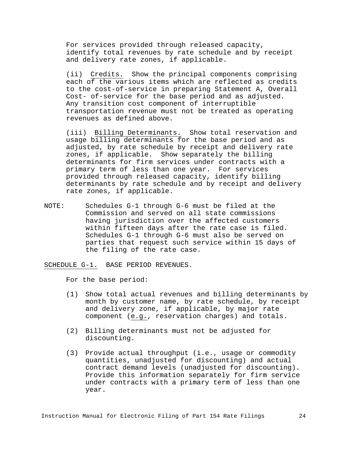For services provided through released capacity, identify total revenues by rate schedule and by receipt and delivery rate zones, if applicable.

(ii) Credits. Show the principal components comprising each of the various items which are reflected as credits to the cost-of-service in preparing Statement A, Overall Cost- of-service for the base period and as adjusted. Any transition cost component of interruptible transportation revenue must not be treated as operating revenues as defined above.

(iii) Billing Determinants. Show total reservation and usage billing determinants for the base period and as adjusted, by rate schedule by receipt and delivery rate zones, if applicable. Show separately the billing determinants for firm services under contracts with a primary term of less than one year. For services provided through released capacity, identify billing determinants by rate schedule and by receipt and delivery rate zones, if applicable.

NOTE: Schedules G-1 through G-6 must be filed at the Commission and served on all state commissions having jurisdiction over the affected customers within fifteen days after the rate case is filed. Schedules G-1 through G-6 must also be served on parties that request such service within 15 days of the filing of the rate case.

SCHEDULE G-1. BASE PERIOD REVENUES.

For the base period:

- (1) Show total actual revenues and billing determinants by month by customer name, by rate schedule, by receipt and delivery zone, if applicable, by major rate component (e.g., reservation charges) and totals.
- (2) Billing determinants must not be adjusted for discounting.
- (3) Provide actual throughput (i.e., usage or commodity quantities, unadjusted for discounting) and actual contract demand levels (unadjusted for discounting). Provide this information separately for firm service under contracts with a primary term of less than one year.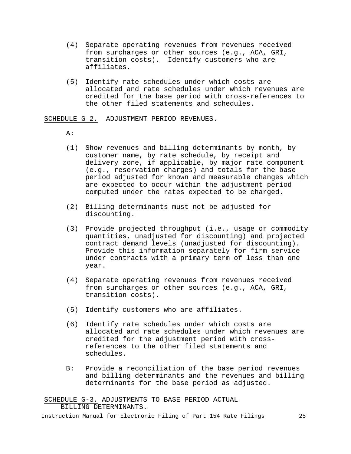- (4) Separate operating revenues from revenues received from surcharges or other sources (e.g., ACA, GRI, transition costs). Identify customers who are affiliates.
- (5) Identify rate schedules under which costs are allocated and rate schedules under which revenues are credited for the base period with cross-references to the other filed statements and schedules.

SCHEDULE G-2. ADJUSTMENT PERIOD REVENUES.

 $A$ :

- (1) Show revenues and billing determinants by month, by customer name, by rate schedule, by receipt and delivery zone, if applicable, by major rate component (e.g., reservation charges) and totals for the base period adjusted for known and measurable changes which are expected to occur within the adjustment period computed under the rates expected to be charged.
- (2) Billing determinants must not be adjusted for discounting.
- (3) Provide projected throughput (i.e., usage or commodity quantities, unadjusted for discounting) and projected contract demand levels (unadjusted for discounting). Provide this information separately for firm service under contracts with a primary term of less than one year.
- (4) Separate operating revenues from revenues received from surcharges or other sources (e.g., ACA, GRI, transition costs).
- (5) Identify customers who are affiliates.
- (6) Identify rate schedules under which costs are allocated and rate schedules under which revenues are credited for the adjustment period with crossreferences to the other filed statements and schedules.
- B: Provide a reconciliation of the base period revenues and billing determinants and the revenues and billing determinants for the base period as adjusted.

SCHEDULE G-3. ADJUSTMENTS TO BASE PERIOD ACTUAL BILLING DETERMINANTS.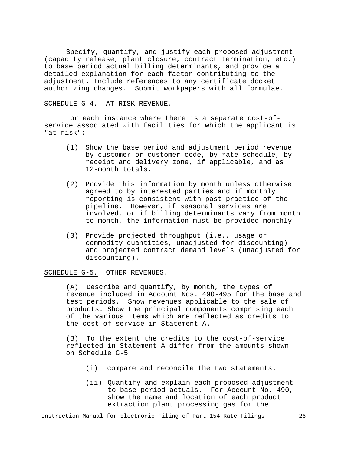Specify, quantify, and justify each proposed adjustment (capacity release, plant closure, contract termination, etc.) to base period actual billing determinants, and provide a detailed explanation for each factor contributing to the adjustment. Include references to any certificate docket authorizing changes. Submit workpapers with all formulae.

## SCHEDULE G-4. AT-RISK REVENUE.

For each instance where there is a separate cost-ofservice associated with facilities for which the applicant is "at risk":

- (1) Show the base period and adjustment period revenue by customer or customer code, by rate schedule, by receipt and delivery zone, if applicable, and as 12-month totals.
- (2) Provide this information by month unless otherwise agreed to by interested parties and if monthly reporting is consistent with past practice of the pipeline. However, if seasonal services are involved, or if billing determinants vary from month to month, the information must be provided monthly.
- (3) Provide projected throughput (i.e., usage or commodity quantities, unadjusted for discounting) and projected contract demand levels (unadjusted for discounting).

#### SCHEDULE G-5. OTHER REVENUES.

(A) Describe and quantify, by month, the types of revenue included in Account Nos. 490-495 for the base and test periods. Show revenues applicable to the sale of products. Show the principal components comprising each of the various items which are reflected as credits to the cost-of-service in Statement A.

(B) To the extent the credits to the cost-of-service reflected in Statement A differ from the amounts shown on Schedule G-5:

- (i) compare and reconcile the two statements.
- (ii) Quantify and explain each proposed adjustment to base period actuals. For Account No. 490, show the name and location of each product extraction plant processing gas for the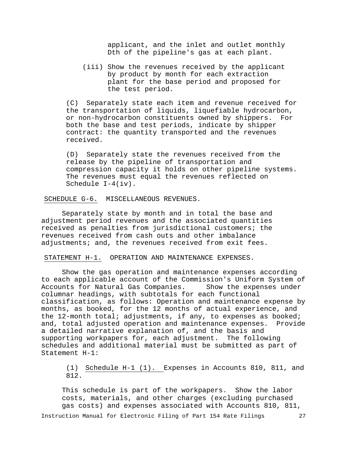applicant, and the inlet and outlet monthly Dth of the pipeline's gas at each plant.

(iii) Show the revenues received by the applicant by product by month for each extraction plant for the base period and proposed for the test period.

(C) Separately state each item and revenue received for the transportation of liquids, liquefiable hydrocarbon,<br>or non-hydrocarbon constituents owned by shippers. For or non-hydrocarbon constituents owned by shippers. both the base and test periods, indicate by shipper contract: the quantity transported and the revenues received.

(D) Separately state the revenues received from the release by the pipeline of transportation and compression capacity it holds on other pipeline systems. The revenues must equal the revenues reflected on Schedule I-4(iv).

SCHEDULE G-6. MISCELLANEOUS REVENUES.

Separately state by month and in total the base and adjustment period revenues and the associated quantities received as penalties from jurisdictional customers; the revenues received from cash outs and other imbalance adjustments; and, the revenues received from exit fees.

STATEMENT H-1. OPERATION AND MAINTENANCE EXPENSES.

Show the gas operation and maintenance expenses according to each applicable account of the Commission's Uniform System of<br>Accounts for Natural Gas Companies. Show the expenses under Accounts for Natural Gas Companies. columnar headings, with subtotals for each functional classification, as follows: Operation and maintenance expense by months, as booked, for the 12 months of actual experience, and the 12-month total; adjustments, if any, to expenses as booked;<br>and, total adjusted operation and maintenance expenses. Provide and, total adjusted operation and maintenance expenses. a detailed narrative explanation of, and the basis and supporting workpapers for, each adjustment. The following schedules and additional material must be submitted as part of Statement H-1:

(1) Schedule H-1 (1). Expenses in Accounts 810, 811, and 812.

This schedule is part of the workpapers. Show the labor costs, materials, and other charges (excluding purchased gas costs) and expenses associated with Accounts 810, 811,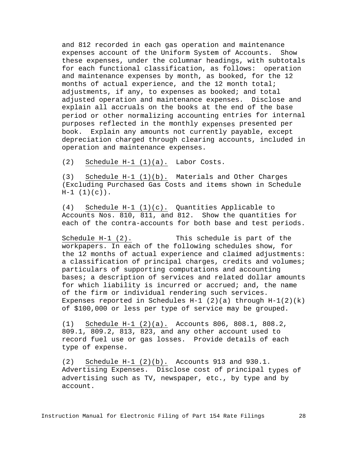and 812 recorded in each gas operation and maintenance expenses account of the Uniform System of Accounts. Show these expenses, under the columnar headings, with subtotals for each functional classification, as follows: operation and maintenance expenses by month, as booked, for the 12 months of actual experience, and the 12 month total; adjustments, if any, to expenses as booked; and total adjusted operation and maintenance expenses. Disclose and explain all accruals on the books at the end of the base period or other normalizing accounting entries for internal purposes reflected in the monthly expenses presented per book. Explain any amounts not currently payable, except depreciation charged through clearing accounts, included in operation and maintenance expenses.

(2) Schedule H-1 (1)(a). Labor Costs.

(3) Schedule H-1 (1)(b). Materials and Other Charges (Excluding Purchased Gas Costs and items shown in Schedule  $H-1$   $(1)(c)$ .

(4) Schedule H-1 (1)(c). Quantities Applicable to Accounts Nos. 810, 811, and 812. Show the quantities for each of the contra-accounts for both base and test periods.

Schedule H-1 (2). This schedule is part of the workpapers. In each of the following schedules show, for the 12 months of actual experience and claimed adjustments: a classification of principal charges, credits and volumes; particulars of supporting computations and accounting bases; a description of services and related dollar amounts for which liability is incurred or accrued; and, the name of the firm or individual rendering such services. Expenses reported in Schedules H-1  $(2)(a)$  through H-1 $(2)(k)$ of \$100,000 or less per type of service may be grouped.

(1) Schedule H-1 (2)(a). Accounts 806, 808.1, 808.2, 809.1, 809.2, 813, 823, and any other account used to record fuel use or gas losses. Provide details of each type of expense.

(2) Schedule H-1 (2)(b). Accounts 913 and 930.1. Advertising Expenses. Disclose cost of principal types of advertising such as TV, newspaper, etc., by type and by account.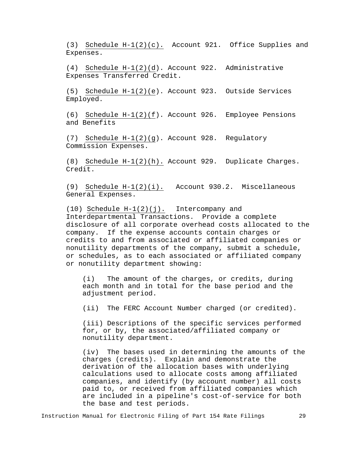(3) Schedule H-1(2)(c). Account 921. Office Supplies and Expenses.

(4) Schedule H-1(2)(d). Account 922. Administrative Expenses Transferred Credit.

(5) Schedule H-1(2)(e). Account 923. Outside Services Employed.

(6) Schedule H-1(2)(f). Account 926. Employee Pensions and Benefits

(7) Schedule H-1(2)(g). Account 928. Regulatory Commission Expenses.

(8) Schedule H-1(2)(h). Account 929. Duplicate Charges. Credit.

(9) Schedule H-1(2)(i). Account 930.2. Miscellaneous General Expenses.

(10) Schedule H-1(2)(j). Intercompany and Interdepartmental Transactions. Provide a complete disclosure of all corporate overhead costs allocated to the company. If the expense accounts contain charges or credits to and from associated or affiliated companies or nonutility departments of the company, submit a schedule, or schedules, as to each associated or affiliated company or nonutility department showing:

(i) The amount of the charges, or credits, during each month and in total for the base period and the adjustment period.

(ii) The FERC Account Number charged (or credited).

(iii) Descriptions of the specific services performed for, or by, the associated/affiliated company or nonutility department.

(iv) The bases used in determining the amounts of the charges (credits). Explain and demonstrate the derivation of the allocation bases with underlying calculations used to allocate costs among affiliated companies, and identify (by account number) all costs paid to, or received from affiliated companies which are included in a pipeline's cost-of-service for both the base and test periods.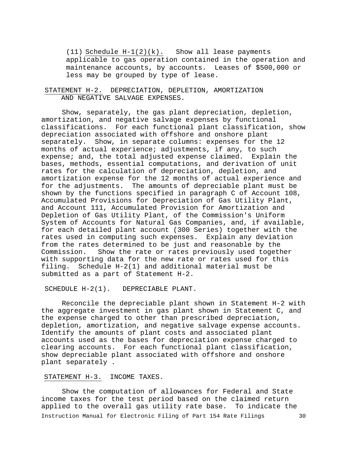(11) Schedule H-1(2)(k). Show all lease payments applicable to gas operation contained in the operation and maintenance accounts, by accounts. Leases of \$500,000 or less may be grouped by type of lease.

## STATEMENT H-2. DEPRECIATION, DEPLETION, AMORTIZATION AND NEGATIVE SALVAGE EXPENSES.

Show, separately, the gas plant depreciation, depletion, amortization, and negative salvage expenses by functional classifications. For each functional plant classification, show depreciation associated with offshore and onshore plant<br>separately. Show, in separate columns: expenses for the Show, in separate columns: expenses for the 12 months of actual experience; adjustments, if any, to such expense; and, the total adjusted expense claimed. Explain the bases, methods, essential computations, and derivation of unit rates for the calculation of depreciation, depletion, and amortization expense for the 12 months of actual experience and for the adjustments. The amounts of depreciable plant must be shown by the functions specified in paragraph C of Account 108, Accumulated Provisions for Depreciation of Gas Utility Plant, and Account 111, Accumulated Provision for Amortization and Depletion of Gas Utility Plant, of the Commission's Uniform System of Accounts for Natural Gas Companies, and, if available, for each detailed plant account (300 Series) together with the rates used in computing such expenses. Explain any deviation from the rates determined to be just and reasonable by the Commission. Show the rate or rates previously used togeth Show the rate or rates previously used together with supporting data for the new rate or rates used for this filing. Schedule H-2(1) and additional material must be submitted as a part of Statement H-2.

SCHEDULE H-2(1). DEPRECIABLE PLANT.

Reconcile the depreciable plant shown in Statement H-2 with the aggregate investment in gas plant shown in Statement C, and the expense charged to other than prescribed depreciation, depletion, amortization, and negative salvage expense accounts. Identify the amounts of plant costs and associated plant accounts used as the bases for depreciation expense charged to clearing accounts. For each functional plant classification, show depreciable plant associated with offshore and onshore plant separately .

#### STATEMENT H-3. INCOME TAXES.

Instruction Manual for Electronic Filing of Part 154 Rate Filings 30 Show the computation of allowances for Federal and State income taxes for the test period based on the claimed return applied to the overall gas utility rate base. To indicate the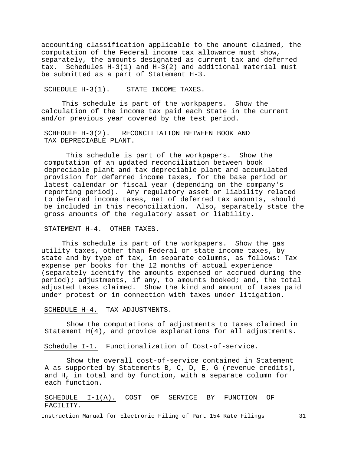accounting classification applicable to the amount claimed, the computation of the Federal income tax allowance must show, separately, the amounts designated as current tax and deferred tax. Schedules H-3(1) and H-3(2) and additional material must be submitted as a part of Statement H-3.

#### SCHEDULE H-3(1). STATE INCOME TAXES.

This schedule is part of the workpapers. Show the calculation of the income tax paid each State in the current and/or previous year covered by the test period.

## SCHEDULE H-3(2). RECONCILIATION BETWEEN BOOK AND TAX DEPRECIABLE PLANT.

This schedule is part of the workpapers. Show the computation of an updated reconciliation between book depreciable plant and tax depreciable plant and accumulated provision for deferred income taxes, for the base period or latest calendar or fiscal year (depending on the company's reporting period). Any regulatory asset or liability related to deferred income taxes, net of deferred tax amounts, should be included in this reconciliation. Also, separately state the gross amounts of the regulatory asset or liability.

## STATEMENT H-4. OTHER TAXES.

This schedule is part of the workpapers. Show the gas utility taxes, other than Federal or state income taxes, by state and by type of tax, in separate columns, as follows: Tax expense per books for the 12 months of actual experience (separately identify the amounts expensed or accrued during the period); adjustments, if any, to amounts booked; and, the total adjusted taxes claimed. Show the kind and amount of taxes paid under protest or in connection with taxes under litigation.

### SCHEDULE H-4. TAX ADJUSTMENTS.

Show the computations of adjustments to taxes claimed in Statement H(4), and provide explanations for all adjustments.

Schedule I-1. Functionalization of Cost-of-service.

Show the overall cost-of-service contained in Statement A as supported by Statements B, C, D, E, G (revenue credits), and H, in total and by function, with a separate column for each function.

SCHEDULE I-1(A). COST OF SERVICE BY FUNCTION OF FACILITY.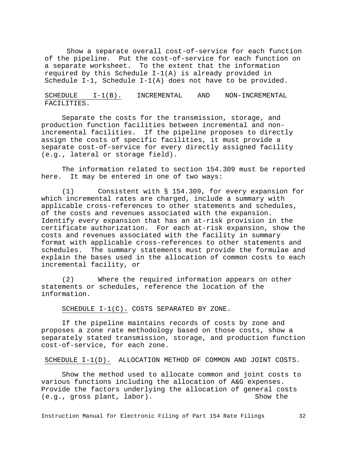Show a separate overall cost-of-service for each function of the pipeline. Put the cost-of-service for each function on a separate worksheet. To the extent that the information required by this Schedule I-1(A) is already provided in Schedule I-1, Schedule I-1(A) does not have to be provided.

SCHEDULE I-1(B). INCREMENTAL AND NON-INCREMENTAL FACILITIES.

Separate the costs for the transmission, storage, and production function facilities between incremental and nonincremental facilities. If the pipeline proposes to directly assign the costs of specific facilities, it must provide a separate cost-of-service for every directly assigned facility (e.g., lateral or storage field).

The information related to section 154.309 must be reported here. It may be entered in one of two ways:

(1) Consistent with § 154.309, for every expansion for which incremental rates are charged, include a summary with applicable cross-references to other statements and schedules, of the costs and revenues associated with the expansion. Identify every expansion that has an at-risk provision in the certificate authorization. For each at-risk expansion, show the costs and revenues associated with the facility in summary format with applicable cross-references to other statements and schedules. The summary statements must provide the formulae and explain the bases used in the allocation of common costs to each incremental facility, or

(2) Where the required information appears on other statements or schedules, reference the location of the information.

SCHEDULE I-1(C). COSTS SEPARATED BY ZONE.

If the pipeline maintains records of costs by zone and proposes a zone rate methodology based on those costs, show a separately stated transmission, storage, and production function cost-of-service, for each zone.

SCHEDULE I-1(D). ALLOCATION METHOD OF COMMON AND JOINT COSTS.

Show the method used to allocate common and joint costs to various functions including the allocation of A&G expenses. Provide the factors underlying the allocation of general costs<br>(e.g., gross plant, labor).  $(e.g., gross plant, labor).$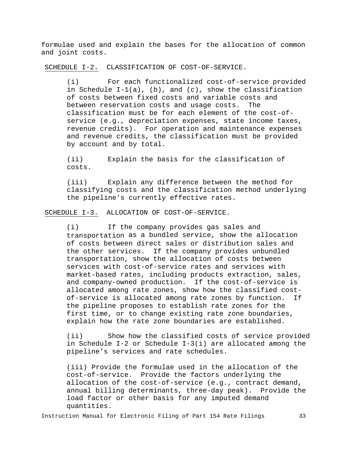formulae used and explain the bases for the allocation of common and joint costs.

SCHEDULE I-2. CLASSIFICATION OF COST-OF-SERVICE.

(i) For each functionalized cost-of-service provided in Schedule  $I-J(a)$ , (b), and (c), show the classification of costs between fixed costs and variable costs and<br>between reservation costs and usage costs. The between reservation costs and usage costs. classification must be for each element of the cost-ofservice (e.g., depreciation expenses, state income taxes, revenue credits). For operation and maintenance expenses and revenue credits, the classification must be provided by account and by total.

(ii) Explain the basis for the classification of costs.

(iii) Explain any difference between the method for classifying costs and the classification method underlying the pipeline's currently effective rates.

SCHEDULE I-3. ALLOCATION OF COST-OF-SERVICE.

(i) If the company provides gas sales and transportation as a bundled service, show the allocation of costs between direct sales or distribution sales and the other services. If the company provides unbundled transportation, show the allocation of costs between services with cost-of-service rates and services with market-based rates, including products extraction, sales, and company-owned production. If the cost-of-service is allocated among rate zones, show how the classified costof-service is allocated among rate zones by function. If the pipeline proposes to establish rate zones for the first time, or to change existing rate zone boundaries, explain how the rate zone boundaries are established.

(ii) Show how the classified costs of service provided in Schedule I-2 or Schedule I-3(i) are allocated among the pipeline's services and rate schedules.

(iii) Provide the formulae used in the allocation of the cost-of-service. Provide the factors underlying the allocation of the cost-of-service (e.g., contract demand, annual billing determinants, three-day peak). Provide the load factor or other basis for any imputed demand quantities.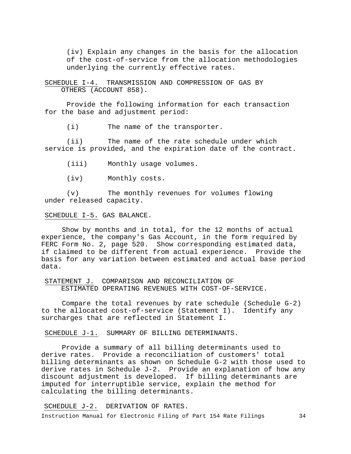(iv) Explain any changes in the basis for the allocation of the cost-of-service from the allocation methodologies underlying the currently effective rates.

SCHEDULE I-4. TRANSMISSION AND COMPRESSION OF GAS BY OTHERS (ACCOUNT 858).

Provide the following information for each transaction for the base and adjustment period:

(i) The name of the transporter.

(ii) The name of the rate schedule under which service is provided, and the expiration date of the contract.

(iii) Monthly usage volumes.

(iv) Monthly costs.

(v) The monthly revenues for volumes flowing under released capacity.

#### SCHEDULE I-5. GAS BALANCE.

Show by months and in total, for the 12 months of actual experience, the company's Gas Account, in the form required by FERC Form No. 2, page 520. Show corresponding estimated data, if claimed to be different from actual experience. Provide the basis for any variation between estimated and actual base period data.

STATEMENT J. COMPARISON AND RECONCILIATION OF ESTIMATED OPERATING REVENUES WITH COST-OF-SERVICE.

Compare the total revenues by rate schedule (Schedule G-2) to the allocated cost-of-service (Statement I). Identify any surcharges that are reflected in Statement I.

SCHEDULE J-1. SUMMARY OF BILLING DETERMINANTS.

Provide a summary of all billing determinants used to derive rates. Provide a reconciliation of customers' total billing determinants as shown on Schedule G-2 with those used to derive rates in Schedule J-2. Provide an explanation of how any discount adjustment is developed. If billing determinants are imputed for interruptible service, explain the method for calculating the billing determinants.

SCHEDULE J-2. DERIVATION OF RATES.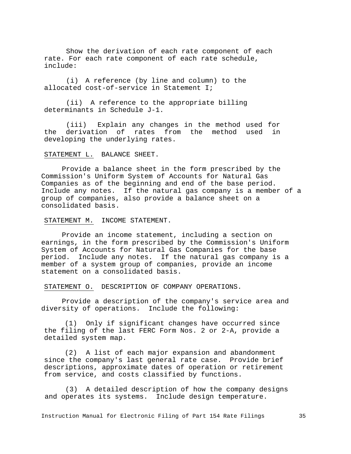Show the derivation of each rate component of each rate. For each rate component of each rate schedule, include:

(i) A reference (by line and column) to the allocated cost-of-service in Statement I;

(ii) A reference to the appropriate billing determinants in Schedule J-1.

(iii) Explain any changes in the method used for the derivation of rates from the method used in developing the underlying rates.

### STATEMENT L. BALANCE SHEET.

Provide a balance sheet in the form prescribed by the Commission's Uniform System of Accounts for Natural Gas Companies as of the beginning and end of the base period. Include any notes. If the natural gas company is a member of a group of companies, also provide a balance sheet on a consolidated basis.

STATEMENT M. INCOME STATEMENT.

Provide an income statement, including a section on earnings, in the form prescribed by the Commission's Uniform System of Accounts for Natural Gas Companies for the base period. Include any notes. If the natural gas company is a member of a system group of companies, provide an income statement on a consolidated basis.

STATEMENT O. DESCRIPTION OF COMPANY OPERATIONS.

Provide a description of the company's service area and diversity of operations. Include the following:

(1) Only if significant changes have occurred since the filing of the last FERC Form Nos. 2 or 2-A, provide a detailed system map.

(2) A list of each major expansion and abandonment since the company's last general rate case. Provide brief descriptions, approximate dates of operation or retirement from service, and costs classified by functions.

(3) A detailed description of how the company designs and operates its systems. Include design temperature.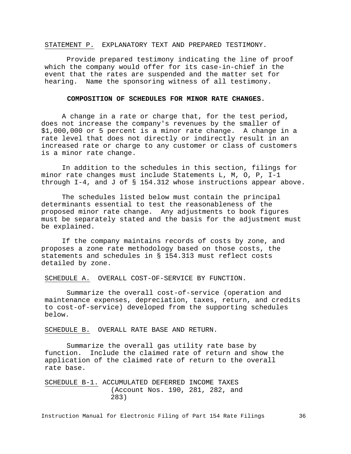#### STATEMENT P. EXPLANATORY TEXT AND PREPARED TESTIMONY.

Provide prepared testimony indicating the line of proof which the company would offer for its case-in-chief in the event that the rates are suspended and the matter set for hearing. Name the sponsoring witness of all testimony.

# **COMPOSITION OF SCHEDULES FOR MINOR RATE CHANGES.**

A change in a rate or charge that, for the test period, does not increase the company's revenues by the smaller of \$1,000,000 or 5 percent is a minor rate change. A change in a rate level that does not directly or indirectly result in an increased rate or charge to any customer or class of customers is a minor rate change.

In addition to the schedules in this section, filings for minor rate changes must include Statements L, M, O, P, I-1 through I-4, and J of § 154.312 whose instructions appear above.

The schedules listed below must contain the principal determinants essential to test the reasonableness of the proposed minor rate change. Any adjustments to book figures must be separately stated and the basis for the adjustment must be explained.

If the company maintains records of costs by zone, and proposes a zone rate methodology based on those costs, the statements and schedules in § 154.313 must reflect costs detailed by zone.

SCHEDULE A. OVERALL COST-OF-SERVICE BY FUNCTION.

Summarize the overall cost-of-service (operation and maintenance expenses, depreciation, taxes, return, and credits to cost-of-service) developed from the supporting schedules below.

SCHEDULE B. OVERALL RATE BASE AND RETURN.

Summarize the overall gas utility rate base by function. Include the claimed rate of return and show the application of the claimed rate of return to the overall rate base.

SCHEDULE B-1. ACCUMULATED DEFERRED INCOME TAXES (Account Nos. 190, 281, 282, and 283)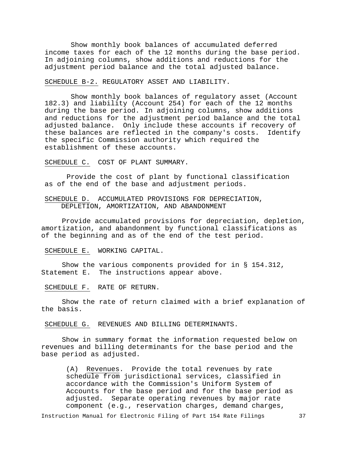Show monthly book balances of accumulated deferred income taxes for each of the 12 months during the base period. In adjoining columns, show additions and reductions for the adjustment period balance and the total adjusted balance.

SCHEDULE B-2. REGULATORY ASSET AND LIABILITY.

Show monthly book balances of regulatory asset (Account 182.3) and liability (Account 254) for each of the 12 months during the base period. In adjoining columns, show additions and reductions for the adjustment period balance and the total adjusted balance. Only include these accounts if recovery of<br>these balances are reflected in the company's costs. Identify these balances are reflected in the company's costs. the specific Commission authority which required the establishment of these accounts.

SCHEDULE C. COST OF PLANT SUMMARY.

Provide the cost of plant by functional classification as of the end of the base and adjustment periods.

SCHEDULE D. ACCUMULATED PROVISIONS FOR DEPRECIATION, DEPLETION, AMORTIZATION, AND ABANDONMENT

Provide accumulated provisions for depreciation, depletion, amortization, and abandonment by functional classifications as of the beginning and as of the end of the test period.

SCHEDULE E. WORKING CAPITAL.

Show the various components provided for in § 154.312, Statement E. The instructions appear above.

SCHEDULE F. RATE OF RETURN.

Show the rate of return claimed with a brief explanation of the basis.

SCHEDULE G. REVENUES AND BILLING DETERMINANTS.

Show in summary format the information requested below on revenues and billing determinants for the base period and the base period as adjusted.

(A) Revenues. Provide the total revenues by rate schedule from jurisdictional services, classified in accordance with the Commission's Uniform System of Accounts for the base period and for the base period as adjusted. Separate operating revenues by major rate component (e.g., reservation charges, demand charges,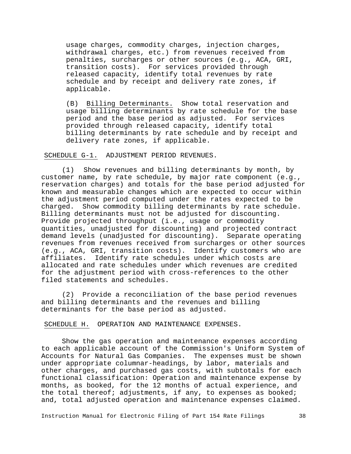usage charges, commodity charges, injection charges, withdrawal charges, etc.) from revenues received from penalties, surcharges or other sources (e.g., ACA, GRI, transition costs). For services provided through released capacity, identify total revenues by rate schedule and by receipt and delivery rate zones, if applicable.

(B) Billing Determinants. Show total reservation and usage billing determinants by rate schedule for the base period and the base period as adjusted. For services provided through released capacity, identify total billing determinants by rate schedule and by receipt and delivery rate zones, if applicable.

SCHEDULE G-1. ADJUSTMENT PERIOD REVENUES.

(1) Show revenues and billing determinants by month, by customer name, by rate schedule, by major rate component (e.g., reservation charges) and totals for the base period adjusted for known and measurable changes which are expected to occur within the adjustment period computed under the rates expected to be charged. Show commodity billing determinants by rate schedule Show commodity billing determinants by rate schedule. Billing determinants must not be adjusted for discounting. Provide projected throughput (i.e., usage or commodity quantities, unadjusted for discounting) and projected contract demand levels (unadjusted for discounting). Separate operating revenues from revenues received from surcharges or other sources (e.g., ACA, GRI, transition costs). Identify customers who are affiliates. Identify rate schedules under which costs are allocated and rate schedules under which revenues are credited for the adjustment period with cross-references to the other filed statements and schedules.

(2) Provide a reconciliation of the base period revenues and billing determinants and the revenues and billing determinants for the base period as adjusted.

SCHEDULE H. OPERATION AND MAINTENANCE EXPENSES.

Show the gas operation and maintenance expenses according to each applicable account of the Commission's Uniform System of Accounts for Natural Gas Companies. The expenses must be shown under appropriate columnar-headings, by labor, materials and other charges, and purchased gas costs, with subtotals for each functional classification: Operation and maintenance expense by months, as booked, for the 12 months of actual experience, and the total thereof; adjustments, if any, to expenses as booked; and, total adjusted operation and maintenance expenses claimed.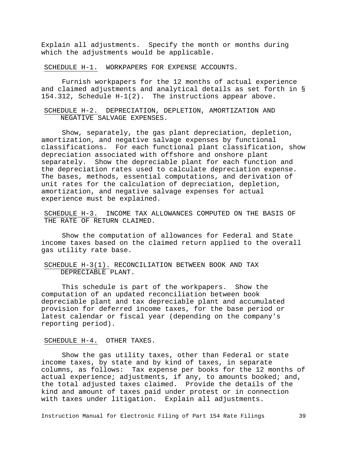Explain all adjustments. Specify the month or months during which the adjustments would be applicable.

SCHEDULE H-1. WORKPAPERS FOR EXPENSE ACCOUNTS.

Furnish workpapers for the 12 months of actual experience and claimed adjustments and analytical details as set forth in § 154.312, Schedule H-1(2). The instructions appear above.

# SCHEDULE H-2. DEPRECIATION, DEPLETION, AMORTIZATION AND NEGATIVE SALVAGE EXPENSES.

Show, separately, the gas plant depreciation, depletion, amortization, and negative salvage expenses by functional classifications. For each functional plant classification, show depreciation associated with offshore and onshore plant separately. Show the depreciable plant for each function and the depreciation rates used to calculate depreciation expense. The bases, methods, essential computations, and derivation of unit rates for the calculation of depreciation, depletion, amortization, and negative salvage expenses for actual experience must be explained.

SCHEDULE H-3. INCOME TAX ALLOWANCES COMPUTED ON THE BASIS OF THE RATE OF RETURN CLAIMED.

Show the computation of allowances for Federal and State income taxes based on the claimed return applied to the overall gas utility rate base.

# SCHEDULE H-3(1). RECONCILIATION BETWEEN BOOK AND TAX DEPRECIABLE PLANT.

This schedule is part of the workpapers. Show the computation of an updated reconciliation between book depreciable plant and tax depreciable plant and accumulated provision for deferred income taxes, for the base period or latest calendar or fiscal year (depending on the company's reporting period).

## SCHEDULE H-4. OTHER TAXES.

Show the gas utility taxes, other than Federal or state income taxes, by state and by kind of taxes, in separate columns, as follows: Tax expense per books for the 12 months of actual experience; adjustments, if any, to amounts booked; and, the total adjusted taxes claimed. Provide the details of the kind and amount of taxes paid under protest or in connection with taxes under litigation. Explain all adjustments.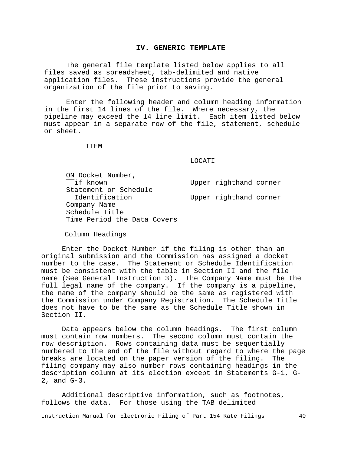### **IV. GENERIC TEMPLATE**

The general file template listed below applies to all files saved as spreadsheet, tab-delimited and native application files. These instructions provide the general organization of the file prior to saving.

Enter the following header and column heading information in the first 14 lines of the file. Where necessary, the pipeline may exceed the 14 line limit. Each item listed below must appear in a separate row of the file, statement, schedule or sheet.

#### ITEM

### LOCATI

ON Docket Number,<br>if known Statement or Schedule Company Name Schedule Title Time Period the Data Covers

Upper righthand corner Upper righthand corner

Column Headings

Enter the Docket Number if the filing is other than an original submission and the Commission has assigned a docket number to the case. The Statement or Schedule Identification must be consistent with the table in Section II and the file name (See General Instruction 3). The Company Name must be the full legal name of the company. If the company is a pipeline, the name of the company should be the same as registered with the Commission under Company Registration. The Schedule Title does not have to be the same as the Schedule Title shown in Section II.

Data appears below the column headings. The first column must contain row numbers. The second column must contain the row description. Rows containing data must be sequentially numbered to the end of the file without regard to where the page breaks are located on the paper version of the filing. The filing company may also number rows containing headings in the description column at its election except in Statements G-1, G-2, and G-3.

Additional descriptive information, such as footnotes, follows the data. For those using the TAB delimited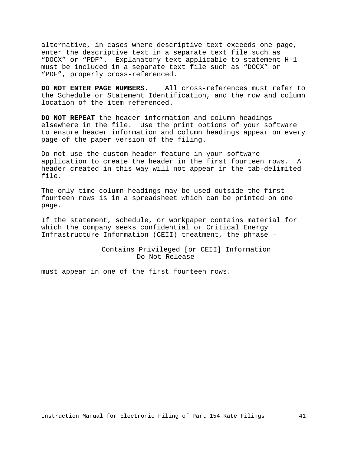alternative, in cases where descriptive text exceeds one page, enter the descriptive text in a separate text file such as "DOCX" or "PDF". Explanatory text applicable to statement H-1 must be included in a separate text file such as "DOCX" or "PDF", properly cross-referenced.

**DO NOT ENTER PAGE NUMBERS**. All cross-references must refer to the Schedule or Statement Identification, and the row and column location of the item referenced.

**DO NOT REPEAT** the header information and column headings elsewhere in the file. Use the print options of your software to ensure header information and column headings appear on every page of the paper version of the filing.

Do not use the custom header feature in your software application to create the header in the first fourteen rows. A header created in this way will not appear in the tab-delimited file.

The only time column headings may be used outside the first fourteen rows is in a spreadsheet which can be printed on one page.

If the statement, schedule, or workpaper contains material for which the company seeks confidential or Critical Energy Infrastructure Information (CEII) treatment, the phrase –

> Contains Privileged [or CEII] Information Do Not Release

must appear in one of the first fourteen rows.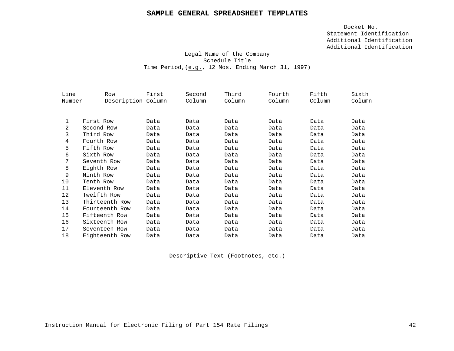# **SAMPLE GENERAL SPREADSHEET TEMPLATES**

Docket No. Statement Identification Additional Identification Additional Identification

# Legal Name of the Company Schedule Title Time Period,(e.g., 12 Mos. Ending March 31, 1997)

| Line   | Row                | First | Second | Third  | Fourth | Fifth  | Sixth  |
|--------|--------------------|-------|--------|--------|--------|--------|--------|
| Number | Description Column |       | Column | Column | Column | Column | Column |
|        |                    |       |        |        |        |        |        |
| 1      | First Row          | Data  | Data   | Data   | Data   | Data   | Data   |
| 2      | Second Row         | Data  | Data   | Data   | Data   | Data   | Data   |
| 3      | Third Row          | Data  | Data   | Data   | Data   | Data   | Data   |
| 4      | Fourth Row         | Data  | Data   | Data   | Data   | Data   | Data   |
| 5      | Fifth Row          | Data  | Data   | Data   | Data   | Data   | Data   |
| 6      | Sixth Row          | Data  | Data   | Data   | Data   | Data   | Data   |
| 7      | Seventh Row        | Data  | Data   | Data   | Data   | Data   | Data   |
| 8      | Eighth Row         | Data  | Data   | Data   | Data   | Data   | Data   |
| 9      | Ninth Row          | Data  | Data   | Data   | Data   | Data   | Data   |
| 10     | Tenth Row          | Data  | Data   | Data   | Data   | Data   | Data   |
| 11     | Eleventh Row       | Data  | Data   | Data   | Data   | Data   | Data   |
| 12     | Twelfth Row        | Data  | Data   | Data   | Data   | Data   | Data   |
| 13     | Thirteenth Row     | Data  | Data   | Data   | Data   | Data   | Data   |
| 14     | Fourteenth Row     | Data  | Data   | Data   | Data   | Data   | Data   |
| 15     | Fifteenth Row      | Data  | Data   | Data   | Data   | Data   | Data   |
| 16     | Sixteenth Row      | Data  | Data   | Data   | Data   | Data   | Data   |
| 17     | Seventeen Row      | Data  | Data   | Data   | Data   | Data   | Data   |
| 18     | Eighteenth Row     | Data  | Data   | Data   | Data   | Data   | Data   |

Descriptive Text (Footnotes, etc.)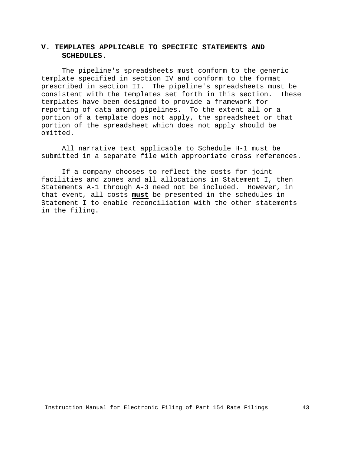# **V. TEMPLATES APPLICABLE TO SPECIFIC STATEMENTS AND SCHEDULES**.

The pipeline's spreadsheets must conform to the generic template specified in section IV and conform to the format prescribed in section II. The pipeline's spreadsheets must be<br>consistent with the templates set forth in this section. These consistent with the templates set forth in this section. templates have been designed to provide a framework for reporting of data among pipelines. To the extent all or a portion of a template does not apply, the spreadsheet or that portion of the spreadsheet which does not apply should be omitted.

All narrative text applicable to Schedule H-1 must be submitted in a separate file with appropriate cross references.

If a company chooses to reflect the costs for joint facilities and zones and all allocations in Statement I, then Statements A-1 through A-3 need not be included. However, in that event, all costs **must** be presented in the schedules in Statement I to enable reconciliation with the other statements in the filing.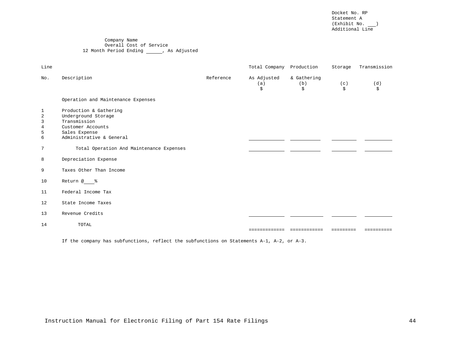Docket No. RP Statement A  $(Exhibit No. \_\_)$ Additional Line

#### Company Name Overall Cost of Service 12 Month Period Ending \_\_\_\_\_\_, As Adjusted

| Line                                    |                                                                                                                                 |           | Total Company Production |                          | Storage   | Transmission |
|-----------------------------------------|---------------------------------------------------------------------------------------------------------------------------------|-----------|--------------------------|--------------------------|-----------|--------------|
| No.                                     | Description                                                                                                                     | Reference | As Adjusted<br>(a)<br>\$ | & Gathering<br>(b)<br>\$ | (c)<br>\$ | (d)<br>\$    |
|                                         | Operation and Maintenance Expenses                                                                                              |           |                          |                          |           |              |
| 1<br>$\overline{a}$<br>3<br>4<br>5<br>6 | Production & Gathering<br>Underground Storage<br>Transmission<br>Customer Accounts<br>Sales Expense<br>Administrative & General |           |                          |                          |           |              |
| 7                                       | Total Operation And Maintenance Expenses                                                                                        |           |                          |                          |           |              |
| 8                                       | Depreciation Expense                                                                                                            |           |                          |                          |           |              |
| 9                                       | Taxes Other Than Income                                                                                                         |           |                          |                          |           |              |
| 10                                      | Return @ %                                                                                                                      |           |                          |                          |           |              |
| 11                                      | Federal Income Tax                                                                                                              |           |                          |                          |           |              |
| 12                                      | State Income Taxes                                                                                                              |           |                          |                          |           |              |
| 13                                      | Revenue Credits                                                                                                                 |           |                          |                          |           |              |
| 14                                      | TOTAL                                                                                                                           |           | =============            | ============             | --------- | ==========   |
|                                         | If the company has subfunctions, reflect the subfunctions on Statements A-1, A-2, or A-3.                                       |           |                          |                          |           |              |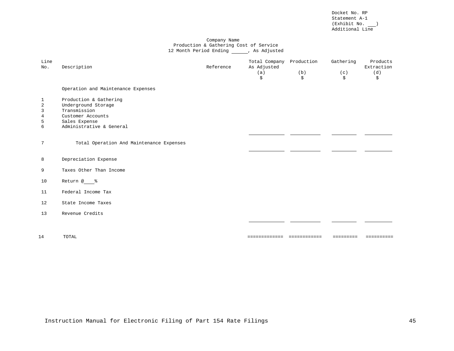Docket No. RP Statement A-1  $(Exhibit No. \_\_)$ Additional Line

#### Company Name Production & Gathering Cost of Service 12 Month Period Ending \_\_\_\_\_\_, As Adjusted

| Line<br>No.                                          | Description                                                                                                                     | Reference | Total Company<br>As Adjusted<br>(a)<br>\$ | Production<br>(b)<br>\$ | Gathering<br>(c)<br>\$ | Products<br>Extraction<br>(d)<br>\$ |
|------------------------------------------------------|---------------------------------------------------------------------------------------------------------------------------------|-----------|-------------------------------------------|-------------------------|------------------------|-------------------------------------|
|                                                      | Operation and Maintenance Expenses                                                                                              |           |                                           |                         |                        |                                     |
| 1<br>$\overline{c}$<br>$\overline{3}$<br>4<br>5<br>6 | Production & Gathering<br>Underground Storage<br>Transmission<br>Customer Accounts<br>Sales Expense<br>Administrative & General |           |                                           |                         |                        |                                     |
| 7                                                    | Total Operation And Maintenance Expenses                                                                                        |           |                                           |                         |                        |                                     |
| 8                                                    | Depreciation Expense                                                                                                            |           |                                           |                         |                        |                                     |
| 9                                                    | Taxes Other Than Income                                                                                                         |           |                                           |                         |                        |                                     |
| 10                                                   | Return @ %                                                                                                                      |           |                                           |                         |                        |                                     |
| 11                                                   | Federal Income Tax                                                                                                              |           |                                           |                         |                        |                                     |
| 12                                                   | State Income Taxes                                                                                                              |           |                                           |                         |                        |                                     |
| 13                                                   | Revenue Credits                                                                                                                 |           |                                           |                         |                        |                                     |
|                                                      |                                                                                                                                 |           |                                           |                         |                        |                                     |
| 14                                                   | TOTAL                                                                                                                           |           | ===========================               |                         | $=$ = = = = = = = =    | ==========                          |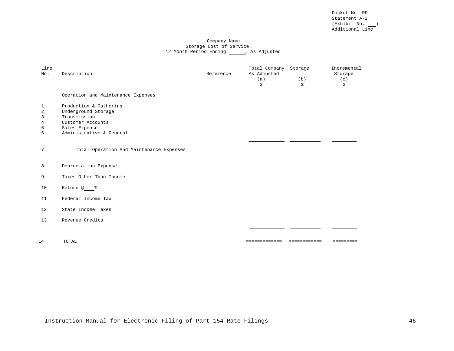Docket No. RP Statement A-2  $(Exhibit No. \_\_)$ Additional Line

#### Company Name Storage Cost of Service 12 Month Period Ending \_\_\_\_\_\_\_, As Adjusted

| Line<br>No.                             | Description                                                                                                                     | Reference | Total Company Storage<br>As Adjusted<br>(a)<br>\$ | (b)<br>\$    | Incremental<br>Storage<br>(c)<br>\$ |
|-----------------------------------------|---------------------------------------------------------------------------------------------------------------------------------|-----------|---------------------------------------------------|--------------|-------------------------------------|
|                                         | Operation and Maintenance Expenses                                                                                              |           |                                                   |              |                                     |
| 1<br>$\overline{2}$<br>3<br>4<br>5<br>6 | Production & Gathering<br>Underground Storage<br>Transmission<br>Customer Accounts<br>Sales Expense<br>Administrative & General |           |                                                   |              |                                     |
| 7                                       | Total Operation And Maintenance Expenses                                                                                        |           |                                                   |              |                                     |
| 8                                       | Depreciation Expense                                                                                                            |           |                                                   |              |                                     |
| 9                                       | Taxes Other Than Income                                                                                                         |           |                                                   |              |                                     |
| 10                                      | Return @ %                                                                                                                      |           |                                                   |              |                                     |
| 11                                      | Federal Income Tax                                                                                                              |           |                                                   |              |                                     |
| 12                                      | State Income Taxes                                                                                                              |           |                                                   |              |                                     |
| 13                                      | Revenue Credits                                                                                                                 |           |                                                   |              |                                     |
| 14                                      | TOTAL                                                                                                                           |           | =============                                     | ============ | $=$ = = = = = = = =                 |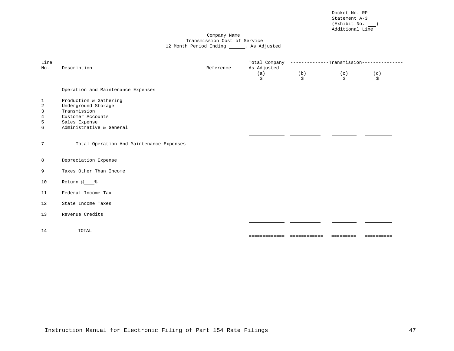Docket No. RP Statement A-3  $(Exhibit No. \_\_)$ Additional Line

#### Company Name Transmission Cost of Service 12 Month Period Ending \_\_\_\_\_\_, As Adjusted

| Line<br>No.                         | Description                                                                                                                     | Reference | Total Company<br>As Adjusted<br>(a)<br>\$ | --------------Transmission--<br>(b)<br>\$ | (c)<br>Ŝ. | (d)<br>\$  |
|-------------------------------------|---------------------------------------------------------------------------------------------------------------------------------|-----------|-------------------------------------------|-------------------------------------------|-----------|------------|
|                                     | Operation and Maintenance Expenses                                                                                              |           |                                           |                                           |           |            |
| 1<br>$\sqrt{2}$<br>3<br>4<br>5<br>6 | Production & Gathering<br>Underground Storage<br>Transmission<br>Customer Accounts<br>Sales Expense<br>Administrative & General |           |                                           |                                           |           |            |
| $7\phantom{.}$                      | Total Operation And Maintenance Expenses                                                                                        |           |                                           |                                           |           |            |
| 8                                   | Depreciation Expense                                                                                                            |           |                                           |                                           |           |            |
| 9                                   | Taxes Other Than Income                                                                                                         |           |                                           |                                           |           |            |
| 10                                  | Return @ %                                                                                                                      |           |                                           |                                           |           |            |
| 11                                  | Federal Income Tax                                                                                                              |           |                                           |                                           |           |            |
| 12                                  | State Income Taxes                                                                                                              |           |                                           |                                           |           |            |
| 13                                  | Revenue Credits                                                                                                                 |           |                                           |                                           |           |            |
| 14                                  | TOTAL                                                                                                                           |           | =============                             | ============                              | ========= | ========== |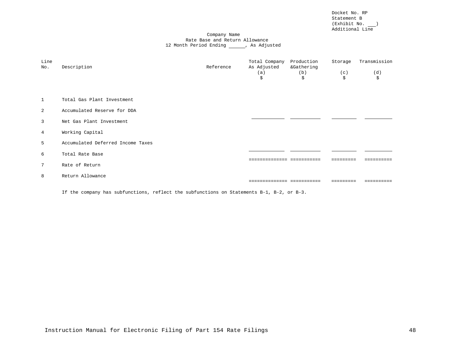Docket No. RP Statement B  $(Exhibit No. \_\_)$ Additional Line

#### Company Name Rate Base and Return Allowance 12 Month Period Ending \_\_\_\_\_\_, As Adjusted

| Line<br>No.    | Description                       | Reference | Total Company<br>As Adjusted<br>(a)<br>\$ | Production<br>&Gathering<br>(b)<br>\$ | Storage<br>(c)<br>\$ | Transmission<br>(d)<br>\$ |
|----------------|-----------------------------------|-----------|-------------------------------------------|---------------------------------------|----------------------|---------------------------|
| $\mathbf{1}$   | Total Gas Plant Investment        |           |                                           |                                       |                      |                           |
| 2              | Accumulated Reserve for DDA       |           |                                           |                                       |                      |                           |
| $\overline{3}$ | Net Gas Plant Investment          |           |                                           |                                       |                      |                           |
| $\overline{4}$ | Working Capital                   |           |                                           |                                       |                      |                           |
| 5              | Accumulated Deferred Income Taxes |           |                                           |                                       |                      |                           |
| 6              | Total Rate Base                   |           |                                           |                                       |                      |                           |
| $\overline{7}$ | Rate of Return                    |           |                                           |                                       |                      |                           |
| 8              | Return Allowance                  |           |                                           |                                       |                      |                           |
|                |                                   |           |                                           |                                       |                      |                           |

If the company has subfunctions, reflect the subfunctions on Statements B-1, B-2, or B-3.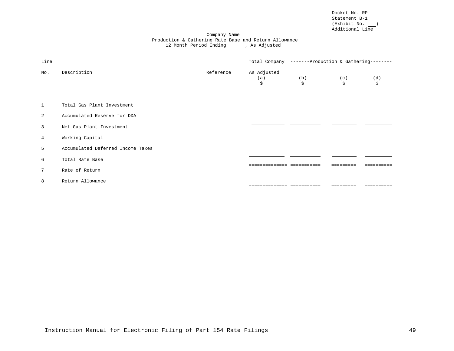Docket No. RP Statement B-1  $(Exhibit No. \_\_)$ Additional Line

#### Company Name Production & Gathering Rate Base and Return Allowance 12 Month Period Ending \_\_\_\_\_\_, As Adjusted

| Line            |                                   |           | Total Company -------Production & Gathering-------- |                          |           |           |
|-----------------|-----------------------------------|-----------|-----------------------------------------------------|--------------------------|-----------|-----------|
| No.             | Description                       | Reference | As Adjusted<br>(a)<br>\$                            | (b)<br>\$                | (c)<br>\$ | (d)<br>\$ |
| $\mathbf{1}$    | Total Gas Plant Investment        |           |                                                     |                          |           |           |
| 2               | Accumulated Reserve for DDA       |           |                                                     |                          |           |           |
| $\overline{3}$  | Net Gas Plant Investment          |           |                                                     |                          |           |           |
| $\overline{4}$  | Working Capital                   |           |                                                     |                          |           |           |
| 5               | Accumulated Deferred Income Taxes |           |                                                     |                          |           |           |
| 6               | Total Rate Base                   |           |                                                     | ------------ ----------- |           |           |
| $7\phantom{.0}$ | Rate of Return                    |           |                                                     |                          |           |           |
| 8               | Return Allowance                  |           |                                                     | ------------ ----------- |           |           |
|                 |                                   |           |                                                     |                          |           |           |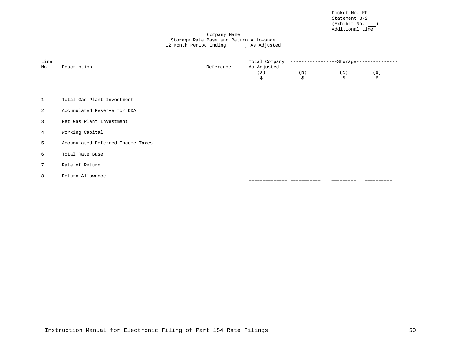Docket No. RP Statement B-2  $(Exhibit No. \_\_)$ Additional Line

#### Company Name Storage Rate Base and Return Allowance 12 Month Period Ending \_\_\_\_\_\_, As Adjusted

| Line<br>No.    | Description                       | Reference | Total Company -----------------Storage--<br>As Adjusted |           |           |           |
|----------------|-----------------------------------|-----------|---------------------------------------------------------|-----------|-----------|-----------|
|                |                                   |           | (a)<br>\$                                               | (b)<br>\$ | (c)<br>\$ | (d)<br>\$ |
|                |                                   |           |                                                         |           |           |           |
| 1              | Total Gas Plant Investment        |           |                                                         |           |           |           |
| 2              | Accumulated Reserve for DDA       |           |                                                         |           |           |           |
| $\overline{3}$ | Net Gas Plant Investment          |           |                                                         |           |           |           |
| $\overline{4}$ | Working Capital                   |           |                                                         |           |           |           |
| 5              | Accumulated Deferred Income Taxes |           |                                                         |           |           |           |
| 6              | Total Rate Base                   |           |                                                         |           |           |           |
| $7^{\circ}$    | Rate of Return                    |           |                                                         |           |           |           |
| 8              | Return Allowance                  |           |                                                         |           |           |           |
|                |                                   |           | ----------- -----------                                 |           |           |           |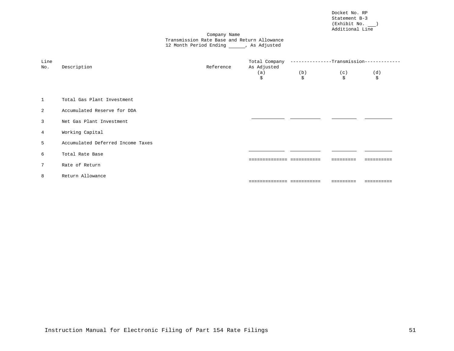Docket No. RP Statement B-3  $(Exhibit No. \_\_)$ Additional Line

#### Company Name Transmission Rate Base and Return Allowance 12 Month Period Ending \_\_\_\_\_\_, As Adjusted

| Line<br>No.    | Description                       | Reference | Total Company --------------Transmission--<br>As Adjusted |           |           |           |
|----------------|-----------------------------------|-----------|-----------------------------------------------------------|-----------|-----------|-----------|
|                |                                   |           | (a)<br>\$                                                 | (b)<br>\$ | (c)<br>\$ | (d)<br>\$ |
| $\mathbf{1}$   | Total Gas Plant Investment        |           |                                                           |           |           |           |
| 2              | Accumulated Reserve for DDA       |           |                                                           |           |           |           |
| $\mathbf{3}$   | Net Gas Plant Investment          |           |                                                           |           |           |           |
| $\overline{4}$ | Working Capital                   |           |                                                           |           |           |           |
| 5              | Accumulated Deferred Income Taxes |           |                                                           |           |           |           |
| 6              | Total Rate Base                   |           | ----------- -----                                         |           |           |           |
| $7\phantom{0}$ | Rate of Return                    |           |                                                           |           |           |           |
| 8              | Return Allowance                  |           | =========================                                 |           |           |           |
|                |                                   |           |                                                           |           |           |           |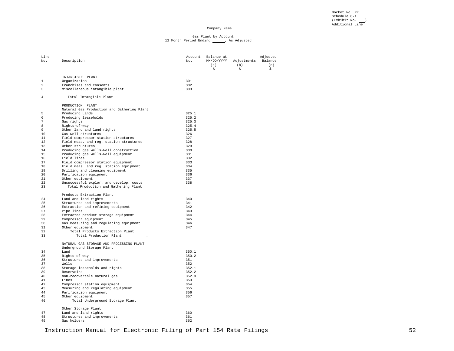Docket No. RP Schedule C-1 (Exhibit No. \_\_\_)<br>Additional Line

#### Company Name

# Gas Plant by Account<br>12 Month Period Ending \_\_\_\_\_\_, As Adjusted

| Line<br>No.    | Description                                                           | Account<br>No. | Balance at<br>MM/DD/YYYY<br>(a)<br>\$ | Adjustments<br>(b)<br>\$ | Adjusted<br>Balance<br>(c)<br>\$ |
|----------------|-----------------------------------------------------------------------|----------------|---------------------------------------|--------------------------|----------------------------------|
|                | INTANGIBLE PLANT                                                      |                |                                       |                          |                                  |
| $\mathbf{1}$   | Organization                                                          | 301            |                                       |                          |                                  |
| $\overline{a}$ | Franchises and consents                                               | 302            |                                       |                          |                                  |
| 3              | Miscellaneous intangible plant                                        | 303            |                                       |                          |                                  |
| 4              | Total Intangible Plant                                                |                |                                       |                          |                                  |
|                |                                                                       |                |                                       |                          |                                  |
|                | PRODUCTION PLANT<br>Natural Gas Production and Gathering Plant        |                |                                       |                          |                                  |
| 5              | Producing Lands                                                       | 325.1          |                                       |                          |                                  |
| 6              | Producing leaseholds                                                  | 325.2          |                                       |                          |                                  |
| 7              | Gas rights                                                            | 325.3          |                                       |                          |                                  |
| 8              | Rights-of-way                                                         | 325.4          |                                       |                          |                                  |
| 9              | Other land and land rights                                            | 325.5          |                                       |                          |                                  |
| 10             | Gas well structures                                                   | 326            |                                       |                          |                                  |
| 11             | Field compressor station structures                                   | 327            |                                       |                          |                                  |
| 12             | Field meas. and reg. station structures                               | 328            |                                       |                          |                                  |
| 13             | Other structures                                                      | 329            |                                       |                          |                                  |
| 14             | Producing gas wells-Well construction                                 | 330            |                                       |                          |                                  |
| 15             | Producing gas wells-Well equipment                                    | 331            |                                       |                          |                                  |
| 16             | Field lines                                                           | 332            |                                       |                          |                                  |
| 17             | Field compressor station equipment                                    | 333            |                                       |                          |                                  |
| 18             | Field meas. and req. station equipment                                | 334            |                                       |                          |                                  |
| 19             | Drilling and cleaning equipment                                       | 335            |                                       |                          |                                  |
| 20             | Purification equipment                                                | 336            |                                       |                          |                                  |
| 21             | Other equipment                                                       | 337            |                                       |                          |                                  |
| 22             | Unsuccessful explor. and develop. costs                               | 338            |                                       |                          |                                  |
| 23             | Total Production and Gathering Plant                                  |                |                                       |                          |                                  |
|                | Products Extraction Plant                                             |                |                                       |                          |                                  |
| 24             | Land and land rights                                                  | 340            |                                       |                          |                                  |
| 25             | Structures and improvements                                           | 341            |                                       |                          |                                  |
| 26             | Extraction and refining equipment                                     | 342            |                                       |                          |                                  |
| 27             | Pipe lines                                                            | 343            |                                       |                          |                                  |
| 28             | Extracted product storage equipment                                   | 344            |                                       |                          |                                  |
| 29             | Compressor equipment                                                  | 345            |                                       |                          |                                  |
| 30             | Gas measuring and regulating equipment                                | 346            |                                       |                          |                                  |
| 31             | Other equipment                                                       | 347            |                                       |                          |                                  |
| 32             | Total Products Extraction Plant                                       |                |                                       |                          |                                  |
| 33             | Total Production Plant                                                |                |                                       |                          |                                  |
|                | NATURAL GAS STORAGE AND PROCESSING PLANT<br>Underground Storage Plant |                |                                       |                          |                                  |
| 34             | Land                                                                  | 350.1          |                                       |                          |                                  |
| 35             | Rights-of-way                                                         | 350.2          |                                       |                          |                                  |
| 36             | Structures and improvements                                           | 351            |                                       |                          |                                  |
| 37             | Wells                                                                 | 352            |                                       |                          |                                  |
| 38             | Storage leaseholds and rights                                         | 352.1          |                                       |                          |                                  |
| 39             | Reservoirs                                                            | 352.2          |                                       |                          |                                  |
| 40             | Non-recoverable natural gas                                           | 352.3          |                                       |                          |                                  |
| 41             | Lines                                                                 | 353            |                                       |                          |                                  |
| 42             | Compressor station equipment                                          | 354            |                                       |                          |                                  |
| 43             | Measuring and regulating equipment                                    | 355            |                                       |                          |                                  |
| 44             | Purification equipment                                                | 356            |                                       |                          |                                  |
| 45             | Other equipment                                                       | 357            |                                       |                          |                                  |
| 46             | Total Underground Storage Plant                                       |                |                                       |                          |                                  |
|                | Other Storage Plant                                                   |                |                                       |                          |                                  |
| 47             | Land and land rights                                                  | 360            |                                       |                          |                                  |
| 48             | Structures and improvements                                           | 361            |                                       |                          |                                  |
| 49             | Gas holders                                                           | 362            |                                       |                          |                                  |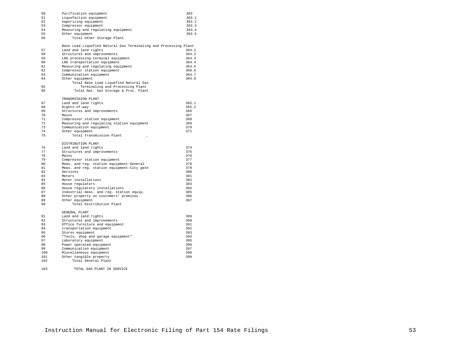| 50       | Purification equipment                                           | 363   |
|----------|------------------------------------------------------------------|-------|
| 51       | Liquefaction equipment                                           | 363.1 |
| 52       | Vaporizing equipment                                             | 363.2 |
| 53       | Compressor equipment                                             | 363.3 |
| 54       | Measuring and regulating equipment                               | 363.4 |
| 55       |                                                                  | 363.5 |
|          | Other equipment                                                  |       |
| 56       | Total Other Storage Plant                                        |       |
|          | Base Load Liquefied Natural Gas Terminaling and Processing Plant |       |
| 57       | Land and land rights                                             | 364.1 |
| 58       | Structures and improvements                                      | 364.2 |
| 59       | LNG processing terminal equipment                                | 364.3 |
| 60       | LNG transportation equipment                                     | 364.4 |
| 61       | Measuring and regulating equipment                               | 364.5 |
| 62       | Compressor station equipment                                     | 366.6 |
| 63       |                                                                  | 364.7 |
|          | Communication equipment                                          |       |
| 64       | Other equipment                                                  | 364.8 |
|          | Total Base Load Liquefied Natural Gas                            |       |
| 65       | Terminaling and Processing Plant                                 |       |
| 66       | Total Nat. Gas Storage & Proc. Plant                             |       |
|          | TRANSMISSION PLANT                                               |       |
| 67       | Land and land rights                                             | 365.1 |
| 68       | Rights-of-way                                                    | 365.2 |
| 69       | Structures and improvements                                      | 366   |
| 70       | Mains                                                            | 367   |
| 71       |                                                                  | 368   |
|          | Compressor station equipment                                     |       |
| 72       | Measuring and regulating station equipment                       | 369   |
| 73       | Communication equipment                                          | 370   |
| 74       | Other equipment                                                  | 371   |
| 75       | Total Transmission Plant                                         |       |
|          | DISTRIBUTION PLANT                                               |       |
| 76       | Land and land rights                                             | 374   |
| 77       | Structures and improvements                                      | 375   |
| 78       | Mains                                                            | 376   |
| 79       | Compressor station equipment                                     | 377   |
| 80       | Meas. and reg. station equipment-General                         | 378   |
| 81       | Meas. and reg. station equipment-City gate                       | 379   |
| 82       | Services                                                         | 380   |
|          |                                                                  |       |
| 83       | Meters                                                           | 381   |
| 84       | Meter installations                                              | 382   |
| 85       | House regulators                                                 | 383   |
| 86       | House regulatory installations                                   | 384   |
| 87       | Industrial meas. and reg. station equip.                         | 385   |
| 88       | Other property on customers' premises                            | 386   |
| 89       | Other equipment                                                  | 387   |
| 90       | Total Distribution Plant                                         |       |
|          | GENERAL PLANT                                                    |       |
| 91       | Land and land rights                                             | 389   |
| 92       | Structures and improvements                                      | 390   |
|          |                                                                  |       |
| 93<br>94 | Office furniture and equipment                                   | 391   |
|          | transportation equipment                                         | 392   |
| 95       | Stores equipment                                                 | 393   |
| 96       | "Tools, shop and garage equipment"                               | 394   |
| 97       | Laboratory equipment                                             | 395   |
| 98       | Power operated equipment                                         | 396   |
| 99       | Communication equipment                                          | 397   |
| 100      | Miscellaneous equipment                                          | 398   |
| 101      | Other tangible property                                          | 399   |
| 102      | Total General Plant                                              |       |
|          |                                                                  |       |

| 103 |  |  | TOTAL GAS PLANT IN SERVICE |  |
|-----|--|--|----------------------------|--|
|     |  |  |                            |  |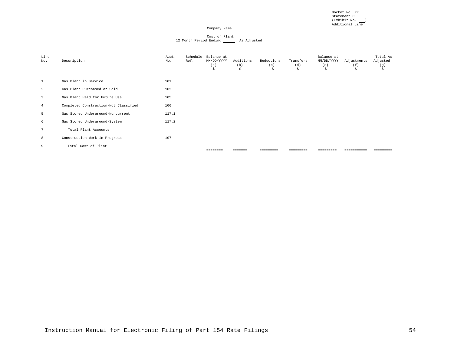Docket No. RP Statement C (Exhibit No. \_\_\_)<br>Additional Line

#### Company Name

# Cost of Plant<br>12 Month Period Ending \_\_\_\_\_\_, As Adjusted

| Line<br>No.             | Description                           | Acct.<br>No. | Schedule<br>Ref. | Balance at<br>MM/DD/YYYY<br>(a)<br>\$ | Additions<br>(b)<br>\$ | Reductions<br>(c)<br>\$ | Transfers<br>(d)<br>\$ | Balance at<br>MM/DD/YYYY<br>(e)<br>\$ | Adjustments<br>(f)<br>S. | Total As<br>Adjusted<br>(g)<br>\$ |
|-------------------------|---------------------------------------|--------------|------------------|---------------------------------------|------------------------|-------------------------|------------------------|---------------------------------------|--------------------------|-----------------------------------|
| 1                       | Gas Plant in Service                  | 101          |                  |                                       |                        |                         |                        |                                       |                          |                                   |
| 2                       | Gas Plant Purchased or Sold           | 102          |                  |                                       |                        |                         |                        |                                       |                          |                                   |
| $\overline{\mathbf{3}}$ | Gas Plant Held for Future Use         | 105          |                  |                                       |                        |                         |                        |                                       |                          |                                   |
| $\overline{4}$          | Completed Construction-Not Classified | 106          |                  |                                       |                        |                         |                        |                                       |                          |                                   |
| 5                       | Gas Stored Underground-Noncurrent     | 117.1        |                  |                                       |                        |                         |                        |                                       |                          |                                   |
| 6                       | Gas Stored Underground-System         | 117.2        |                  |                                       |                        |                         |                        |                                       |                          |                                   |
| 7                       | Total Plant Accounts                  |              |                  |                                       |                        |                         |                        |                                       |                          |                                   |
| 8                       | Construction Work in Progress         | 107          |                  |                                       |                        |                         |                        |                                       |                          |                                   |
| 9                       | Total Cost of Plant                   |              |                  | ========                              | =======                | =========               | =========              | =========                             |                          | =========                         |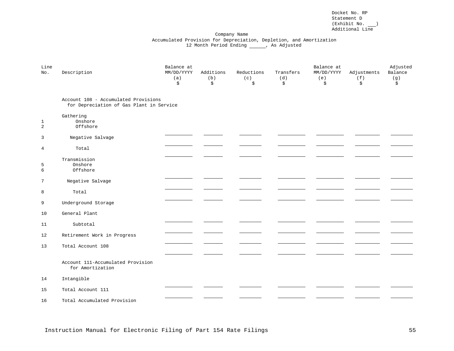Docket No. RP Statement D  $(Exhibit No. \_\_)$ Additional Line

#### Company Name Accumulated Provision for Depreciation, Depletion, and Amortization 12 Month Period Ending \_\_\_\_\_, As Adjusted

| Line<br>No.       | Description                                                                      | Balance at<br>MM/DD/YYYY<br>(a)<br>\$ | Additions<br>(b)<br>\$ | Reductions<br>(c)<br>\$ | Transfers<br>(d)<br>\$ | Balance at<br>MM/DD/YYYY<br>(e)<br>\$ | Adjustments<br>(f)<br>\$ | Adjusted<br>Balance<br>(g)<br>\$ |
|-------------------|----------------------------------------------------------------------------------|---------------------------------------|------------------------|-------------------------|------------------------|---------------------------------------|--------------------------|----------------------------------|
|                   | Account 108 - Accumulated Provisions<br>for Depreciation of Gas Plant in Service |                                       |                        |                         |                        |                                       |                          |                                  |
| $\mathbf{1}$<br>2 | Gathering<br>Onshore<br>Offshore                                                 |                                       |                        |                         |                        |                                       |                          |                                  |
| 3                 | Negative Salvage                                                                 |                                       |                        |                         |                        |                                       |                          |                                  |
| 4                 | Total                                                                            |                                       |                        |                         |                        |                                       |                          |                                  |
| 5<br>6            | Transmission<br>Onshore<br>Offshore                                              |                                       |                        |                         |                        |                                       |                          |                                  |
| 7                 | Negative Salvage                                                                 |                                       |                        |                         |                        |                                       |                          |                                  |
| 8                 | Total                                                                            |                                       |                        |                         |                        |                                       |                          |                                  |
| 9                 | Underground Storage                                                              |                                       |                        |                         |                        |                                       |                          |                                  |
| 10                | General Plant                                                                    |                                       |                        |                         |                        |                                       |                          |                                  |
| 11                | Subtotal                                                                         |                                       |                        |                         |                        |                                       |                          |                                  |
| 12                | Retirement Work in Progress                                                      |                                       |                        |                         |                        |                                       |                          |                                  |
| 13                | Total Account 108                                                                |                                       |                        |                         |                        |                                       |                          |                                  |
|                   |                                                                                  |                                       |                        |                         |                        |                                       |                          |                                  |
|                   | Account 111-Accumulated Provision<br>for Amortization                            |                                       |                        |                         |                        |                                       |                          |                                  |
| 14                | Intangible                                                                       |                                       |                        |                         |                        |                                       |                          |                                  |
| 15                | Total Account 111                                                                |                                       |                        |                         |                        |                                       |                          |                                  |
| 16                | Total Accumulated Provision                                                      |                                       |                        |                         |                        |                                       |                          |                                  |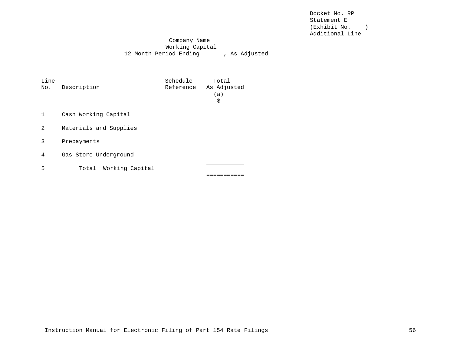Docket No. RP Statement E (Exhibit No. ) Additional Line

Company Name Working Capital 12 Month Period Ending \_\_\_\_\_\_, As Adjusted

| Line<br>No. | Description              | Schedule<br>Reference | Total<br>As Adjusted<br>(a)<br>\$ |  |  |  |  |  |  |  |
|-------------|--------------------------|-----------------------|-----------------------------------|--|--|--|--|--|--|--|
| 1           | Cash Working Capital     |                       |                                   |  |  |  |  |  |  |  |
| 2           | Materials and Supplies   |                       |                                   |  |  |  |  |  |  |  |
| 3           | Prepayments              |                       |                                   |  |  |  |  |  |  |  |
| 4           | Gas Store Underground    |                       |                                   |  |  |  |  |  |  |  |
| 5           | Working Capital<br>Total |                       |                                   |  |  |  |  |  |  |  |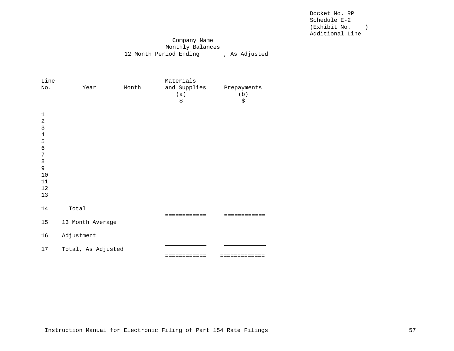Docket No. RP Schedule E-2 (Exhibit No. ) Additional Line

# Company Name Monthly Balances 12 Month Period Ending \_\_\_\_\_, As Adjusted

| Line<br>No.                                                                                                    |            | Year               | Month | Materials<br>and Supplies<br>(a)<br>\$ | Prepayments<br>(b)<br>\$ |
|----------------------------------------------------------------------------------------------------------------|------------|--------------------|-------|----------------------------------------|--------------------------|
| $\mathbf 1$<br>$\sqrt{2}$<br>$\mathbf{3}$<br>4<br>5<br>$\epsilon$<br>7<br>$\,8\,$<br>9<br>10<br>11<br>12<br>13 |            |                    |       |                                        |                          |
| 14                                                                                                             | Total      |                    |       | ==========                             |                          |
| 15                                                                                                             |            | 13 Month Average   |       |                                        |                          |
| 16                                                                                                             | Adjustment |                    |       |                                        |                          |
| 17                                                                                                             |            | Total, As Adjusted |       | ============                           | =============            |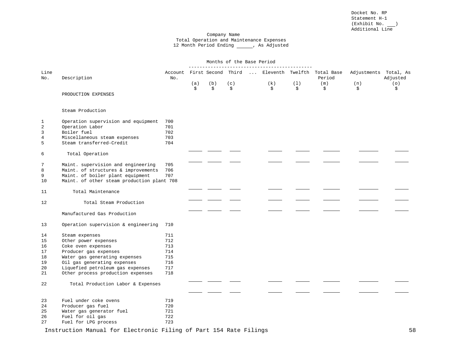#### Company Name Total Operation and Maintenance Expenses 12 Month Period Ending \_\_\_\_\_, As Adjusted

|                |                                            | Months of the Base Period |     |     |     |  |     |     |                                                                   |                       |          |
|----------------|--------------------------------------------|---------------------------|-----|-----|-----|--|-----|-----|-------------------------------------------------------------------|-----------------------|----------|
| Line<br>No.    | Description                                | No.                       |     |     |     |  |     |     | Account First Second Third  Eleventh Twelfth Total Base<br>Period | Adjustments Total, As | Adjusted |
|                |                                            |                           | (a) | (b) | (c) |  | (k) | (1) | (m)                                                               | (n)                   | (0)      |
|                | PRODUCTION EXPENSES                        |                           | \$  | \$  | \$  |  | \$  | \$  | \$                                                                | \$                    | \$       |
|                | Steam Production                           |                           |     |     |     |  |     |     |                                                                   |                       |          |
| 1              | Operation supervision and equipment        | 700                       |     |     |     |  |     |     |                                                                   |                       |          |
| $\sqrt{2}$     | Operation Labor                            | 701                       |     |     |     |  |     |     |                                                                   |                       |          |
| 3              | Boiler fuel                                | 702                       |     |     |     |  |     |     |                                                                   |                       |          |
| $\overline{4}$ | Miscellaneous steam expenses               | 703                       |     |     |     |  |     |     |                                                                   |                       |          |
| 5              | Steam transferred-Credit                   | 704                       |     |     |     |  |     |     |                                                                   |                       |          |
| 6              | Total Operation                            |                           |     |     |     |  |     |     |                                                                   |                       |          |
| 7              | Maint. supervision and engineering         | 705                       |     |     |     |  |     |     |                                                                   |                       |          |
| 8              | Maint. of structures & improvements        | 706                       |     |     |     |  |     |     |                                                                   |                       |          |
| 9              | Maint. of boiler plant equipment           | 707                       |     |     |     |  |     |     |                                                                   |                       |          |
| 10             | Maint. of other steam production plant 708 |                           |     |     |     |  |     |     |                                                                   |                       |          |
| 11             | Total Maintenance                          |                           |     |     |     |  |     |     |                                                                   |                       |          |
| 12             | Total Steam Production                     |                           |     |     |     |  |     |     |                                                                   |                       |          |
|                | Manufactured Gas Production                |                           |     |     |     |  |     |     |                                                                   |                       |          |
| 13             | Operation supervision & engineering        | 710                       |     |     |     |  |     |     |                                                                   |                       |          |
| 14             | Steam expenses                             | 711                       |     |     |     |  |     |     |                                                                   |                       |          |
| 15             | Other power expenses                       | 712                       |     |     |     |  |     |     |                                                                   |                       |          |
| 16             | Coke oven expenses                         | 713                       |     |     |     |  |     |     |                                                                   |                       |          |
| 17             | Producer gas expenses                      | 714                       |     |     |     |  |     |     |                                                                   |                       |          |
| 18             | Water gas generating expenses              | 715                       |     |     |     |  |     |     |                                                                   |                       |          |
| 19             | Oil gas generating expenses                | 716                       |     |     |     |  |     |     |                                                                   |                       |          |
| 20             | Liquefied petroleum gas expenses           | 717                       |     |     |     |  |     |     |                                                                   |                       |          |
| 21             | Other process production expenses          | 718                       |     |     |     |  |     |     |                                                                   |                       |          |
| 22             | Total Production Labor & Expenses          |                           |     |     |     |  |     |     |                                                                   |                       |          |
|                |                                            |                           |     |     |     |  |     |     |                                                                   |                       |          |
| 23             | Fuel under coke ovens                      | 719                       |     |     |     |  |     |     |                                                                   |                       |          |
| 24             | Producer gas fuel                          | 720                       |     |     |     |  |     |     |                                                                   |                       |          |
| 25             | Water gas generator fuel                   | 721                       |     |     |     |  |     |     |                                                                   |                       |          |
| 26             | Fuel for oil gas                           | 722                       |     |     |     |  |     |     |                                                                   |                       |          |
| 27             | Fuel for LPG process                       | 723                       |     |     |     |  |     |     |                                                                   |                       |          |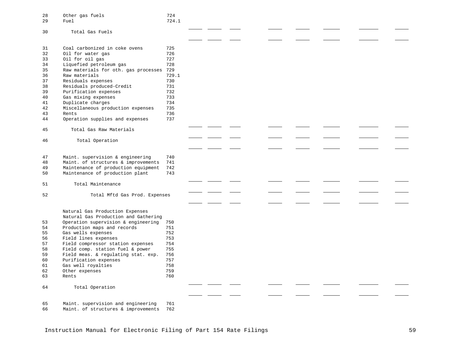| 28<br>29             | Other gas fuels<br>Fuel                                                                          | 724<br>724.1             |  |  |  |  |
|----------------------|--------------------------------------------------------------------------------------------------|--------------------------|--|--|--|--|
| 30                   | Total Gas Fuels                                                                                  |                          |  |  |  |  |
| 31<br>32<br>33<br>34 | Coal carbonized in coke ovens<br>Oil for water gas<br>Oil for oil gas<br>Liquefied petroleum gas | 725<br>726<br>727<br>728 |  |  |  |  |
| 35                   | Raw materials for oth. gas processes                                                             | 729                      |  |  |  |  |
| 36                   | Raw materials                                                                                    | 729.1                    |  |  |  |  |
| 37                   | Residuals expenses                                                                               | 730                      |  |  |  |  |
| 38                   | Residuals produced-Credit                                                                        | 731                      |  |  |  |  |
| 39                   | Purification expenses                                                                            | 732<br>733               |  |  |  |  |
| 40<br>41             | Gas mixing expenses<br>Duplicate charges                                                         | 734                      |  |  |  |  |
| 42                   | Miscellaneous production expenses                                                                | 735                      |  |  |  |  |
| 43                   | Rents                                                                                            | 736                      |  |  |  |  |
| 44                   | Operation supplies and expenses                                                                  | 737                      |  |  |  |  |
| 45                   | Total Gas Raw Materials                                                                          |                          |  |  |  |  |
| 46                   | Total Operation                                                                                  |                          |  |  |  |  |
|                      |                                                                                                  |                          |  |  |  |  |
| 47                   | Maint. supervision & engineering                                                                 | 740                      |  |  |  |  |
| 48                   | Maint. of structures & improvements                                                              | 741                      |  |  |  |  |
| 49                   | Maintenance of production equipment                                                              | 742                      |  |  |  |  |
| 50                   | Maintenance of production plant                                                                  | 743                      |  |  |  |  |
| 51                   | Total Maintenance                                                                                |                          |  |  |  |  |
| 52                   | Total Mftd Gas Prod. Expenses                                                                    |                          |  |  |  |  |
|                      |                                                                                                  |                          |  |  |  |  |
|                      | Natural Gas Production Expenses<br>Natural Gas Production and Gathering                          |                          |  |  |  |  |
| 53                   | Operation supervision & engineering                                                              | 750                      |  |  |  |  |
| 54                   | Production maps and records                                                                      | 751                      |  |  |  |  |
| 55                   | Gas wells expenses                                                                               | 752                      |  |  |  |  |
| 56                   | Field lines expenses                                                                             | 753                      |  |  |  |  |
| 57                   | Field compressor station expenses                                                                | 754                      |  |  |  |  |
| 58<br>59             | Field comp. station fuel & power<br>Field meas. & regulating stat. exp.                          | 755<br>756               |  |  |  |  |
| 60                   | Purification expenses                                                                            | 757                      |  |  |  |  |
| 61                   | Gas well royalties                                                                               | 758                      |  |  |  |  |
| 62                   | Other expenses                                                                                   | 759                      |  |  |  |  |
| 63                   | Rents                                                                                            | 760                      |  |  |  |  |
| 64                   | Total Operation                                                                                  |                          |  |  |  |  |
|                      |                                                                                                  |                          |  |  |  |  |
| 65<br>66             | Maint. supervision and engineering<br>Maint. of structures & improvements                        | 761<br>762               |  |  |  |  |
|                      |                                                                                                  |                          |  |  |  |  |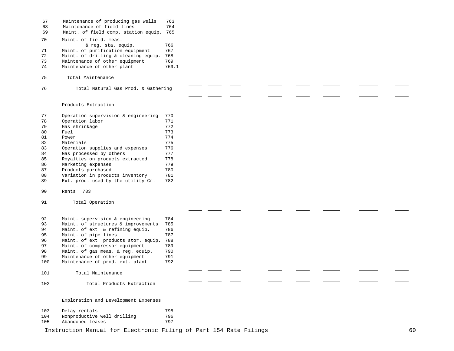| 67<br>68<br>69 | Maintenance of producing gas wells<br>Maintenance of field lines<br>Maint. of field comp. station equip. 765 | 763<br>764 |  |  |  |  |
|----------------|--------------------------------------------------------------------------------------------------------------|------------|--|--|--|--|
| 70             | Maint. of field. meas.<br>& reg. sta. equip.                                                                 | 766        |  |  |  |  |
| 71             | Maint. of purification equipment                                                                             | 767        |  |  |  |  |
| 72             | Maint. of drilling & cleaning equip.                                                                         | 768        |  |  |  |  |
| 73             | Maintenance of other equipment                                                                               | 769        |  |  |  |  |
| 74             | Maintenance of other plant                                                                                   | 769.1      |  |  |  |  |
| 75             | Total Maintenance                                                                                            |            |  |  |  |  |
| 76             | Total Natural Gas Prod. & Gathering                                                                          |            |  |  |  |  |
|                | Products Extraction                                                                                          |            |  |  |  |  |
| 77             | Operation supervision & engineering                                                                          | 770        |  |  |  |  |
| 78             | Operation labor                                                                                              | 771        |  |  |  |  |
| 79             | Gas shrinkage                                                                                                | 772        |  |  |  |  |
| 80             | Fuel                                                                                                         | 773        |  |  |  |  |
| 81             | Power                                                                                                        | 774        |  |  |  |  |
| 82             | Materials                                                                                                    | 775        |  |  |  |  |
| 83             | Operation supplies and expenses                                                                              | 776        |  |  |  |  |
| 84             | Gas processed by others                                                                                      | 777        |  |  |  |  |
| 85<br>86       | Royalties on products extracted<br>Marketing expenses                                                        | 778<br>779 |  |  |  |  |
| 87             | Products purchased                                                                                           | 780        |  |  |  |  |
| 88             | Variation in products inventory                                                                              | 781        |  |  |  |  |
| 89             | Ext. prod. used by the utility-Cr.                                                                           | 782        |  |  |  |  |
| 90             | 783<br>Rents                                                                                                 |            |  |  |  |  |
| 91             | Total Operation                                                                                              |            |  |  |  |  |
| 92             | Maint. supervision & engineering                                                                             | 784        |  |  |  |  |
| 93             | Maint. of structures & improvements                                                                          | 785        |  |  |  |  |
| 94             | Maint. of ext. & refining equip.                                                                             | 786        |  |  |  |  |
| 95             | Maint. of pipe lines                                                                                         | 787        |  |  |  |  |
| 96             | Maint. of ext. products stor. equip.                                                                         | 788        |  |  |  |  |
| 97             | Maint. of compressor equipment                                                                               | 789        |  |  |  |  |
| 98             | Maint. of gas meas. & reg. equip.                                                                            | 790        |  |  |  |  |
| 99<br>100      | Maintenance of other equipment<br>Maintenance of prod. ext. plant                                            | 791<br>792 |  |  |  |  |
| 101            | Total Maintenance                                                                                            |            |  |  |  |  |
| 102            | Total Products Extraction                                                                                    |            |  |  |  |  |
|                |                                                                                                              |            |  |  |  |  |
|                | Exploration and Development Expenses                                                                         |            |  |  |  |  |
| 103            | Delay rentals                                                                                                | 795        |  |  |  |  |
| 104            | Nonproductive well drilling                                                                                  | 796        |  |  |  |  |
| 105            | Abandoned leases                                                                                             | 797        |  |  |  |  |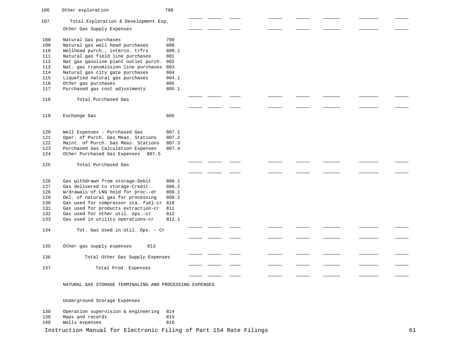| 106 | Other exploration                                                 | 798   |  |  |  |    |
|-----|-------------------------------------------------------------------|-------|--|--|--|----|
| 107 | Total Exploration & Development Exp.                              |       |  |  |  |    |
|     | Other Gas Supply Expenses                                         |       |  |  |  |    |
| 108 | Natural Gas purchases                                             | 799   |  |  |  |    |
| 109 | Natural gas well head purchases                                   | 800   |  |  |  |    |
| 110 | Wellhead purch., interco. trfrs                                   | 800.1 |  |  |  |    |
| 111 | Natural gas field line purchases                                  | 801   |  |  |  |    |
| 112 | Nat gas gasoline plant outlet purch.                              | 802   |  |  |  |    |
| 113 | Nat. gas transmission line purchases                              | 803   |  |  |  |    |
| 114 | Natural gas city gate purchases                                   | 804   |  |  |  |    |
| 115 | Liquefied natural gas purchases                                   | 804.1 |  |  |  |    |
| 116 | Other gas purchases                                               | 805   |  |  |  |    |
|     |                                                                   | 805.1 |  |  |  |    |
| 117 | Purchased gas cost adjustments                                    |       |  |  |  |    |
| 118 | Total Purchased Gas                                               |       |  |  |  |    |
|     |                                                                   |       |  |  |  |    |
| 119 | Exchange Gas                                                      | 806   |  |  |  |    |
|     |                                                                   |       |  |  |  |    |
| 120 | Well Expenses - Purchased Gas                                     | 807.1 |  |  |  |    |
| 121 | Oper. of Purch. Gas Meas. Stations                                | 807.2 |  |  |  |    |
| 122 | Maint. of Purch. Gas Meas. Stations                               | 807.3 |  |  |  |    |
| 123 | Purchased Gas Calculation Expenses                                | 807.4 |  |  |  |    |
| 124 | Other Purchased Gas Expenses 807.5                                |       |  |  |  |    |
| 125 | Total Purchased Gas                                               |       |  |  |  |    |
|     |                                                                   |       |  |  |  |    |
|     |                                                                   |       |  |  |  |    |
| 126 | Gas withdrawn from storage-Debit                                  | 808.1 |  |  |  |    |
| 127 | Gas delivered to storage-Credit                                   | 808.2 |  |  |  |    |
| 128 | W/drawals of LNG held for proc.-dr                                | 809.1 |  |  |  |    |
| 129 | Del. of natural gas for processing                                | 809.2 |  |  |  |    |
| 130 | Gas used for compressor sta. fuel-cr                              | 810   |  |  |  |    |
| 131 | Gas used for products extraction-cr                               | 811   |  |  |  |    |
| 132 | Gas used for other util. ops.-cr                                  | 812   |  |  |  |    |
| 133 | Gas used in utility operations-cr                                 | 812.1 |  |  |  |    |
| 134 | Tot. Gas Used in Util. Ops. - Cr                                  |       |  |  |  |    |
|     |                                                                   |       |  |  |  |    |
| 135 | Other gas supply expenses<br>813                                  |       |  |  |  |    |
|     |                                                                   |       |  |  |  |    |
| 136 | Total Other Gas Supply Expenses                                   |       |  |  |  |    |
| 137 | Total Prod. Expenses                                              |       |  |  |  |    |
|     |                                                                   |       |  |  |  |    |
|     | NATURAL GAS STORAGE TERMINALING AND PROCESSING EXPENSES           |       |  |  |  |    |
|     | Underground Storage Expenses                                      |       |  |  |  |    |
|     |                                                                   |       |  |  |  |    |
| 138 | Operation supervision & engineering                               | 814   |  |  |  |    |
| 139 | Maps and records                                                  | 815   |  |  |  |    |
| 140 | Wells expenses                                                    | 816   |  |  |  |    |
|     | Instruction Manual for Electronic Filing of Part 154 Rate Filings |       |  |  |  | 61 |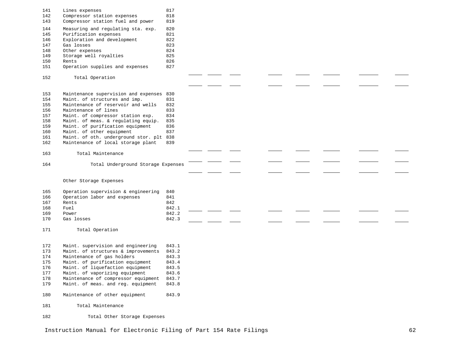| 141<br>142<br>143 | Lines expenses<br>Compressor station expenses<br>Compressor station fuel and power | 817<br>818<br>819 |  |  |  |  |
|-------------------|------------------------------------------------------------------------------------|-------------------|--|--|--|--|
| 144               | Measuring and regulating sta. exp.                                                 | 820<br>821        |  |  |  |  |
| 145<br>146        | Purification expenses                                                              | 822               |  |  |  |  |
| 147               | Exploration and development<br>Gas losses                                          | 823               |  |  |  |  |
| 148               | Other expenses                                                                     | 824               |  |  |  |  |
| 149               | Storage well royalties                                                             | 825               |  |  |  |  |
| 150               | Rents                                                                              | 826               |  |  |  |  |
| 151               | Operation supplies and expenses                                                    | 827               |  |  |  |  |
| 152               | Total Operation                                                                    |                   |  |  |  |  |
|                   |                                                                                    |                   |  |  |  |  |
| 153               | Maintenance supervision and expenses 830                                           |                   |  |  |  |  |
| 154               | Maint. of structures and imp.                                                      | 831               |  |  |  |  |
| 155               | Maintenance of reservoir and wells                                                 | 832               |  |  |  |  |
| 156               | Maintenance of lines                                                               | 833               |  |  |  |  |
| 157               | Maint. of compressor station exp.                                                  | 834               |  |  |  |  |
| 158               | Maint. of meas. & regulating equip.                                                | 835               |  |  |  |  |
| 159               | Maint. of purification equipment                                                   | 836               |  |  |  |  |
| 160               | Maint. of other equipment                                                          | 837               |  |  |  |  |
| 161               | Maint. of oth. underground stor. plt 838<br>Maintenance of local storage plant     | 839               |  |  |  |  |
| 162               |                                                                                    |                   |  |  |  |  |
| 163               | Total Maintenance                                                                  |                   |  |  |  |  |
| 164               | Total Underground Storage Expenses                                                 |                   |  |  |  |  |
|                   |                                                                                    |                   |  |  |  |  |
|                   | Other Storage Expenses                                                             |                   |  |  |  |  |
| 165               | Operation supervision & engineering                                                | 840               |  |  |  |  |
| 166               | Operation labor and expenses                                                       | 841               |  |  |  |  |
| 167               | Rents                                                                              | 842               |  |  |  |  |
| 168               | Fuel                                                                               | 842.1             |  |  |  |  |
| 169               | Power                                                                              | 842.2             |  |  |  |  |
| 170               | Gas losses                                                                         | 842.3             |  |  |  |  |
| 171               | Total Operation                                                                    |                   |  |  |  |  |
| 172               | Maint. supervision and engineering                                                 | 843.1             |  |  |  |  |
| 173               | Maint. of structures & improvements                                                | 843.2             |  |  |  |  |
| 174               | Maintenance of gas holders                                                         | 843.3             |  |  |  |  |
| 175               | Maint. of purification equipment                                                   | 843.4             |  |  |  |  |
| 176               | Maint. of liquefaction equipment                                                   | 843.5             |  |  |  |  |
| 177               | Maint. of vaporizing equipment                                                     | 843.6             |  |  |  |  |
| 178               | Maintenance of compressor equipment                                                | 843.7             |  |  |  |  |
| 179               | Maint. of meas. and reg. equipment                                                 | 843.8             |  |  |  |  |
| 180               | Maintenance of other equipment                                                     | 843.9             |  |  |  |  |
| 181               | Total Maintenance                                                                  |                   |  |  |  |  |
| 182               | Total Other Storage Expenses                                                       |                   |  |  |  |  |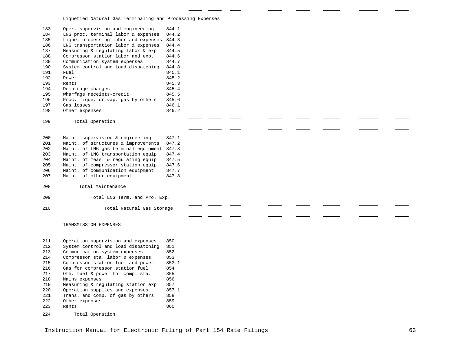Liquefied Natural Gas Terminaling and Processing Expenses

| 183<br>184<br>185<br>186<br>187<br>188<br>189<br>190<br>191<br>192<br>193<br>194<br>195<br>196<br>197<br>198 | Oper. supervision and engineering<br>LNG proc. terminal labor & expenses<br>Lique. processing labor and expenses 844.3<br>LNG transportation labor & expenses<br>Measuring & regulating labor & exp.<br>Compressor station labor and exp.<br>Communication system expenses<br>System control and load dispatching<br>Fuel<br>Power<br>Rents<br>Demurrage charges<br>Wharfage receipts-credit<br>Proc. lique. or vap. gas by others<br>Gas losses<br>Other expenses | 844.1<br>844.2<br>844.4<br>844.5<br>844.6<br>844.7<br>844.8<br>845.1<br>845.2<br>845.3<br>845.4<br>845.5<br>845.6<br>846.1<br>846.2 |  |  |  |  |  |
|--------------------------------------------------------------------------------------------------------------|--------------------------------------------------------------------------------------------------------------------------------------------------------------------------------------------------------------------------------------------------------------------------------------------------------------------------------------------------------------------------------------------------------------------------------------------------------------------|-------------------------------------------------------------------------------------------------------------------------------------|--|--|--|--|--|
| 199                                                                                                          | Total Operation                                                                                                                                                                                                                                                                                                                                                                                                                                                    |                                                                                                                                     |  |  |  |  |  |
|                                                                                                              |                                                                                                                                                                                                                                                                                                                                                                                                                                                                    |                                                                                                                                     |  |  |  |  |  |
| 200<br>201<br>202<br>203<br>204<br>205<br>206<br>207                                                         | Maint. supervision & engineering<br>Maint. of structures & improvements<br>Maint. of LNG gas terminal equipment 847.3<br>Maint. of LNG transportation equip.<br>Maint. of meas. & regulating equip.<br>Maint. of compressor station equip.<br>Maint. of communication equipment<br>Maint. of other equipment                                                                                                                                                       | 847.1<br>847.2<br>847.4<br>847.5<br>847.6<br>847.7<br>847.8                                                                         |  |  |  |  |  |
| 208                                                                                                          | Total Maintenance                                                                                                                                                                                                                                                                                                                                                                                                                                                  |                                                                                                                                     |  |  |  |  |  |
|                                                                                                              |                                                                                                                                                                                                                                                                                                                                                                                                                                                                    |                                                                                                                                     |  |  |  |  |  |
| 209                                                                                                          | Total LNG Term. and Pro. Exp.                                                                                                                                                                                                                                                                                                                                                                                                                                      |                                                                                                                                     |  |  |  |  |  |
| 210                                                                                                          | Total Natural Gas Storage                                                                                                                                                                                                                                                                                                                                                                                                                                          |                                                                                                                                     |  |  |  |  |  |
|                                                                                                              |                                                                                                                                                                                                                                                                                                                                                                                                                                                                    |                                                                                                                                     |  |  |  |  |  |
|                                                                                                              | TRANSMISSION EXPENSES                                                                                                                                                                                                                                                                                                                                                                                                                                              |                                                                                                                                     |  |  |  |  |  |
| 211<br>212<br>213<br>214<br>215<br>216<br>217<br>218<br>219<br>220<br>221<br>222<br>223                      | Operation supervision and expenses<br>System control and load dispatching<br>Communication system expenses<br>Compressor sta. labor & expenses<br>Compressor station fuel and power<br>Gas for compressor station fuel<br>Oth. fuel & power for comp. sta.<br>Mains expenses<br>Measuring & regulating station exp.<br>Operation supplies and expenses<br>Trans. and comp. of gas by others<br>Other expenses<br>Rents                                             | 850<br>851<br>852<br>853<br>853.1<br>854<br>855<br>856<br>857<br>857.1<br>858<br>859<br>860                                         |  |  |  |  |  |
| 224                                                                                                          | Total Operation                                                                                                                                                                                                                                                                                                                                                                                                                                                    |                                                                                                                                     |  |  |  |  |  |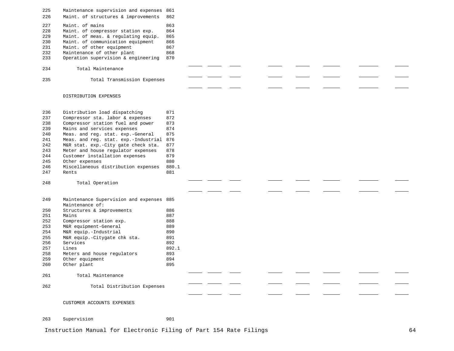| 225 | Maintenance supervision and expenses | 861 |
|-----|--------------------------------------|-----|
| 226 | Maint, of structures & improvements  | 862 |
| 227 | Maint, of mains                      | 863 |
| 228 | Maint. of compressor station exp.    | 864 |
| 229 | Maint, of meas, & regulating equip.  | 865 |
| 230 | Maint, of communication equipment    | 866 |
| 231 | Maint, of other equipment            | 867 |
| 232 | Maintenance of other plant           | 868 |
| 233 | Operation supervision & engineering  | 870 |
| 234 | Total Maintenance                    |     |
| 235 | Total Transmission Expenses          |     |

#### DISTRIBUTION EXPENSES

| 236 | Distribution load dispatching            | 871   |  |  |  |  |  |
|-----|------------------------------------------|-------|--|--|--|--|--|
| 237 | Compressor sta. labor & expenses         | 872   |  |  |  |  |  |
| 238 | Compressor station fuel and power        | 873   |  |  |  |  |  |
| 239 | Mains and services expenses              | 874   |  |  |  |  |  |
| 240 | Meas. and reg. stat. exp.-General        | 875   |  |  |  |  |  |
| 241 | Meas. and reg. stat. exp.-Industrial 876 |       |  |  |  |  |  |
| 242 | M&R stat. exp.-City gate check sta.      | 877   |  |  |  |  |  |
| 243 | Meter and house regulator expenses       | 878   |  |  |  |  |  |
| 244 | Customer installation expenses           | 879   |  |  |  |  |  |
| 245 | Other expenses                           | 880   |  |  |  |  |  |
| 246 | Miscellaneous distribution expenses      | 880.1 |  |  |  |  |  |
| 247 | Rents                                    | 881   |  |  |  |  |  |
|     |                                          |       |  |  |  |  |  |
| 248 | Total Operation                          |       |  |  |  |  |  |
|     |                                          |       |  |  |  |  |  |
|     |                                          |       |  |  |  |  |  |
| 249 | Maintenance Supervision and expenses 885 |       |  |  |  |  |  |
|     | Maintenance of:                          |       |  |  |  |  |  |
| 250 | Structures & improvements                | 886   |  |  |  |  |  |
| 251 | Mains                                    | 887   |  |  |  |  |  |
| 252 | Compressor station exp.                  | 888   |  |  |  |  |  |
| 253 | M&R equipment-General                    | 889   |  |  |  |  |  |
| 254 | M&R equip.-Industrial                    | 890   |  |  |  |  |  |
| 255 | M&R equip.-Citygate chk sta.             | 891   |  |  |  |  |  |
| 256 | Services                                 | 892   |  |  |  |  |  |
| 257 | Lines                                    | 892.1 |  |  |  |  |  |
| 258 | Meters and house regulators              | 893   |  |  |  |  |  |
| 259 | Other equipment                          | 894   |  |  |  |  |  |
| 260 | Other plant                              | 895   |  |  |  |  |  |
| 261 | Total Maintenance                        |       |  |  |  |  |  |
|     |                                          |       |  |  |  |  |  |
| 262 | Total Distribution Expenses              |       |  |  |  |  |  |
|     |                                          |       |  |  |  |  |  |
|     | CUSTOMER ACCOUNTS EXPENSES               |       |  |  |  |  |  |
|     |                                          |       |  |  |  |  |  |

 $\frac{1}{2}$ 

 $\sim$ 

 $\overline{\phantom{0}}$ 

 $\sim$ 

 $\sim$ 

 $\sim$  100  $\mu$ 

 $\mathcal{L}(\mathcal{L})$ 

 $\overline{\phantom{a}}$ 

263 Supervision 901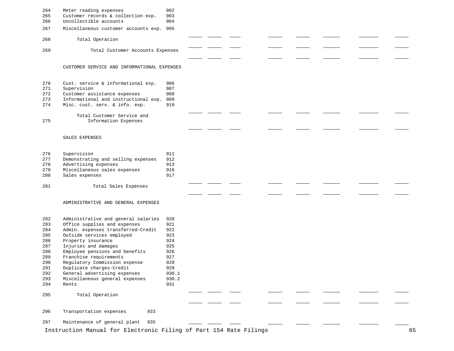| 264<br>265<br>266 | Meter reading expenses<br>Customer records & collection exp.<br>Uncollectible accounts | 902<br>903<br>904 |  |  |  |    |
|-------------------|----------------------------------------------------------------------------------------|-------------------|--|--|--|----|
| 267               | Miscellaneous customer accounts exp. 905                                               |                   |  |  |  |    |
| 268               | Total Operation                                                                        |                   |  |  |  |    |
| 269               | Total Customer Accounts Expenses                                                       |                   |  |  |  |    |
|                   |                                                                                        |                   |  |  |  |    |
|                   | CUSTOMER SERVICE AND INFORMATIONAL EXPENSES                                            |                   |  |  |  |    |
| 270               | Cust. service & informational exp.                                                     | 906               |  |  |  |    |
| 271               | Supervision                                                                            | 907               |  |  |  |    |
| 272               | Customer assistance expenses                                                           | 908               |  |  |  |    |
| 273<br>274        | Informational and instructional exp.<br>Misc. cust. serv. & info. exp.                 | 909<br>910        |  |  |  |    |
|                   |                                                                                        |                   |  |  |  |    |
| 275               | Total Customer Service and<br>Information Expenses                                     |                   |  |  |  |    |
|                   |                                                                                        |                   |  |  |  |    |
|                   | SALES EXPENSES                                                                         |                   |  |  |  |    |
| 276               | Supervision                                                                            | 911               |  |  |  |    |
| 277               | Demonstrating and selling expenses                                                     | 912               |  |  |  |    |
| 278               | Advertising expenses                                                                   | 913               |  |  |  |    |
| 279               | Miscellaneous sales expenses                                                           | 916               |  |  |  |    |
| 280               | Sales expenses                                                                         | 917               |  |  |  |    |
| 281               | Total Sales Expenses                                                                   |                   |  |  |  |    |
|                   |                                                                                        |                   |  |  |  |    |
|                   | ADMINISTRATIVE AND GENERAL EXPENSES                                                    |                   |  |  |  |    |
| 282               | Administrative and general salaries                                                    | 920               |  |  |  |    |
| 283               | Office supplies and expenses                                                           | 921               |  |  |  |    |
| 284<br>285        | Admin. expenses transferred-Credit<br>Outside services employed                        | 922<br>923        |  |  |  |    |
| 286               | Property insurance                                                                     | 924               |  |  |  |    |
| 287               | Injuries and damages                                                                   | 925               |  |  |  |    |
| 288               | Employee pensions and benefits                                                         | 926               |  |  |  |    |
| 289               | Franchise requirements                                                                 | 927               |  |  |  |    |
| 290<br>291        | Regulatory Commission expense<br>Duplicate charges-Credit                              | 928<br>929        |  |  |  |    |
| 292               | General advertising expenses                                                           | 930.1             |  |  |  |    |
| 293               | Miscellaneous general expenses                                                         | 930.2             |  |  |  |    |
| 294               | Rents                                                                                  | 931               |  |  |  |    |
| 295               | Total Operation                                                                        |                   |  |  |  |    |
|                   |                                                                                        |                   |  |  |  |    |
| 296               | Transportation expenses<br>933                                                         |                   |  |  |  |    |
| 297               | Maintenance of general plant<br>935                                                    |                   |  |  |  |    |
|                   | Instruction Manual for Electronic Filing of Part 154 Rate Filings                      |                   |  |  |  | 65 |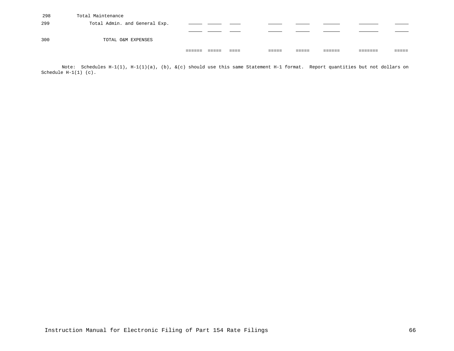| 298 | Total Maintenance             |  |                |       |  |   |
|-----|-------------------------------|--|----------------|-------|--|---|
| 299 | Total Admin. and General Exp. |  |                |       |  |   |
|     |                               |  |                |       |  |   |
| 300 | TOTAL O&M EXPENSES            |  |                |       |  |   |
|     |                               |  | -----<br>----- | ----- |  | . |
|     |                               |  |                |       |  |   |

Note: Schedules H-1(1), H-1(1)(a), (b), &(c) should use this same Statement H-1 format. Report quantities but not dollars on Schedule  $H-1(1)$  (c).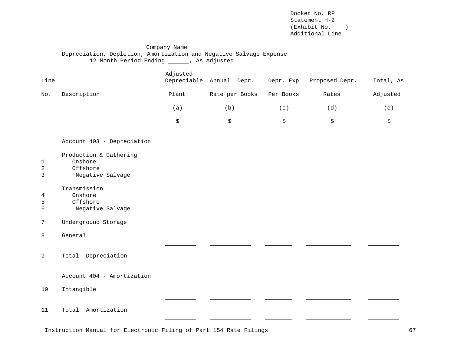Docket No. RP Statement H-2  $(\text{Exhibit No.} \_\_)$ Additional Line

# Company Name Depreciation, Depletion, Amortization and Negative Salvage Expense 12 Month Period Ending (a) As Adjusted

| Line                                |                                                                   | Adjusted | Depreciable Annual Depr. | Depr. Exp | Proposed Depr. | Total, As |
|-------------------------------------|-------------------------------------------------------------------|----------|--------------------------|-----------|----------------|-----------|
| No.                                 | Description                                                       | Plant    | Rate per Books           | Per Books | Rates          | Adjusted  |
|                                     |                                                                   | (a)      | (b)                      | (c)       | (d)            | (e)       |
|                                     |                                                                   | \$       | \$                       | \$        | \$             | \$        |
|                                     | Account 403 - Depreciation                                        |          |                          |           |                |           |
| $\mathbf{1}$<br>$\overline{a}$<br>3 | Production & Gathering<br>Onshore<br>Offshore<br>Negative Salvage |          |                          |           |                |           |
| 4<br>5<br>6                         | Transmission<br>Onshore<br>Offshore<br>Negative Salvage           |          |                          |           |                |           |
| 7                                   | Underground Storage                                               |          |                          |           |                |           |
| 8                                   | General                                                           |          |                          |           |                |           |
| 9                                   | Total Depreciation                                                |          |                          |           |                |           |
|                                     | Account 404 - Amortization                                        |          |                          |           |                |           |
| 10                                  | Intangible                                                        |          |                          |           |                |           |
| 11                                  | Total Amortization                                                |          |                          |           |                |           |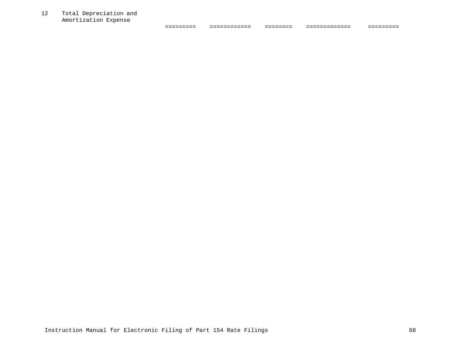12 Total Depreciation and Amortization Expense

| __________ | _____________ | _________ | ______________ | __________ |
|------------|---------------|-----------|----------------|------------|
| __________ | ____________  | ________  | ______________ | _________  |
|            |               |           |                |            |
|            |               |           |                |            |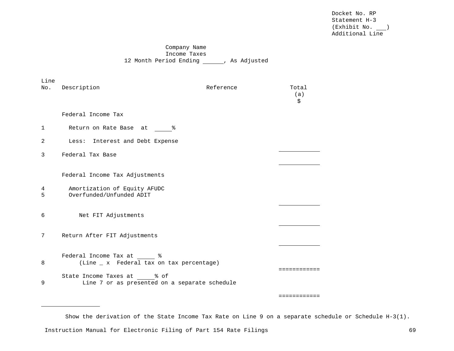Docket No. RP Statement H-3 (Exhibit No. ) Additional Line

# Company Name Income Taxes 12 Month Period Ending , As Adjusted

| Line<br>No.  | Description                                                                 | Reference | Total<br>(a)<br>\$ |
|--------------|-----------------------------------------------------------------------------|-----------|--------------------|
|              | Federal Income Tax                                                          |           |                    |
| $\mathbf{1}$ | Return on Rate Base at<br>ႜ                                                 |           |                    |
| 2            | Less: Interest and Debt Expense                                             |           |                    |
| 3            | Federal Tax Base                                                            |           |                    |
|              | Federal Income Tax Adjustments                                              |           |                    |
| 4<br>5       | Amortization of Equity AFUDC<br>Overfunded/Unfunded ADIT                    |           |                    |
| 6            | Net FIT Adjustments                                                         |           |                    |
| 7            | Return After FIT Adjustments                                                |           |                    |
| 8            | Federal Income Tax at 8<br>(Line _ x Federal tax on tax percentage)         |           | .                  |
| 9            | State Income Taxes at % of<br>Line 7 or as presented on a separate schedule |           |                    |

Show the derivation of the State Income Tax Rate on Line 9 on a separate schedule or Schedule H-3(1).

============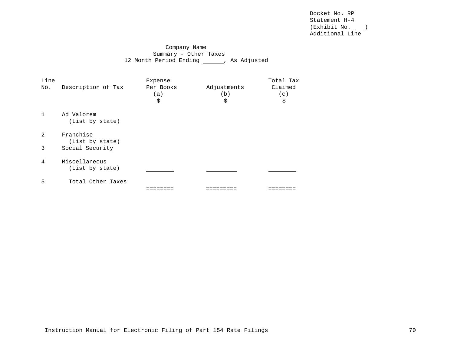Docket No. RP Statement H-4 (Exhibit No. ) Additional Line

# Company Name Summary - Other Taxes 12 Month Period Ending , As Adjusted

| Line<br>No.    | Description of Tax               | Expense<br>Per Books<br>a)<br>\$ | Adjustments<br>(b)<br>\$ | Total Tax<br>Claimed<br>(c)<br>\$ |
|----------------|----------------------------------|----------------------------------|--------------------------|-----------------------------------|
| $\mathbf{1}$   | Ad Valorem<br>(List by state)    |                                  |                          |                                   |
| $\mathfrak{D}$ | Franchise<br>(List by state)     |                                  |                          |                                   |
| 3              | Social Security                  |                                  |                          |                                   |
| 4              | Miscellaneous<br>(List by state) |                                  |                          |                                   |
| 5              | Total Other Taxes                |                                  |                          |                                   |
|                |                                  |                                  |                          |                                   |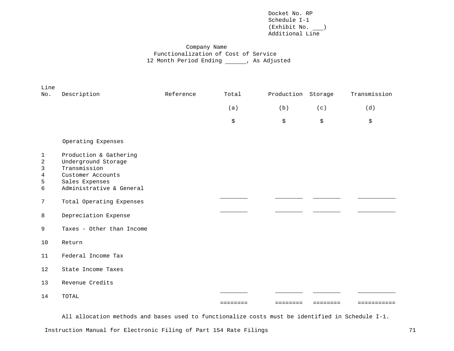# Company Name Functionalization of Cost of Service 12 Month Period Ending \_\_\_\_\_\_, As Adjusted

| Line<br>No.                           | Description                                                                                                                      | Reference | Total    | Production Storage |          | Transmission |
|---------------------------------------|----------------------------------------------------------------------------------------------------------------------------------|-----------|----------|--------------------|----------|--------------|
|                                       |                                                                                                                                  |           | (a)      | (b)                | (c)      | (d)          |
|                                       |                                                                                                                                  |           | \$       | \$                 | \$       | \$           |
|                                       | Operating Expenses                                                                                                               |           |          |                    |          |              |
| 1<br>$\mathbf{2}$<br>3<br>4<br>5<br>6 | Production & Gathering<br>Underground Storage<br>Transmission<br>Customer Accounts<br>Sales Expenses<br>Administrative & General |           |          |                    |          |              |
| 7                                     | Total Operating Expenses                                                                                                         |           |          |                    |          |              |
| 8                                     | Depreciation Expense                                                                                                             |           |          |                    |          |              |
| 9                                     | Taxes - Other than Income                                                                                                        |           |          |                    |          |              |
| 10                                    | Return                                                                                                                           |           |          |                    |          |              |
| 11                                    | Federal Income Tax                                                                                                               |           |          |                    |          |              |
| 12                                    | State Income Taxes                                                                                                               |           |          |                    |          |              |
| 13                                    | Revenue Credits                                                                                                                  |           |          |                    |          |              |
| 14                                    | TOTAL                                                                                                                            |           |          |                    |          |              |
|                                       |                                                                                                                                  |           | ======== | ========           | ======== | ==========   |

All allocation methods and bases used to functionalize costs must be identified in Schedule I-1.

Instruction Manual for Electronic Filing of Part 154 Rate Filings 71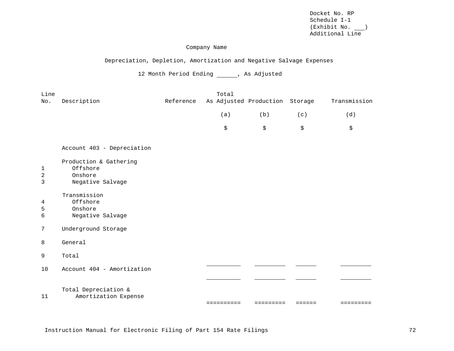### Company Name

# Depreciation, Depletion, Amortization and Negative Salvage Expenses

12 Month Period Ending \_\_\_\_\_\_, As Adjusted

| Line        |                                                                   |           | Total                          |                     |                     |                     |
|-------------|-------------------------------------------------------------------|-----------|--------------------------------|---------------------|---------------------|---------------------|
| No.         | Description                                                       | Reference | As Adjusted Production Storage |                     |                     | Transmission        |
|             |                                                                   |           | (a)                            | (b)                 | (c)                 | (d)                 |
|             |                                                                   |           | \$                             | \$                  | \$                  | \$                  |
|             | Account 403 - Depreciation                                        |           |                                |                     |                     |                     |
| 1<br>2<br>3 | Production & Gathering<br>Offshore<br>Onshore<br>Negative Salvage |           |                                |                     |                     |                     |
| 4<br>5<br>6 | Transmission<br>Offshore<br>Onshore<br>Negative Salvage           |           |                                |                     |                     |                     |
| 7           | Underground Storage                                               |           |                                |                     |                     |                     |
| 8           | General                                                           |           |                                |                     |                     |                     |
| 9           | Total                                                             |           |                                |                     |                     |                     |
| 10          | Account 404 - Amortization                                        |           |                                |                     |                     |                     |
|             |                                                                   |           |                                |                     |                     |                     |
| 11          | Total Depreciation &<br>Amortization Expense                      |           |                                | $=$ = = = = = = = = | $=$ $=$ $=$ $=$ $=$ | $=$ = = = = = = = = |

Instruction Manual for Electronic Filing of Part 154 Rate Filings 72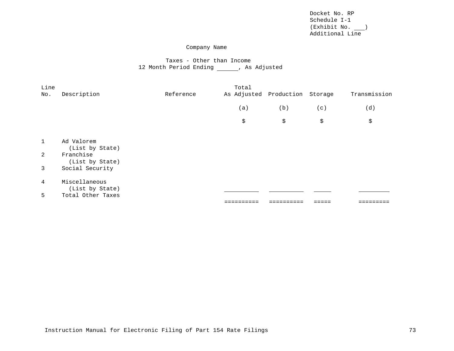### Company Name

# Taxes - Other than Income 12 Month Period Ending \_\_\_\_\_\_, As Adjusted

| Line<br>No. | Description                      | Reference | Total<br>As Adjusted Production Storage |     |     | Transmission |
|-------------|----------------------------------|-----------|-----------------------------------------|-----|-----|--------------|
|             |                                  |           | (a)                                     | (b) | (c) | (d)          |
|             |                                  |           | \$                                      | \$  | \$  | \$           |
|             |                                  |           |                                         |     |     |              |
|             | Ad Valorem<br>(List by State)    |           |                                         |     |     |              |
| 2           | Franchise<br>(List by State)     |           |                                         |     |     |              |
| 3           | Social Security                  |           |                                         |     |     |              |
| 4           | Miscellaneous<br>(List by State) |           |                                         |     |     |              |
| 5           | Total Other Taxes                |           |                                         |     |     |              |
|             |                                  |           |                                         |     |     |              |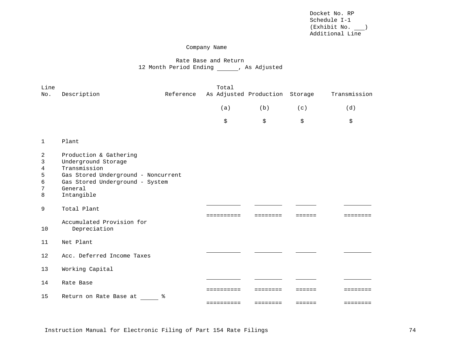### Company Name

# Rate Base and Return 12 Month Period Ending \_\_\_\_\_\_, As Adjusted

| Line                            |                                                                                                                                                                  |           | Total      |                        |                                             |              |
|---------------------------------|------------------------------------------------------------------------------------------------------------------------------------------------------------------|-----------|------------|------------------------|---------------------------------------------|--------------|
| No.                             | Description                                                                                                                                                      | Reference |            | As Adjusted Production | Storage                                     | Transmission |
|                                 |                                                                                                                                                                  |           | (a)        | (b)                    | (c)                                         | (d)          |
|                                 |                                                                                                                                                                  |           | \$         | \$                     | \$                                          | \$           |
| $\mathbf{1}$                    | Plant                                                                                                                                                            |           |            |                        |                                             |              |
| 2<br>3<br>4<br>5<br>6<br>7<br>8 | Production & Gathering<br>Underground Storage<br>Transmission<br>Gas Stored Underground - Noncurrent<br>Gas Stored Underground - System<br>General<br>Intangible |           |            |                        |                                             |              |
| 9                               | Total Plant                                                                                                                                                      |           |            |                        |                                             |              |
| 10                              | Accumulated Provision for<br>Depreciation                                                                                                                        |           | ========== | ========               | $\equiv \equiv \equiv \equiv \equiv \equiv$ | ========     |
| 11                              | Net Plant                                                                                                                                                        |           |            |                        |                                             |              |
| 12                              | Acc. Deferred Income Taxes                                                                                                                                       |           |            |                        |                                             |              |
| 13                              | Working Capital                                                                                                                                                  |           |            |                        |                                             |              |
| 14                              | Rate Base                                                                                                                                                        |           |            |                        |                                             |              |
| 15                              | Return on Rate Base at                                                                                                                                           | ႜ         |            | ======                 | ======                                      | --------     |
|                                 |                                                                                                                                                                  |           | ========== | ========               | ======                                      | ========     |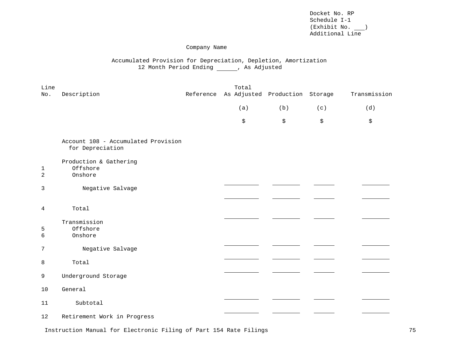### Company Name

# Accumulated Provision for Depreciation, Depletion, Amortization 12 Month Period Ending (and As Adjusted

| Line<br>No. | Description                                             | Total<br>Reference As Adjusted Production Storage |     |     | Transmission |
|-------------|---------------------------------------------------------|---------------------------------------------------|-----|-----|--------------|
|             |                                                         | (a)                                               | (b) | (c) | (d)          |
|             |                                                         | \$                                                | \$  | \$  | \$           |
|             | Account 108 - Accumulated Provision<br>for Depreciation |                                                   |     |     |              |
| 1<br>2      | Production & Gathering<br>Offshore<br>Onshore           |                                                   |     |     |              |
| 3           | Negative Salvage                                        |                                                   |     |     |              |
| 4           | Total<br>Transmission                                   |                                                   |     |     |              |
| 5<br>6      | Offshore<br>Onshore                                     |                                                   |     |     |              |
| 7           | Negative Salvage                                        |                                                   |     |     |              |
| 8           | Total                                                   |                                                   |     |     |              |
| 9           | Underground Storage                                     |                                                   |     |     |              |
| 10          | General                                                 |                                                   |     |     |              |
| 11          | Subtotal                                                |                                                   |     |     |              |
| 12          | Retirement Work in Progress                             |                                                   |     |     |              |

Instruction Manual for Electronic Filing of Part 154 Rate Filings 75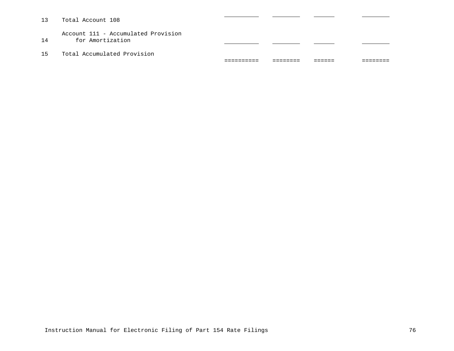13 Total Account 108 Account 111 - Accumulated Provision 14 for Amortization 15 Total Accumulated Provision ========== ======== ====== ========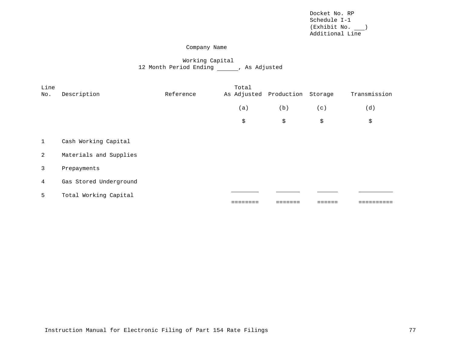## Company Name

# Working Capital 12 Month Period Ending (and As Adjusted

| Line<br>No.  | Description            | Reference | Total | As Adjusted Production Storage |     | Transmission |
|--------------|------------------------|-----------|-------|--------------------------------|-----|--------------|
|              |                        |           | (a)   | (b)                            | (c) | (d)          |
|              |                        |           | \$    | \$                             | \$  | \$           |
|              |                        |           |       |                                |     |              |
| $\mathbf{1}$ | Cash Working Capital   |           |       |                                |     |              |
| 2            | Materials and Supplies |           |       |                                |     |              |
| $\mathbf{3}$ | Prepayments            |           |       |                                |     |              |
| 4            | Gas Stored Underground |           |       |                                |     |              |
| 5            | Total Working Capital  |           |       |                                |     |              |
|              |                        |           |       |                                |     |              |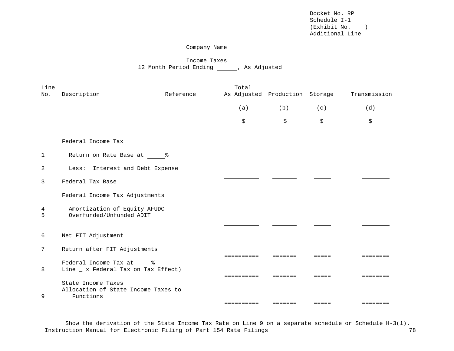### Company Name

# Income Taxes 12 Month Period Ending (and As Adjusted

| Line   |                                                                |           | Total                          |                                                    |                 |                   |
|--------|----------------------------------------------------------------|-----------|--------------------------------|----------------------------------------------------|-----------------|-------------------|
| No.    | Description                                                    | Reference | As Adjusted Production Storage |                                                    |                 | Transmission      |
|        |                                                                |           | (a)                            | (b)                                                | (c)             | (d)               |
|        |                                                                |           | \$                             | \$                                                 | \$              | \$                |
|        | Federal Income Tax                                             |           |                                |                                                    |                 |                   |
| 1      | Return on Rate Base at 8                                       |           |                                |                                                    |                 |                   |
| 2      | Less: Interest and Debt Expense                                |           |                                |                                                    |                 |                   |
| 3      | Federal Tax Base                                               |           |                                |                                                    |                 |                   |
|        | Federal Income Tax Adjustments                                 |           |                                |                                                    |                 |                   |
| 4<br>5 | Amortization of Equity AFUDC<br>Overfunded/Unfunded ADIT       |           |                                |                                                    |                 |                   |
|        |                                                                |           |                                |                                                    |                 |                   |
| 6      | Net FIT Adjustment                                             |           |                                |                                                    |                 |                   |
| 7      | Return after FIT Adjustments                                   |           |                                |                                                    |                 |                   |
| 8      | Federal Income Tax at %<br>Line _ x Federal Tax on Tax Effect) |           | ==========                     | =======                                            | =====           | ========          |
|        | State Income Taxes                                             |           | ==========                     | $=$ $=$ $=$ $=$ $=$ $=$                            | $=$ $=$ $=$ $=$ | $=$ = = = = = = = |
| 9      | Allocation of State Income Taxes to<br>Functions               |           |                                |                                                    |                 |                   |
|        |                                                                |           | ==========                     | $\equiv \equiv \equiv \equiv \equiv \equiv \equiv$ | $=$ $=$ $=$ $=$ | ========          |

Instruction Manual for Electronic Filing of Part 154 Rate Filings 78 Show the derivation of the State Income Tax Rate on Line 9 on a separate schedule or Schedule H-3(1).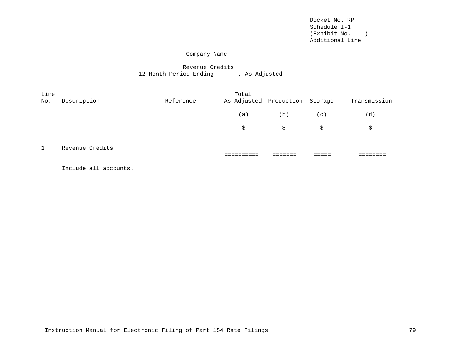### Company Name

# Revenue Credits 12 Month Period Ending \_\_\_\_\_\_, As Adjusted

| Line<br>No.  | Description     | Reference | Total<br>As Adjusted Production Storage |     |     | Transmission |
|--------------|-----------------|-----------|-----------------------------------------|-----|-----|--------------|
|              |                 |           | (a)                                     | (b) | (c) | (d)          |
|              |                 |           | \$                                      | \$  | \$  | \$           |
| $\mathbf{1}$ | Revenue Credits |           |                                         |     |     |              |

Include all accounts.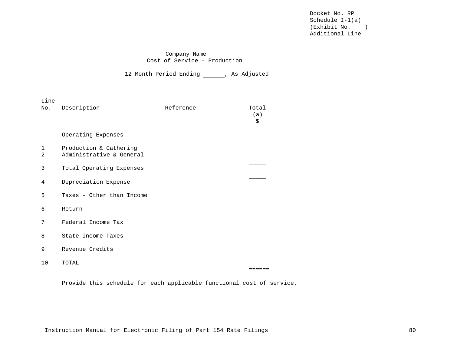### Company Name Cost of Service - Production

12 Month Period Ending \_\_\_\_\_\_, As Adjusted

| Line<br>No.      | Description                                        | Reference | Total<br>(a)<br>\$ |
|------------------|----------------------------------------------------|-----------|--------------------|
|                  | Operating Expenses                                 |           |                    |
| $\mathbf 1$<br>2 | Production & Gathering<br>Administrative & General |           |                    |
| 3                | Total Operating Expenses                           |           |                    |
| 4                | Depreciation Expense                               |           |                    |
| 5                | Taxes - Other than Income                          |           |                    |
| 6                | Return                                             |           |                    |
| 7                | Federal Income Tax                                 |           |                    |
| 8                | State Income Taxes                                 |           |                    |
| 9                | Revenue Credits                                    |           |                    |
| 10               | TOTAL                                              |           |                    |
|                  |                                                    |           |                    |

Provide this schedule for each applicable functional cost of service.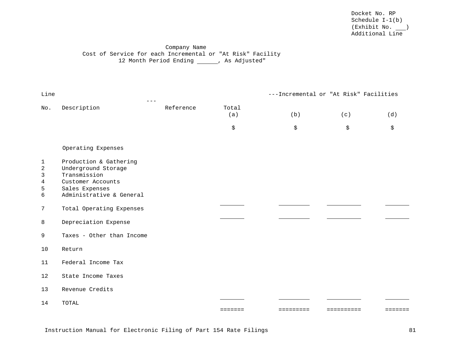# Company Name Cost of Service for each Incremental or "At Risk" Facility 12 Month Period Ending \_\_\_\_\_\_, As Adjusted"

| Line                                              |                                                                                                                                  |           |              | ---Incremental or "At Risk" Facilities |            |         |
|---------------------------------------------------|----------------------------------------------------------------------------------------------------------------------------------|-----------|--------------|----------------------------------------|------------|---------|
| No.                                               | Description                                                                                                                      | Reference | Total<br>(a) | (b)                                    | (c)        | (d)     |
|                                                   |                                                                                                                                  |           | \$           | \$                                     | \$         | \$      |
|                                                   | Operating Expenses                                                                                                               |           |              |                                        |            |         |
| $\mathbf 1$<br>$\overline{a}$<br>3<br>4<br>5<br>6 | Production & Gathering<br>Underground Storage<br>Transmission<br>Customer Accounts<br>Sales Expenses<br>Administrative & General |           |              |                                        |            |         |
| $\overline{7}$                                    | Total Operating Expenses                                                                                                         |           |              |                                        |            |         |
| 8                                                 | Depreciation Expense                                                                                                             |           |              |                                        |            |         |
| 9                                                 | Taxes - Other than Income                                                                                                        |           |              |                                        |            |         |
| 10                                                | Return                                                                                                                           |           |              |                                        |            |         |
| 11                                                | Federal Income Tax                                                                                                               |           |              |                                        |            |         |
| 12                                                | State Income Taxes                                                                                                               |           |              |                                        |            |         |
| 13                                                | Revenue Credits                                                                                                                  |           |              |                                        |            |         |
| 14                                                | TOTAL                                                                                                                            |           | =======      | =========                              | ========== | ======= |
|                                                   |                                                                                                                                  |           |              |                                        |            |         |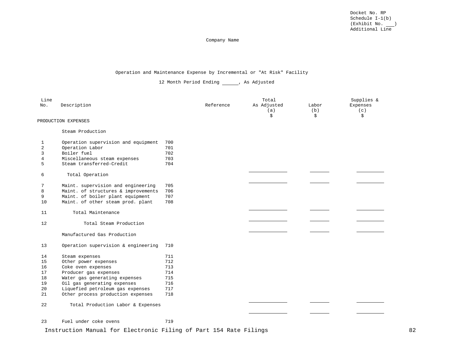#### Company Name

#### Operation and Maintenance Expense by Incremental or "At Risk" Facility

12 Month Period Ending \_\_\_\_\_, As Adjusted

| Line<br>No. | Description                                                           |            | Reference | Total<br>As Adjusted<br>(a)<br>\$ | Labor<br>(b)<br>\$ | Supplies &<br>Expenses<br>(c)<br>\$ |
|-------------|-----------------------------------------------------------------------|------------|-----------|-----------------------------------|--------------------|-------------------------------------|
|             | PRODUCTION EXPENSES                                                   |            |           |                                   |                    |                                     |
|             | Steam Production                                                      |            |           |                                   |                    |                                     |
| 1           | Operation supervision and equipment                                   | 700        |           |                                   |                    |                                     |
| 2           | Operation Labor                                                       | 701        |           |                                   |                    |                                     |
| 3           | Boiler fuel                                                           | 702        |           |                                   |                    |                                     |
| 4           | Miscellaneous steam expenses                                          | 703        |           |                                   |                    |                                     |
| 5           | Steam transferred-Credit                                              | 704        |           |                                   |                    |                                     |
| 6           | Total Operation                                                       |            |           |                                   |                    |                                     |
|             |                                                                       |            |           |                                   |                    |                                     |
| 7           | Maint. supervision and engineering                                    | 705        |           |                                   |                    |                                     |
| 8           | Maint. of structures & improvements                                   | 706        |           |                                   |                    |                                     |
| 9<br>10     | Maint. of boiler plant equipment<br>Maint. of other steam prod. plant | 707<br>708 |           |                                   |                    |                                     |
|             |                                                                       |            |           |                                   |                    |                                     |
| 11          | Total Maintenance                                                     |            |           |                                   |                    |                                     |
| 12          | Total Steam Production                                                |            |           |                                   |                    |                                     |
|             |                                                                       |            |           |                                   |                    |                                     |
|             | Manufactured Gas Production                                           |            |           |                                   |                    |                                     |
| 13          | Operation supervision & engineering                                   | 710        |           |                                   |                    |                                     |
| 14          | Steam expenses                                                        | 711        |           |                                   |                    |                                     |
| 15          | Other power expenses                                                  | 712        |           |                                   |                    |                                     |
| 16          | Coke oven expenses                                                    | 713        |           |                                   |                    |                                     |
| 17          | Producer gas expenses                                                 | 714        |           |                                   |                    |                                     |
| 18          | Water gas generating expenses                                         | 715        |           |                                   |                    |                                     |
| 19          | Oil gas generating expenses                                           | 716        |           |                                   |                    |                                     |
| 20          | Liquefied petroleum gas expenses                                      | 717        |           |                                   |                    |                                     |
| 21          | Other process production expenses                                     | 718        |           |                                   |                    |                                     |
| 22          | Total Production Labor & Expenses                                     |            |           |                                   |                    |                                     |
|             |                                                                       |            |           |                                   |                    |                                     |
| 23          | Fuel under coke ovens                                                 | 719        |           |                                   |                    |                                     |

Instruction Manual for Electronic Filing of Part 154 Rate Filings 62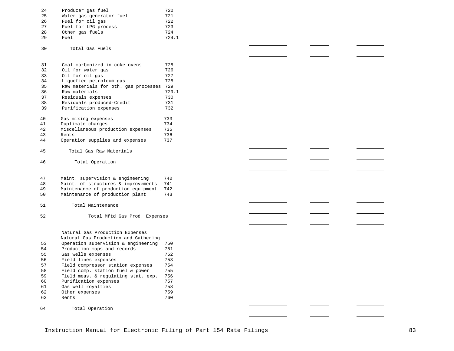| 24 | Producer gas fuel        | 720   |
|----|--------------------------|-------|
| 25 | Water gas generator fuel | 721   |
| 26 | Fuel for oil gas         | 722   |
| 27 | Fuel for LPG process     | 723   |
| 28 | Other gas fuels          | 724   |
| 29 | Fuel                     | 724.1 |
|    |                          |       |

 $\frac{1}{2}$ 

 $\overline{\phantom{a}}$ 

 $\mathcal{L}_{\text{max}}$  . The set of  $\mathcal{L}_{\text{max}}$ 

 $\frac{1}{1}$ 

 $\frac{1}{1} \left( \frac{1}{1} \right) \left( \frac{1}{1} \right) \left( \frac{1}{1} \right) \left( \frac{1}{1} \right) \left( \frac{1}{1} \right) \left( \frac{1}{1} \right) \left( \frac{1}{1} \right) \left( \frac{1}{1} \right) \left( \frac{1}{1} \right) \left( \frac{1}{1} \right) \left( \frac{1}{1} \right) \left( \frac{1}{1} \right) \left( \frac{1}{1} \right) \left( \frac{1}{1} \right) \left( \frac{1}{1} \right) \left( \frac{1}{1} \right) \left( \frac$ 

 $\overline{\phantom{a}}$ 

 $\overline{\phantom{0}}$ 

 $\overline{\phantom{a}}$ 

**Contract** 

 $\overline{\phantom{a}}$ 

 $\mathcal{L}_{\text{max}}$ 

 $\sim$ 

and the contract of the contract of

 $\sim 10^{11}$  and  $\sim 10^{11}$ 

<u> Albanya (Albanya)</u>

Total Gas Fuels

| 31            | Coal carbonized in coke ovens        | 725     |
|---------------|--------------------------------------|---------|
| 32            | Oil for water gas                    | 726     |
| 33            | Oil for oil gas                      | 727     |
| 34            | Liquefied petroleum gas              | 728     |
| 35            | Raw materials for oth. gas processes | 729     |
| 36            | Raw materials                        | 729.1   |
| 37            | Residuals expenses                   | 730     |
| 38            | Residuals produced-Credit            | 731     |
| 39            | Purification expenses                | 732     |
| 40            | Gas mixing expenses                  | 733     |
| 41            | Duplicate charges                    | 734     |
| 42            | Miscellaneous production expenses    | 735     |
| 43            | Rents                                | 736     |
| 44            | Operation supplies and expenses      | 737     |
| 45            | Total Gas Raw Materials              |         |
| 46            | Total Operation                      |         |
| 47            | Maint. supervision & engineering     | 740     |
| 48            | Maint. of structures & improvements  | 741     |
| 49            | Maintenance of production equipment  | 742     |
| 50            | Maintenance of production plant      | 743     |
| 51            | Total Maintenance                    |         |
| 52            | Total Mftd Gas Prod. Expenses        |         |
|               | Natural Gas Production Expenses      |         |
|               | Natural Gas Production and Gathering |         |
| 53            | Operation supervision & engineering  | 750     |
| 54            | Production maps and records          | 751     |
| 55            | Gas wells expenses                   | 752     |
| 56            | Field lines expenses                 | 753     |
| 57            | Field compressor station expenses    | 754     |
| 58            | Field comp. station fuel & power     | 755     |
| 59            | Field meas. & regulating stat. exp.  | 756     |
| 60            | Purification expenses                | 757     |
| 61            | Gas well royalties                   | 758     |
| $\sim$ $\sim$ |                                      | $- - -$ |

| 62 | Other expenses | 759 |
|----|----------------|-----|
| 63 | Rents          | 760 |

Total Operation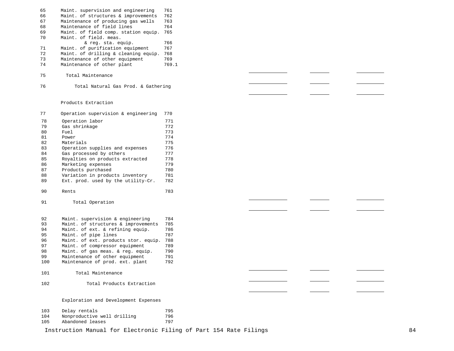| 65 | Maint. supervision and engineering   | 761   |
|----|--------------------------------------|-------|
| 66 | Maint, of structures & improvements  | 762   |
| 67 | Maintenance of producing gas wells   | 763   |
| 68 | Maintenance of field lines           | 764   |
| 69 | Maint, of field comp, station equip. | 765   |
| 70 | Maint, of field, meas.               |       |
|    | & reg. sta. equip.                   | 766   |
| 71 | Maint, of purification equipment     | 767   |
| 72 | Maint. of drilling & cleaning equip. | 768   |
| 73 | Maintenance of other equipment       | 769   |
| 74 | Maintenance of other plant           | 769.1 |
| 75 | Total Maintenance                    |       |

Total Natural Gas Prod. & Gathering

### Products Extraction

| 77  | Operation supervision & engineering  | 770                  |
|-----|--------------------------------------|----------------------|
| 78  | Operation labor                      | 771                  |
| 79  | Gas shrinkage                        | 772                  |
| 80  | Fuel                                 | 773                  |
| 81  | Power                                | 774                  |
| 82  | Materials                            | 775                  |
| 83  | Operation supplies and expenses      | 776                  |
| 84  | Gas processed by others              | 777                  |
| 85  | Royalties on products extracted      | 778                  |
| 86  | Marketing expenses                   | 779                  |
| 87  | Products purchased                   | 780                  |
| 88  | Variation in products inventory      | 781                  |
| 89  | Ext. prod. used by the utility-Cr.   | 782                  |
| 90  | Rents                                | 783                  |
| 91  | Total Operation                      |                      |
| 92  | Maint. supervision & engineering     | 784                  |
| 93  | Maint. of structures & improvements  | 785                  |
| 94  | Maint. of ext. & refining equip.     | 786                  |
| 95  | Maint. of pipe lines                 | 787                  |
| 96  | Maint. of ext. products stor. equip. | 788                  |
| 97  | Maint. of compressor equipment       | 789                  |
| 98  | Maint. of gas meas. & reg. equip.    | 790                  |
| 99  | Maintenance of other equipment       | 791                  |
| 100 | Maintenance of prod. ext. plant      | 792                  |
| 101 | Total Maintenance                    |                      |
| 102 | Total Products Extraction            |                      |
|     | Exploration and Development Expenses |                      |
| 101 | .                                    | $\sim$ $\sim$ $\sim$ |

| 103 | Delay rentals               | 795 |
|-----|-----------------------------|-----|
| 104 | Nonproductive well drilling | 796 |
| 105 | Abandoned leases            | 797 |

Instruction Manual for Electronic Filing of Part 154 Rate Filings 64

<u>and the company of the company of the company of the company of the company of the company of the company of the company of the company of the company of the company of the company of the company of the company of the com</u>

<u> The Common State Common</u>

 $\overline{\phantom{a}}$ 

 $\overline{\phantom{a}}$ 

and the state of the state of the

<u>and</u> the state

<u> Albanya (</u>1995)

 $\frac{1}{2}$  and  $\frac{1}{2}$  and  $\frac{1}{2}$ 

 $\frac{1}{1} \left( \frac{1}{1} \right)^{2} \left( \frac{1}{1} \right)^{2} \left( \frac{1}{1} \right)^{2} \left( \frac{1}{1} \right)^{2} \left( \frac{1}{1} \right)^{2} \left( \frac{1}{1} \right)^{2} \left( \frac{1}{1} \right)^{2} \left( \frac{1}{1} \right)^{2} \left( \frac{1}{1} \right)^{2} \left( \frac{1}{1} \right)^{2} \left( \frac{1}{1} \right)^{2} \left( \frac{1}{1} \right)^{2} \left( \frac{1}{1} \right)^{2} \left( \frac$ 

 $\overline{\phantom{a}}$ 

 $\sim$ 

<u>and a starting</u>

<u>and the company of the company of the company of the company of the company of the company of the company of the company of the company of the company of the company of the company of the company of the company of the com</u>

 $\frac{1}{2}$ 

 $\overline{\phantom{a}}$ 

the control of the control of

 $\overline{\phantom{a}}$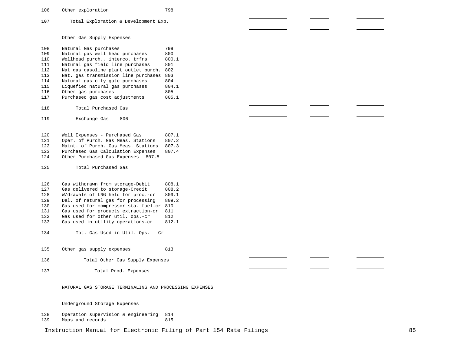106 Other exploration 798

107 Total Exploration & Development Exp.

Other Gas Supply Expenses

108<br>109 Natural Gas purchases 799<br>Natural gas well head purchases 800 109 Natural gas well head purchases 800<br>110 Wellhead purch... interco... trfrs 800.1 110 Wellhead purch., interco. trfrs 800<br>111 Natural gas field line purchases 801 111 Natural gas field line purchases<br>112 Nat gas gasoline plant outlet pur 112 Nat gas gasoline plant outlet purch. 802<br>113 Nat. gas transmission line purchases 803 113 Nat. gas transmission line purchases 803<br>114 Natural gas city gate purchases 804 114 Natural gas city gate purchases 804<br>115 Liquefied natural gas purchases 804.1 115 Liquefied natural gas purchases 804.<br>116 Other gas purchases 805 116 Other gas purchases 305<br>117 Purchased gas cost adjustments 805.1 Purchased gas cost adjustments 118 Total Purchased Gas 119 Exchange Gas 806 120 Well Expenses - Purchased Gas 807.1<br>121 Oper. of Purch. Gas Meas. Stations 807.2 121 Oper. of Purch. Gas Meas. Stations<br>122 Maint. of Purch. Gas Meas. Stations 122 Maint. of Purch. Gas Meas. Stations 807.3<br>123 Purchased Gas Calculation Expenses 807.4 123 Purchased Gas Calculation Expenses<br>124 Other Purchased Gas Expenses 807.5 0ther Purchased Gas Expenses 807.5 125 Total Purchased Gas 126 Gas withdrawn from storage-Debit 808.1<br>127 Gas delivered to storage-Credit 808.2 127 Gas delivered to storage-Credit 808.2<br>128 W/drawals of LNG held for proc.-dr 809.1 128 W/drawals of LNG held for proc.-dr<br>129. Del. of natural gas for processing 129 Del. of natural gas for processing 809.2<br>130 Gas used for compressor sta. fuel-cr 810 130 Gas used for compressor sta. fuel-cr 810<br>131 Gas used for products extraction-cr 811 131 Gas used for products extraction-cr 811<br>132 Gas used for other util. ops.-cr 812 132 Gas used for other util. ops.-cr 812<br>133 Gas used in utility operations-cr 812.1 Gas used in utility operations-cr 134 Tot. Gas Used in Util. Ops. - Cr 135 Other gas supply expenses 813 136 Total Other Gas Supply Expenses 137 Total Prod. Expenses NATURAL GAS STORAGE TERMINALING AND PROCESSING EXPENSES Underground Storage Expenses 138 Operation supervision & engineering 814<br>139 Maps and records 815

Maps and records

Instruction Manual for Electronic Filing of Part 154 Rate Filings 85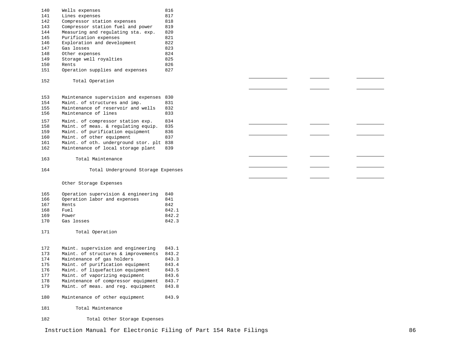| 140 | Wells expenses                           | 816   |  |  |
|-----|------------------------------------------|-------|--|--|
| 141 | Lines expenses                           | 817   |  |  |
| 142 | Compressor station expenses              | 818   |  |  |
| 143 | Compressor station fuel and power        | 819   |  |  |
| 144 | Measuring and regulating sta. exp.       | 820   |  |  |
| 145 | Purification expenses                    | 821   |  |  |
| 146 | Exploration and development              | 822   |  |  |
|     |                                          |       |  |  |
| 147 | Gas losses                               | 823   |  |  |
| 148 | Other expenses                           | 824   |  |  |
| 149 | Storage well royalties                   | 825   |  |  |
| 150 | Rents                                    | 826   |  |  |
| 151 | Operation supplies and expenses          | 827   |  |  |
|     |                                          |       |  |  |
| 152 | Total Operation                          |       |  |  |
|     |                                          |       |  |  |
|     |                                          |       |  |  |
| 153 | Maintenance supervision and expenses 830 |       |  |  |
| 154 | Maint. of structures and imp.            | 831   |  |  |
| 155 | Maintenance of reservoir and wells       | 832   |  |  |
| 156 | Maintenance of lines                     | 833   |  |  |
|     |                                          |       |  |  |
| 157 | Maint. of compressor station exp.        | 834   |  |  |
| 158 | Maint. of meas. & regulating equip.      | 835   |  |  |
| 159 | Maint. of purification equipment         | 836   |  |  |
| 160 | Maint. of other equipment                | 837   |  |  |
| 161 | Maint. of oth. underground stor. plt 838 |       |  |  |
| 162 | Maintenance of local storage plant       | 839   |  |  |
|     |                                          |       |  |  |
| 163 | Total Maintenance                        |       |  |  |
|     |                                          |       |  |  |
|     |                                          |       |  |  |
| 164 | Total Underground Storage Expenses       |       |  |  |
|     |                                          |       |  |  |
|     |                                          |       |  |  |
|     | Other Storage Expenses                   |       |  |  |
|     |                                          |       |  |  |
| 165 | Operation supervision & engineering      | 840   |  |  |
| 166 | Operation labor and expenses             | 841   |  |  |
| 167 | Rents                                    | 842   |  |  |
| 168 | Fuel                                     | 842.1 |  |  |
| 169 | Power                                    | 842.2 |  |  |
| 170 | Gas losses                               | 842.3 |  |  |
|     |                                          |       |  |  |
| 171 | Total Operation                          |       |  |  |
|     |                                          |       |  |  |
|     |                                          |       |  |  |
| 172 | Maint. supervision and engineering       | 843.1 |  |  |
| 173 | Maint. of structures & improvements      | 843.2 |  |  |
| 174 | Maintenance of gas holders               | 843.3 |  |  |
| 175 | Maint. of purification equipment         | 843.4 |  |  |
| 176 | Maint. of liquefaction equipment         | 843.5 |  |  |
|     |                                          |       |  |  |
| 177 | Maint. of vaporizing equipment           | 843.6 |  |  |
| 178 | Maintenance of compressor equipment      | 843.7 |  |  |
| 179 | Maint. of meas. and reg. equipment       | 843.8 |  |  |
|     |                                          |       |  |  |
| 180 | Maintenance of other equipment           | 843.9 |  |  |
|     |                                          |       |  |  |
| 181 | Total Maintenance                        |       |  |  |
| 182 | Total Other Storage Expenses             |       |  |  |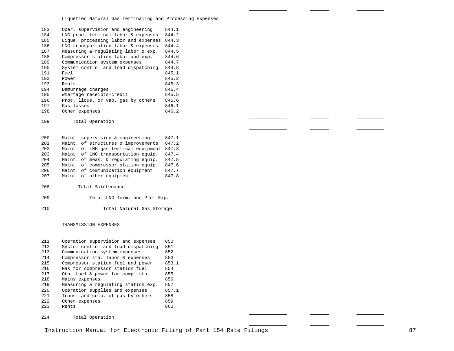Liquefied Natural Gas Terminaling and Processing Expenses

| 183 | Oper. supervision and engineering    | 844.1 |
|-----|--------------------------------------|-------|
| 184 | LNG proc. terminal labor & expenses  | 844.2 |
| 185 | Lique. processing labor and expenses | 844.3 |
| 186 | LNG transportation labor & expenses  | 844.4 |
| 187 | Measuring & regulating labor & exp.  | 844.5 |
| 188 | Compressor station labor and exp.    | 844.6 |
| 189 | Communication system expenses        | 844.7 |
| 190 | System control and load dispatching  | 844.8 |
| 191 | Fuel                                 | 845.1 |
| 192 | Power                                | 845.2 |
| 193 | Rents                                | 845.3 |
| 194 | Demurrage charges                    | 845.4 |
| 195 | Wharfage receipts-credit             | 845.5 |
| 196 | Proc. lique. or vap. gas by others   | 845.6 |
| 197 | Gas losses                           | 846.1 |
| 198 | Other expenses                       | 846.2 |
|     |                                      |       |
| 199 | Total Operation                      |       |
|     |                                      |       |
|     |                                      |       |
| 200 | Maint. supervision & engineering     | 847.1 |
| 201 | Maint. of structures & improvements  | 847.2 |
| 202 | Maint, of LNG gas terminal equipment | 847.3 |
| 203 | Maint. of LNG transportation equip.  | 847.4 |
| 204 | Maint. of meas. & regulating equip.  | 847.5 |
| 205 | Maint. of compressor station equip.  | 847.6 |
| 206 | Maint, of communication equipment    | 847.7 |
| 207 | Maint. of other equipment            | 847.8 |
|     |                                      |       |
| 208 | Total Maintenance                    |       |
| 209 | Total LNG Term. and Pro. Exp.        |       |
|     |                                      |       |
| 210 | Total Natural Gas Storage            |       |

#### TRANSMISSION EXPENSES

| 211 | Operation supervision and expenses  | 850   |
|-----|-------------------------------------|-------|
| 212 | System control and load dispatching | 851   |
| 213 | Communication system expenses       | 852   |
| 214 | Compressor sta. labor & expenses    | 853   |
| 215 | Compressor station fuel and power   | 853.1 |
| 216 | Gas for compressor station fuel     | 854   |
| 217 | Oth. fuel & power for comp. sta.    | 855   |
| 218 | Mains expenses                      | 856   |
| 219 | Measuring & regulating station exp. | 857   |
| 220 | Operation supplies and expenses     | 857.1 |
| 221 | Trans. and comp. of gas by others   | 858   |
| 222 | Other expenses                      | 859   |
| 223 | Rents                               | 860   |
|     |                                     |       |

Total Operation

÷.

 $\sim$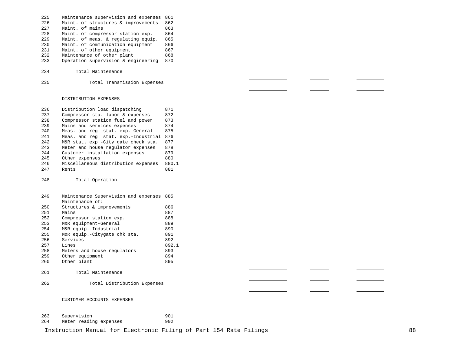- 225 Maintenance supervision and expenses 861<br>226 Maint. of structures & improvements 862 226 Maint. of structures & improvements 862<br>227 Maint. of mains 863 227 Maint. of mains 863<br>228 Maint. of compressor station exp. 864 228 Maint. of compressor station exp.<br>229 Maint. of meas. & requlating equip 229 Maint. of meas. & regulating equip. 865<br>230 Maint. of communication equipment 866 230 Maint. of communication equipment 866<br>231 Maint. of other equipment 867 231 Maint. of other equipment 867<br>232 Maintenance of other plant. 868 232 Maintenance of other plant<br>233 Operation supervision & enc Operation supervision & engineering 870 234 Total Maintenance
- 235 Total Transmission Expenses

#### DISTRIBUTION EXPENSES

236 Distribution load dispatching 871<br>237 Compressor sta. labor & expenses 872 237 Compressor sta. labor & expenses 872<br>238 Compressor station fuel and power 873 238 Compressor station fuel and power 873<br>239 Mains and services expenses 874 239 Mains and services expenses 874<br>240 Meas, and reg. stat. exp.-General 875 240 Meas. and reg. stat. exp.-General<br>241 Meas. and reg. stat. exp.-Industri 241 Meas. and reg. stat. exp.-Industrial 876<br>242 M&R stat. exp.-City gate check sta. 877 242 M&R stat. exp.-City gate check sta. 877<br>243 Meter and house regulator expenses 878 243 Meter and house regulator expenses 878<br>244 Customer installation expenses 879 244 Customer installation expenses 879<br>245 Other expenses 880 245 Other expenses 880 246 Miscellaneous distribution expenses 880.1 247 Rents 881

#### 248 Total Operation

| 249 | Maintenance Supervision and expenses 885 |       |
|-----|------------------------------------------|-------|
|     | Maintenance of:                          |       |
| 250 | Structures & improvements                | 886   |
| 251 | Mains                                    | 887   |
| 252 | Compressor station exp.                  | 888   |
| 253 | M&R equipment-General                    | 889   |
| 254 | M&R equip.-Industrial                    | 890   |
| 255 | M&R equip.-Citygate chk sta.             | 891   |
| 256 | Services                                 | 892   |
| 257 | Lines                                    | 892.1 |
| 258 | Meters and house regulators              | 893   |
| 259 | Other equipment                          | 894   |
| 260 | Other plant                              | 895   |
|     |                                          |       |

- 261 Total Maintenance
- 262 Total Distribution Expenses

#### CUSTOMER ACCOUNTS EXPENSES

| 263 | Supervision            | 901 |
|-----|------------------------|-----|
| 264 | Meter reading expenses | 902 |

Instruction Manual for Electronic Filing of Part 154 Rate Filings 88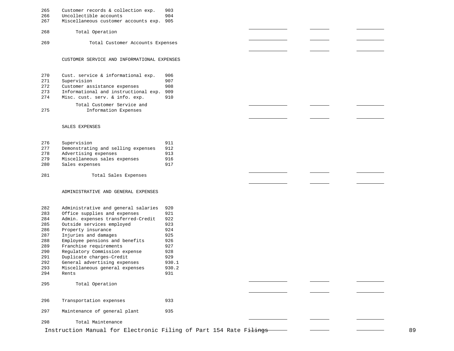| Customer records & collection exp.<br>265 |  |  |  | 903 |
|-------------------------------------------|--|--|--|-----|
|-------------------------------------------|--|--|--|-----|

- 
- 266 Uncollectible accounts 904<br>267 Miscellaneous customer accounts exp. 905 Miscellaneous customer accounts exp. 905
- Total Operation
- Total Customer Accounts Expenses

#### CUSTOMER SERVICE AND INFORMATIONAL EXPENSES

| 270 | Cust. service & informational exp.   | 906   |
|-----|--------------------------------------|-------|
| 271 | Supervision                          | 907   |
| 272 | Customer assistance expenses         | 908   |
| 273 | Informational and instructional exp. | - 909 |

Misc. cust. serv. & info. exp. 910

Total Customer Service and Information Expenses

#### SALES EXPENSES

| 276 | Supervision                        | 911 |
|-----|------------------------------------|-----|
| 277 | Demonstrating and selling expenses | 912 |
| 278 | Advertising expenses               | 913 |
| 279 | Miscellaneous sales expenses       | 916 |
| 280 | Sales expenses                     | 917 |
|     |                                    |     |

# Total Sales Expenses

#### ADMINISTRATIVE AND GENERAL EXPENSES

| 282 | Administrative and general salaries | 920   |
|-----|-------------------------------------|-------|
| 283 | Office supplies and expenses        | 921   |
| 284 | Admin. expenses transferred-Credit  | 922   |
| 285 | Outside services employed           | 923   |
| 286 | Property insurance                  | 924   |
| 287 | Injuries and damages                | 925   |
| 288 | Employee pensions and benefits      | 926   |
| 289 | Franchise requirements              | 927   |
| 290 | Regulatory Commission expense       | 928   |
| 291 | Duplicate charges-Credit            | 929   |
| 292 | General advertising expenses        | 930.1 |
| 293 | Miscellaneous general expenses      | 930.2 |
| 294 | Rents                               | 931   |
|     |                                     |       |
| 295 | Total Operation                     |       |
|     |                                     |       |
|     |                                     |       |
| 296 | Transportation expenses             | 933   |
|     |                                     |       |
| 297 | Maintenance of general plant        | 935   |
|     |                                     |       |
| 298 | Total Maintenance                   |       |

Instruction Manual for Electronic Filing of Part 154 Rate Filings - - - - - - - - - - - - - 89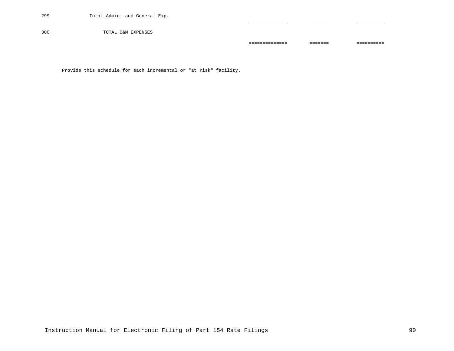300 TOTAL O&M EXPENSES

Provide this schedule for each incremental or "at risk" facility.

============== ======= ==========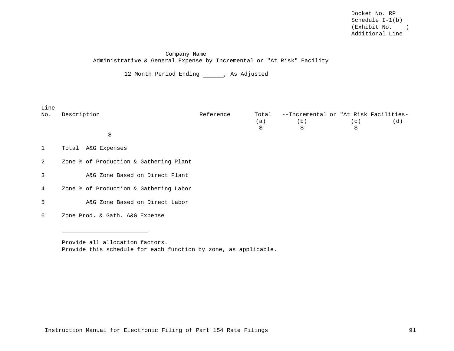## Company Name Administrative & General Expense by Incremental or "At Risk" Facility

12 Month Period Ending \_\_\_\_\_\_, As Adjusted

| Line<br>No.  | Description                            | Reference | Total | --Incremental or "At Risk Facilities- |     |     |
|--------------|----------------------------------------|-----------|-------|---------------------------------------|-----|-----|
|              |                                        |           | (a)   | (b)                                   | (c) | (d) |
|              |                                        |           | \$    | \$                                    | \$  |     |
|              | \$                                     |           |       |                                       |     |     |
| $\mathbf{1}$ | A&G Expenses<br>Total                  |           |       |                                       |     |     |
| 2            | Zone % of Production & Gathering Plant |           |       |                                       |     |     |
| 3            | A&G Zone Based on Direct Plant         |           |       |                                       |     |     |
| 4            | Zone % of Production & Gathering Labor |           |       |                                       |     |     |
| 5            | A&G Zone Based on Direct Labor         |           |       |                                       |     |     |
| 6            | Zone Prod. & Gath. A&G Expense         |           |       |                                       |     |     |

Provide all allocation factors. Provide this schedule for each function by zone, as applicable.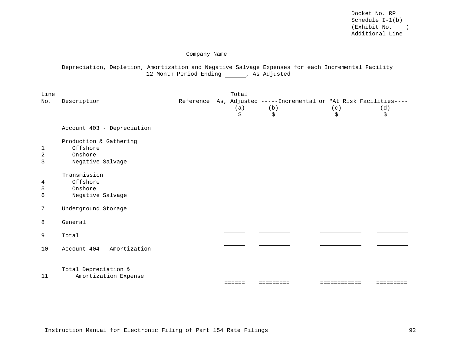Company Name

# Depreciation, Depletion, Amortization and Negative Salvage Expenses for each Incremental Facility 12 Month Period Ending \_\_\_\_\_\_, As Adjusted

| Account 403 - Depreciation<br>Production & Gathering<br>Offshore<br>Onshore<br>Negative Salvage |                      |                      |  |  |
|-------------------------------------------------------------------------------------------------|----------------------|----------------------|--|--|
|                                                                                                 |                      |                      |  |  |
|                                                                                                 |                      |                      |  |  |
| Transmission<br>Offshore<br>Onshore<br>Negative Salvage                                         |                      |                      |  |  |
| Underground Storage                                                                             |                      |                      |  |  |
| General                                                                                         |                      |                      |  |  |
| Total                                                                                           |                      |                      |  |  |
| Account 404 - Amortization                                                                      |                      |                      |  |  |
|                                                                                                 |                      |                      |  |  |
|                                                                                                 | Total Depreciation & | Amortization Expense |  |  |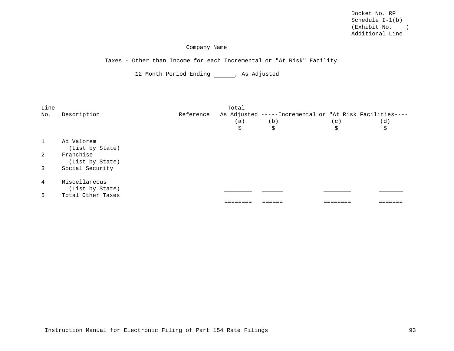### Company Name

Taxes - Other than Income for each Incremental or "At Risk" Facility

12 Month Period Ending \_\_\_\_\_\_, As Adjusted

| Line           |                              |           | Total |                                                         |     |     |
|----------------|------------------------------|-----------|-------|---------------------------------------------------------|-----|-----|
| No.            | Description                  | Reference |       | As Adjusted -----Incremental or "At Risk Facilities---- |     |     |
|                |                              |           | (a)   | (b)                                                     | (c) | (d) |
|                |                              |           | \$    | \$                                                      | \$  | \$  |
| $\overline{1}$ | Ad Valorem                   |           |       |                                                         |     |     |
|                | (List by State)              |           |       |                                                         |     |     |
| $2^{1}$        | Franchise<br>(List by State) |           |       |                                                         |     |     |
| $\overline{3}$ | Social Security              |           |       |                                                         |     |     |
| $\overline{4}$ | Miscellaneous                |           |       |                                                         |     |     |
|                | (List by State)              |           |       |                                                         |     |     |
| 5              | Total Other Taxes            |           |       |                                                         |     |     |
|                |                              |           |       |                                                         |     |     |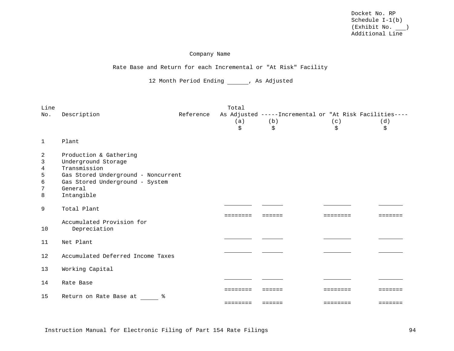### Company Name

### Rate Base and Return for each Incremental or "At Risk" Facility

12 Month Period Ending \_\_\_\_\_\_, As Adjusted

| Line<br>No.                     | Description                                                                                                                                                      | Reference | Total                | As Adjusted -----Incremental or "At Risk Facilities---- |                      |                                                                                        |
|---------------------------------|------------------------------------------------------------------------------------------------------------------------------------------------------------------|-----------|----------------------|---------------------------------------------------------|----------------------|----------------------------------------------------------------------------------------|
|                                 |                                                                                                                                                                  |           | (a)<br>\$            | (b)<br>\$                                               | (c)<br>\$            | (d)<br>\$                                                                              |
| 1                               | Plant                                                                                                                                                            |           |                      |                                                         |                      |                                                                                        |
| 2<br>3<br>4<br>5<br>6<br>7<br>8 | Production & Gathering<br>Underground Storage<br>Transmission<br>Gas Stored Underground - Noncurrent<br>Gas Stored Underground - System<br>General<br>Intangible |           |                      |                                                         |                      |                                                                                        |
| 9                               | Total Plant                                                                                                                                                      |           | ========             | ======                                                  | ========             | -----                                                                                  |
| 10                              | Accumulated Provision for<br>Depreciation                                                                                                                        |           |                      |                                                         |                      |                                                                                        |
| 11                              | Net Plant                                                                                                                                                        |           |                      |                                                         |                      |                                                                                        |
| $12 \overline{ }$               | Accumulated Deferred Income Taxes                                                                                                                                |           |                      |                                                         |                      |                                                                                        |
| 13                              | Working Capital                                                                                                                                                  |           |                      |                                                         |                      |                                                                                        |
| 14                              | Rate Base                                                                                                                                                        |           |                      |                                                         |                      |                                                                                        |
| 15                              | Return on Rate Base at<br>ႜ                                                                                                                                      |           | --------<br>======== | ======<br>$=$ $=$ $=$ $=$ $=$                           | ========<br>======== | =======<br>$\begin{array}{cccccccccccccc} = & = & = & = & = & = & = & = & \end{array}$ |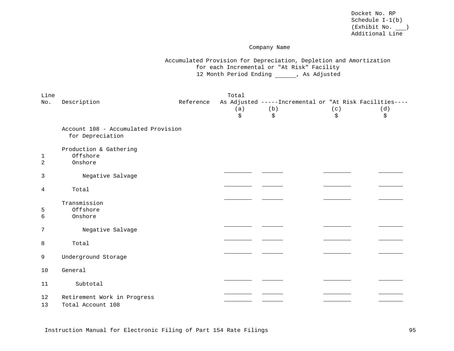### Company Name

Accumulated Provision for Depreciation, Depletion and Amortization for each Incremental or "At Risk" Facility 12 Month Period Ending (and As Adjusted

| Line<br>No.         | Description                                             | Reference | Total<br>(a)<br>\$ | As Adjusted -----Incremental or "At Risk Facilities----<br>(b)<br>\$ | (c)<br>\$ | (d)<br>\$ |
|---------------------|---------------------------------------------------------|-----------|--------------------|----------------------------------------------------------------------|-----------|-----------|
|                     | Account 108 - Accumulated Provision<br>for Depreciation |           |                    |                                                                      |           |           |
| 1<br>$\overline{a}$ | Production & Gathering<br>Offshore<br>Onshore           |           |                    |                                                                      |           |           |
| 3                   | Negative Salvage                                        |           |                    |                                                                      |           |           |
| 4                   | Total                                                   |           |                    |                                                                      |           |           |
| $\overline{5}$<br>6 | Transmission<br>Offshore<br>Onshore                     |           |                    |                                                                      |           |           |
| 7                   | Negative Salvage                                        |           |                    |                                                                      |           |           |
| 8                   | Total                                                   |           |                    |                                                                      |           |           |
| 9                   | Underground Storage                                     |           |                    |                                                                      |           |           |
| 10                  | General                                                 |           |                    |                                                                      |           |           |
| 11                  | Subtotal                                                |           |                    |                                                                      |           |           |
| 12<br>13            | Retirement Work in Progress<br>Total Account 108        |           |                    |                                                                      |           |           |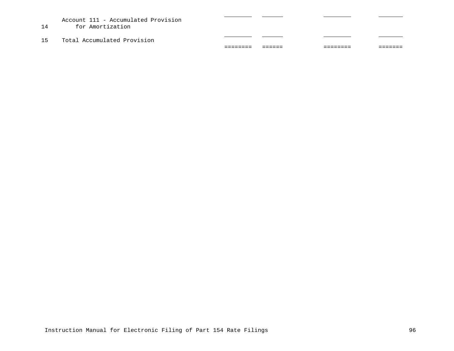Account 111 - Accumulated Provision

- 14 for Amortization
- 15 Total Accumulated Provision

| --------- | _______ | _________ | ________ |
|-----------|---------|-----------|----------|
| _________ | _______ | ________  | _______  |
|           |         |           |          |
|           |         |           |          |
|           |         |           |          |

 $\overline{\phantom{0}}$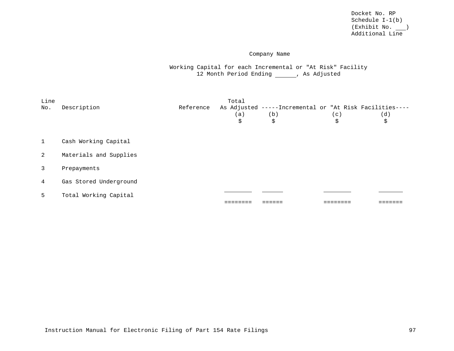# Company Name

Working Capital for each Incremental or "At Risk" Facility 12 Month Period Ending \_\_\_\_\_\_, As Adjusted

| Line<br>No.    | Description            | Reference | Total<br>(a)<br>\$ | As Adjusted -----Incremental or "At Risk Facilities----<br>(b)<br>\$ | (c)<br>\$ | (d)<br>\$ |
|----------------|------------------------|-----------|--------------------|----------------------------------------------------------------------|-----------|-----------|
| <sup>1</sup>   | Cash Working Capital   |           |                    |                                                                      |           |           |
| 2              | Materials and Supplies |           |                    |                                                                      |           |           |
| $\overline{3}$ | Prepayments            |           |                    |                                                                      |           |           |
| $\overline{4}$ | Gas Stored Underground |           |                    |                                                                      |           |           |
| 5              | Total Working Capital  |           |                    |                                                                      |           |           |
|                |                        |           |                    |                                                                      |           |           |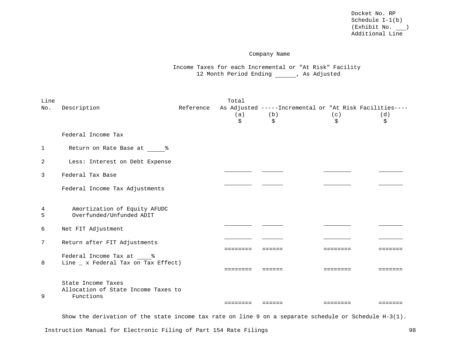### Company Name

Income Taxes for each Incremental or "At Risk" Facility 12 Month Period Ending \_\_\_\_\_\_, As Adjusted

| Line            |                                                                |           | Total    |                                                         |          |         |
|-----------------|----------------------------------------------------------------|-----------|----------|---------------------------------------------------------|----------|---------|
| No.             | Description                                                    | Reference |          | As Adjusted -----Incremental or "At Risk Facilities---- |          |         |
|                 |                                                                |           | (a)      | (b)                                                     | (c)      | (d)     |
|                 |                                                                |           | \$       | \$                                                      | \$       | \$      |
|                 | Federal Income Tax                                             |           |          |                                                         |          |         |
| 1               | Return on Rate Base at 8                                       |           |          |                                                         |          |         |
| 2               | Less: Interest on Debt Expense                                 |           |          |                                                         |          |         |
| $\mathbf{3}$    | Federal Tax Base                                               |           |          |                                                         |          |         |
|                 | Federal Income Tax Adjustments                                 |           |          |                                                         |          |         |
| 4<br>5          | Amortization of Equity AFUDC<br>Overfunded/Unfunded ADIT       |           |          |                                                         |          |         |
| 6               | Net FIT Adjustment                                             |           |          |                                                         |          |         |
| $7\overline{ }$ | Return after FIT Adjustments                                   |           | ======== | ======                                                  | ======== | ======= |
| 8               | Federal Income Tax at %<br>Line _ x Federal Tax on Tax Effect) |           |          |                                                         |          |         |
|                 |                                                                |           | ======== | ======                                                  | ======== | ------- |
|                 | State Income Taxes<br>Allocation of State Income Taxes to      |           |          |                                                         |          |         |
| 9               | Functions                                                      |           |          |                                                         |          |         |
|                 |                                                                |           | ======== | $=$ = = = = =                                           | ======== | ======= |

Show the derivation of the state income tax rate on line 9 on a separate schedule or Schedule H-3(1).

Instruction Manual for Electronic Filing of Part 154 Rate Filings 798 1985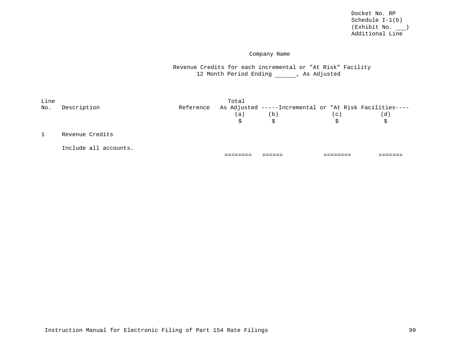## Company Name

Revenue Credits for each incremental or "At Risk" Facility 12 Month Period Ending \_\_\_\_\_\_, As Adjusted

| Line |                       |           | Total |                                                                |     |     |
|------|-----------------------|-----------|-------|----------------------------------------------------------------|-----|-----|
| No.  | Description           | Reference | (a)   | As Adjusted -----Incremental or "At Risk Facilities----<br>(b) | (c) | (d) |
|      |                       |           | \$    | Ŝ.                                                             | \$  | Ŝ.  |
|      | Revenue Credits       |           |       |                                                                |     |     |
|      | Include all accounts. |           |       |                                                                |     |     |
|      |                       |           |       |                                                                |     |     |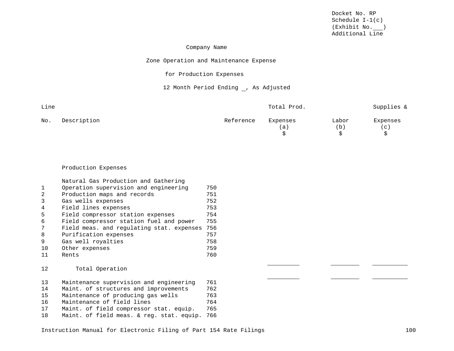and the state of the

 $\sim$ 

### Company Name

# Zone Operation and Maintenance Expense

# for Production Expenses

# 12 Month Period Ending , As Adjusted

| Line |             |           | Total Prod.    |              | Supplies &                        |
|------|-------------|-----------|----------------|--------------|-----------------------------------|
| No.  | Description | Reference | Expenses<br>a) | Labor<br>(b) | Expenses<br>$\left( $ C $\right)$ |

#### Production Expenses

| Natural Gas Production and Gathering      |     |
|-------------------------------------------|-----|
| Operation supervision and engineering     | 750 |
| Production maps and records               | 751 |
| Gas wells expenses                        | 752 |
| Field lines expenses                      | 753 |
| Field compressor station expenses         | 754 |
| Field compressor station fuel and power   | 755 |
| Field meas. and requlating stat. expenses | 756 |
| Purification expenses                     | 757 |
| Gas well royalties                        | 758 |
| Other expenses                            | 759 |
| Rents                                     | 760 |
|                                           |     |

# 12 Total Operation

| 13  | Maintenance supervision and engineering   | 761 |
|-----|-------------------------------------------|-----|
| 14  | Maint. of structures and improvements     | 762 |
| 15  | Maintenance of producing gas wells        | 763 |
| 16  | Maintenance of field lines                | 764 |
| 17  | Maint. of field compressor stat. equip.   | 765 |
| 1 R | Maint. of field meas. & reg. stat. equip. | 766 |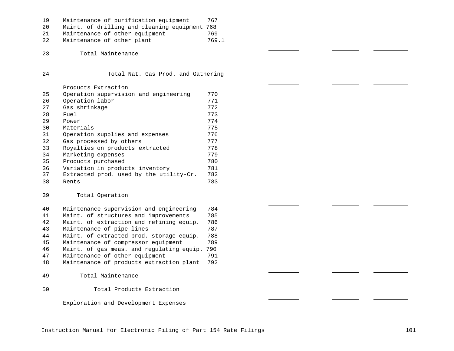| 19  | Maintenance of purification equipment         | 767   |
|-----|-----------------------------------------------|-------|
| 20  | Maint. of drilling and cleaning equipment 768 |       |
| 2.1 | Maintenance of other equipment                | 769   |
| 22  | Maintenance of other plant                    | 769.1 |

Total Maintenance

Total Nat. Gas Prod. and Gathering

Products Extraction

| 25 | Operation supervision and engineering   | 770 |
|----|-----------------------------------------|-----|
| 26 | Operation labor                         | 771 |
| 27 | Gas shrinkage                           | 772 |
| 28 | Fuel                                    | 773 |
| 29 | Power                                   | 774 |
| 30 | Materials                               | 775 |
| 31 | Operation supplies and expenses         | 776 |
| 32 | Gas processed by others                 | 777 |
| 33 | Royalties on products extracted         | 778 |
| 34 | Marketing expenses                      | 779 |
| 35 | Products purchased                      | 780 |
| 36 | Variation in products inventory         | 781 |
| 37 | Extracted prod. used by the utility-Cr. | 782 |
| 38 | Rents                                   | 783 |
|    |                                         |     |

## Total Operation

| 40 | Maintenance supervision and engineering   | 784 |
|----|-------------------------------------------|-----|
| 41 | Maint, of structures and improvements     | 785 |
| 42 | Maint, of extraction and refining equip.  | 786 |
| 43 | Maintenance of pipe lines                 | 787 |
| 44 | Maint. of extracted prod. storage equip.  | 788 |
| 45 | Maintenance of compressor equipment       | 789 |
| 46 | Maint, of gas meas, and regulating equip. | 790 |
| 47 | Maintenance of other equipment            | 791 |
| 48 | Maintenance of products extraction plant  | 792 |
|    |                                           |     |
| 49 | Total Maintenance                         |     |
|    |                                           |     |

### Total Products Extraction

Exploration and Development Expenses

Instruction Manual for Electronic Filing of Part 154 Rate Filings 101 101

 $\sim$ 

 $\overline{\phantom{a}}$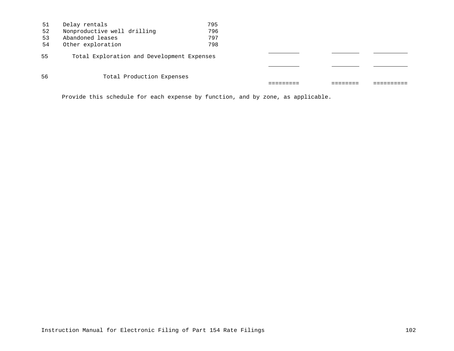| 51 | Delay rentals                              | 795 |  |  |
|----|--------------------------------------------|-----|--|--|
| 52 | Nonproductive well drilling                | 796 |  |  |
| 53 | Abandoned leases                           | 797 |  |  |
| 54 | Other exploration                          | 798 |  |  |
| 55 | Total Exploration and Development Expenses |     |  |  |
|    |                                            |     |  |  |
| 56 | Total Production Expenses                  |     |  |  |
|    |                                            |     |  |  |

Provide this schedule for each expense by function, and by zone, as applicable.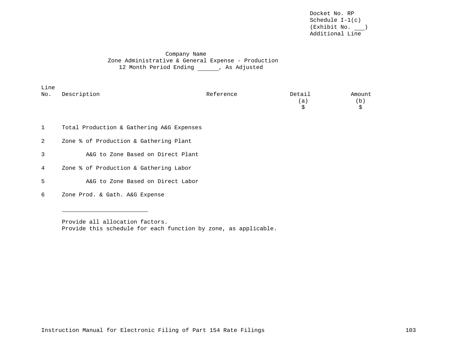# Company Name Zone Administrative & General Expense - Production 12 Month Period Ending (and As Adjusted

| Line |             |           |        |                            |
|------|-------------|-----------|--------|----------------------------|
| No.  | Description | Reference | Detail | Amount                     |
|      |             |           | a      | $\left( \mathbf{b}\right)$ |
|      |             |           |        |                            |
|      |             |           |        |                            |

- 1 Total Production & Gathering A&G Expenses
- 2 Zone % of Production & Gathering Plant
- 3 A&G to Zone Based on Direct Plant
- 4 Zone % of Production & Gathering Labor
- 5 A&G to Zone Based on Direct Labor
- 6 Zone Prod. & Gath. A&G Expense

Provide all allocation factors. Provide this schedule for each function by zone, as applicable.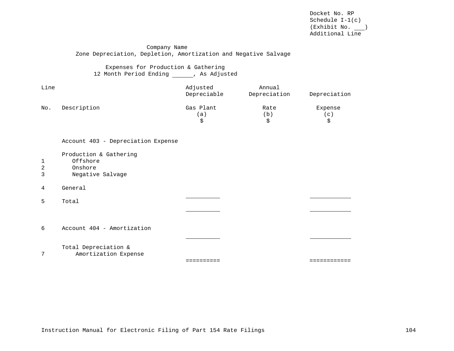### Company Name Zone Depreciation, Depletion, Amortization and Negative Salvage

Expenses for Production & Gathering 12 Month Period Ending \_\_\_\_\_\_, As Adjusted

| Line |             | Adjusted<br>Depreciable | Annual<br>Depreciation | Depreciation |
|------|-------------|-------------------------|------------------------|--------------|
| No.  | Description | Gas Plant               | Rate                   | Expense      |
|      |             | a                       | b.                     | $\mathbf{C}$ |
|      |             |                         |                        |              |

| Account 403 - Depreciation Expense |  |  |
|------------------------------------|--|--|
|------------------------------------|--|--|

Production & Gathering

- 1 Offshore<br>2 Onshore
- 2 Onshore<br>3 Negative
- Negative Salvage
- 4 General

5 Total

6 Account 404 - Amortization

- Total Depreciation &
- 7 Amortization Expense

========== ============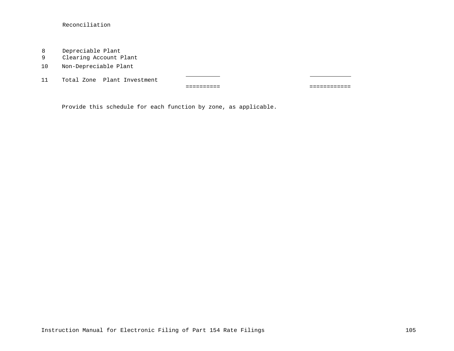Reconciliation

- 8 Depreciable Plant<br>9 Clearing Account P
- Clearing Account Plant
- 10 Non-Depreciable Plant

11 Total Zone Plant Investment

========== ============

Provide this schedule for each function by zone, as applicable.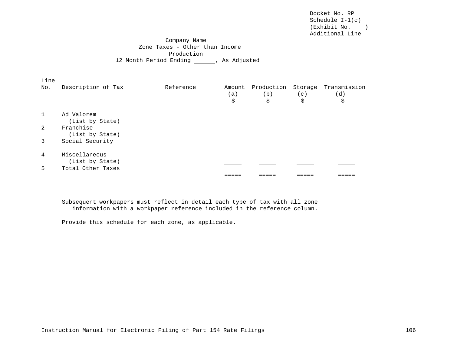Company Name Zone Taxes - Other than Income Production 12 Month Period Ending (and As Adjusted

| Line         |                                  |           |           |           |           |                                                     |
|--------------|----------------------------------|-----------|-----------|-----------|-----------|-----------------------------------------------------|
| No.          | Description of Tax               | Reference | (a)<br>\$ | (b)<br>\$ | (c)<br>\$ | Amount Production Storage Transmission<br>(d)<br>\$ |
| $\mathbf{1}$ | Ad Valorem                       |           |           |           |           |                                                     |
|              | (List by State)                  |           |           |           |           |                                                     |
| 2            | Franchise<br>(List by State)     |           |           |           |           |                                                     |
| 3            | Social Security                  |           |           |           |           |                                                     |
| 4            | Miscellaneous<br>(List by State) |           |           |           |           |                                                     |
| 5            | Total Other Taxes                |           |           |           |           |                                                     |
|              |                                  |           |           |           |           |                                                     |

Subsequent workpapers must reflect in detail each type of tax with all zone information with a workpaper reference included in the reference column.

Provide this schedule for each zone, as applicable.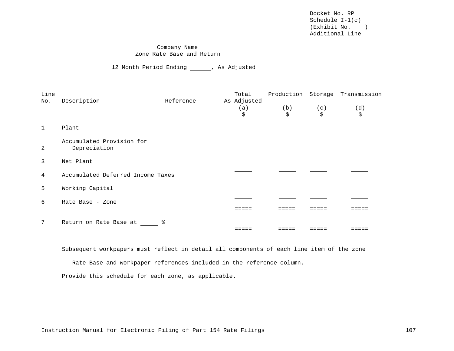Docket No. RP Schedule I-1(c) (Exhibit No. ) Additional Line

## Company Name Zone Rate Base and Return

12 Month Period Ending (a) As Adjusted

| Line           |                                           |           | Total              |     |     | Production Storage Transmission |
|----------------|-------------------------------------------|-----------|--------------------|-----|-----|---------------------------------|
| No.            | Description                               | Reference | As Adjusted<br>(a) | (b) | (c) | (d)                             |
|                |                                           |           | \$                 | \$  | \$  | \$                              |
| $\overline{1}$ | Plant                                     |           |                    |     |     |                                 |
| 2              | Accumulated Provision for<br>Depreciation |           |                    |     |     |                                 |
| 3              | Net Plant                                 |           |                    |     |     |                                 |
| $\overline{4}$ | Accumulated Deferred Income Taxes         |           |                    |     |     |                                 |
| 5              | Working Capital                           |           |                    |     |     |                                 |
| 6              | Rate Base - Zone                          |           |                    |     |     |                                 |
|                |                                           |           |                    |     |     |                                 |
| 7              | Return on Rate Base at                    |           |                    |     |     |                                 |
|                |                                           |           |                    |     |     |                                 |

Subsequent workpapers must reflect in detail all components of each line item of the zone

Rate Base and workpaper references included in the reference column.

Provide this schedule for each zone, as applicable.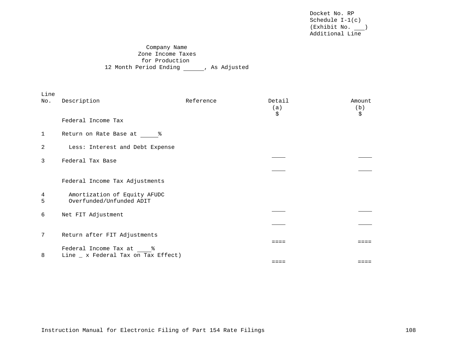Docket No. RP Schedule I-1(c) (Exhibit No. ) Additional Line

## Company Name Zone Income Taxes for Production 12 Month Period Ending (and As Adjusted

| Line<br>No. | Description                                                    | Reference | Detail<br>(a)<br>\$ | Amount<br>(b)<br>\$ |
|-------------|----------------------------------------------------------------|-----------|---------------------|---------------------|
|             | Federal Income Tax                                             |           |                     |                     |
| 1           | Return on Rate Base at 8                                       |           |                     |                     |
| 2           | Less: Interest and Debt Expense                                |           |                     |                     |
| 3           | Federal Tax Base                                               |           |                     |                     |
|             |                                                                |           |                     |                     |
|             | Federal Income Tax Adjustments                                 |           |                     |                     |
| 4<br>5      | Amortization of Equity AFUDC<br>Overfunded/Unfunded ADIT       |           |                     |                     |
| 6           | Net FIT Adjustment                                             |           |                     |                     |
|             |                                                                |           |                     |                     |
| 7           | Return after FIT Adjustments                                   |           |                     |                     |
| 8           | Federal Income Tax at %<br>Line _ x Federal Tax on Tax Effect) |           | ====                |                     |
|             |                                                                |           | $=$ $=$ $=$ $=$     | ====                |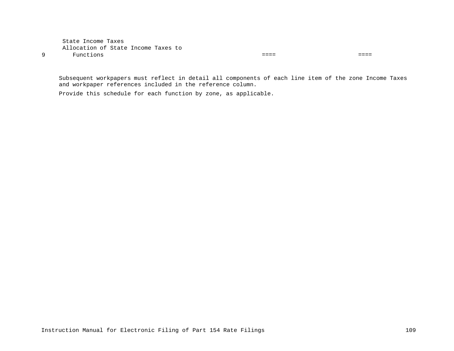State Income Taxes Allocation of State Income Taxes to 9 Functions ==== ====

Subsequent workpapers must reflect in detail all components of each line item of the zone Income Taxes and workpaper references included in the reference column.

Provide this schedule for each function by zone, as applicable.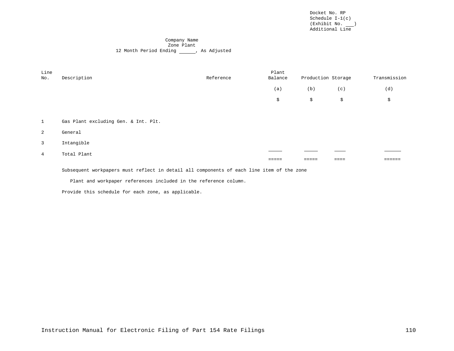Docket No. RP Schedule I-1(c) (Exhibit No. ) Additional Line

#### Company Name Zone Plant 12 Month Period Ending (and As Adjusted

| Line<br>No.    | Description                          | Reference | Plant<br>Balance | Production Storage |     | Transmission |
|----------------|--------------------------------------|-----------|------------------|--------------------|-----|--------------|
|                |                                      |           | (a)              | (b)                | (c) | (d)          |
|                |                                      |           | \$               | \$                 | \$  | \$           |
|                |                                      |           |                  |                    |     |              |
| $\mathbf{1}$   | Gas Plant excluding Gen. & Int. Plt. |           |                  |                    |     |              |
| 2              | General                              |           |                  |                    |     |              |
| $\overline{3}$ | Intangible                           |           |                  |                    |     |              |
| $\overline{4}$ | Total Plant                          |           |                  |                    |     |              |
|                |                                      |           |                  |                    |     |              |

Subsequent workpapers must reflect in detail all components of each line item of the zone

Plant and workpaper references included in the reference column.

Provide this schedule for each zone, as applicable.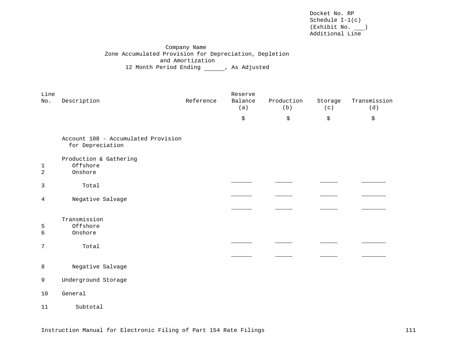Docket No. RP Schedule I-1(c) (Exhibit No. ) Additional Line

Company Name Zone Accumulated Provision for Depreciation, Depletion and Amortization 12 Month Period Ending \_\_\_\_\_\_, As Adjusted

| Line<br>No.         | Description                                             | Reference | Reserve<br>Balance<br>(a) | Production<br>(b) | Storage<br>(c) | Transmission<br>(d) |
|---------------------|---------------------------------------------------------|-----------|---------------------------|-------------------|----------------|---------------------|
|                     |                                                         |           | \$                        | \$                | \$             | \$                  |
|                     | Account 108 - Accumulated Provision<br>for Depreciation |           |                           |                   |                |                     |
| 1<br>$\overline{a}$ | Production & Gathering<br>Offshore<br>Onshore           |           |                           |                   |                |                     |
| 3                   | Total                                                   |           |                           |                   |                |                     |
| 4                   | Negative Salvage                                        |           |                           |                   |                |                     |
|                     |                                                         |           |                           |                   |                |                     |
| 5<br>6              | Transmission<br>Offshore<br>Onshore                     |           |                           |                   |                |                     |
| 7                   | Total                                                   |           |                           |                   |                |                     |
|                     |                                                         |           |                           |                   |                |                     |
| 8                   | Negative Salvage                                        |           |                           |                   |                |                     |
| 9                   | Underground Storage                                     |           |                           |                   |                |                     |
| 10                  | General                                                 |           |                           |                   |                |                     |
| 11                  | Subtotal                                                |           |                           |                   |                |                     |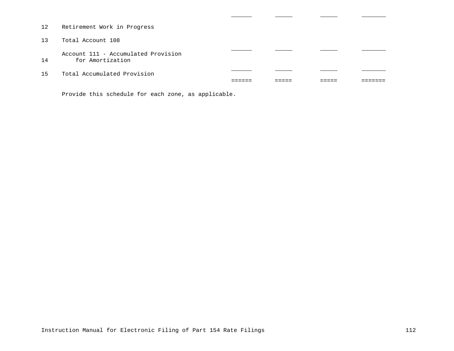- 12 Retirement Work in Progress
- 13 Total Account 108

Account 111 - Accumulated Provision 14 for Amortization

15 Total Accumulated Provision

Provide this schedule for each zone, as applicable.

====== ===== ===== =======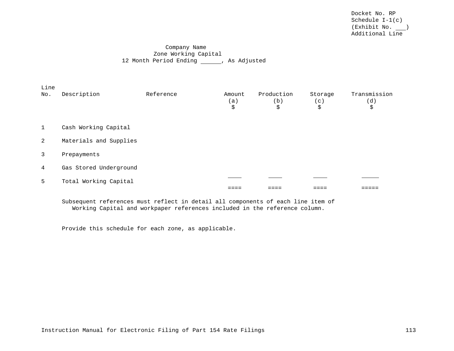## Company Name Zone Working Capital 12 Month Period Ending (and As Adjusted

| Line           |                        |           |                     |                         |                      |                           |
|----------------|------------------------|-----------|---------------------|-------------------------|----------------------|---------------------------|
| No.            | Description            | Reference | Amount<br>(a)<br>\$ | Production<br>(b)<br>\$ | Storage<br>(c)<br>\$ | Transmission<br>(d)<br>\$ |
| $\mathbf{1}$   | Cash Working Capital   |           |                     |                         |                      |                           |
| $\overline{2}$ | Materials and Supplies |           |                     |                         |                      |                           |
| 3              | Prepayments            |           |                     |                         |                      |                           |
| $\overline{4}$ | Gas Stored Underground |           |                     |                         |                      |                           |
| 5              | Total Working Capital  |           |                     |                         |                      |                           |
|                |                        |           |                     |                         |                      |                           |

Subsequent references must reflect in detail all components of each line item of Working Capital and workpaper references included in the reference column.

Provide this schedule for each zone, as applicable.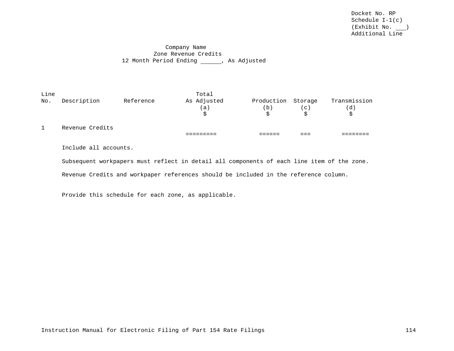## Company Name Zone Revenue Credits 12 Month Period Ending (and Sandjusted

| Line         |                 |           | Total       |                    |       |              |
|--------------|-----------------|-----------|-------------|--------------------|-------|--------------|
| No.          | Description     | Reference | As Adjusted | Production Storage |       | Transmission |
|              |                 |           | (a)         | b)                 | ( c ) | (d)          |
|              |                 |           |             |                    |       | Ŝ.           |
| $\mathbf{1}$ | Revenue Credits |           |             |                    |       |              |
|              |                 |           |             |                    |       |              |
|              |                 |           |             |                    |       |              |

Include all accounts.

Subsequent workpapers must reflect in detail all components of each line item of the zone.

Revenue Credits and workpaper references should be included in the reference column.

Provide this schedule for each zone, as applicable.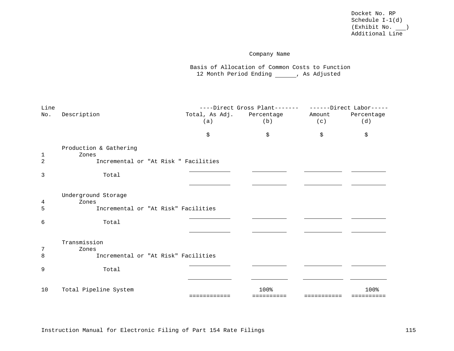# Company Name

Basis of Allocation of Common Costs to Function 12 Month Period Ending \_\_\_\_\_\_, As Adjusted

| Line           |                                              |     |                           |        |            |
|----------------|----------------------------------------------|-----|---------------------------|--------|------------|
| No.            | Description                                  |     | Total, As Adj. Percentage | Amount | Percentage |
|                |                                              | (a) | (b)                       | (c)    | (d)        |
|                |                                              |     |                           |        |            |
|                |                                              | \$  | \$                        | \$     | \$         |
|                |                                              |     |                           |        |            |
|                | Production & Gathering                       |     |                           |        |            |
| 1              | Zones                                        |     |                           |        |            |
| $\overline{c}$ | Incremental or "At Risk " Facilities         |     |                           |        |            |
| 3              | Total                                        |     |                           |        |            |
|                |                                              |     |                           |        |            |
|                |                                              |     |                           |        |            |
|                | Underground Storage                          |     |                           |        |            |
| 4              | Zones                                        |     |                           |        |            |
| 5              | Incremental or "At Risk" Facilities          |     |                           |        |            |
|                |                                              |     |                           |        |            |
| 6              | Total                                        |     |                           |        |            |
|                |                                              |     |                           |        |            |
|                |                                              |     |                           |        |            |
|                | Transmission                                 |     |                           |        |            |
| 7<br>8         | Zones<br>Incremental or "At Risk" Facilities |     |                           |        |            |
|                |                                              |     |                           |        |            |
| 9              | Total                                        |     |                           |        |            |
|                |                                              |     |                           |        |            |
|                |                                              |     |                           |        |            |
| 10             | Total Pipeline System                        |     | 100%                      |        | 100%       |
|                |                                              |     |                           |        |            |
|                |                                              |     |                           |        |            |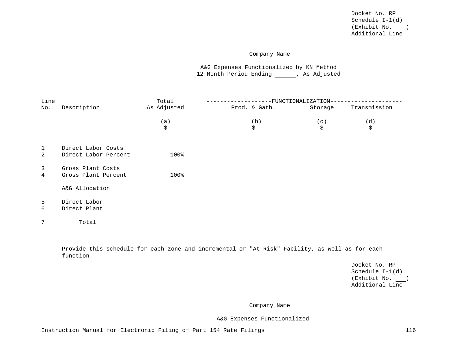### Company Name

A&G Expenses Functionalized by KN Method 12 Month Period Ending , As Adjusted

| Line              |                                            | Total       |               | FUNCTIONALIZATION |              |
|-------------------|--------------------------------------------|-------------|---------------|-------------------|--------------|
| No.               | Description                                | As Adjusted | Prod. & Gath. | Storage           | Transmission |
|                   |                                            | (a)<br>\$   | (b)<br>\$     | (c)<br>\$         | (d)<br>\$    |
| $\mathbf{1}$<br>2 | Direct Labor Costs<br>Direct Labor Percent | 100%        |               |                   |              |
| $\mathbf{3}$<br>4 | Gross Plant Costs<br>Gross Plant Percent   | 100%        |               |                   |              |
|                   | A&G Allocation                             |             |               |                   |              |
| 5<br>6            | Direct Labor<br>Direct Plant               |             |               |                   |              |
| 7                 | Total                                      |             |               |                   |              |

Provide this schedule for each zone and incremental or "At Risk" Facility, as well as for each function.

> Docket No. RP Schedule I-1(d) (Exhibit No. ) Additional Line

Company Name

A&G Expenses Functionalized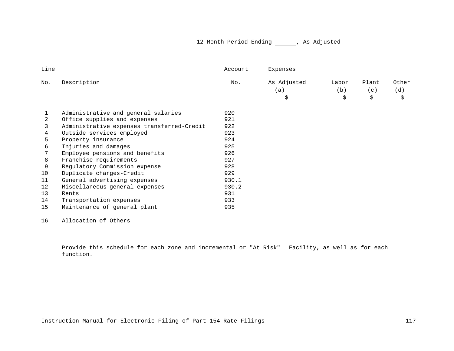# 12 Month Period Ending \_\_\_\_\_\_, As Adjusted

|                                            | Account | Expenses    |       |       |       |
|--------------------------------------------|---------|-------------|-------|-------|-------|
| Description                                | No.     | As Adjusted | Labor | Plant | Other |
|                                            |         | (a)         | (b)   | (c)   | (d)   |
|                                            |         | \$          | \$    | \$    | \$    |
| Administrative and general salaries        | 920     |             |       |       |       |
| Office supplies and expenses               | 921     |             |       |       |       |
| Administrative expenses transferred-Credit | 922     |             |       |       |       |
| Outside services employed                  | 923     |             |       |       |       |
| Property insurance                         | 924     |             |       |       |       |
| Injuries and damages                       | 925     |             |       |       |       |
| Employee pensions and benefits             | 926     |             |       |       |       |
| Franchise requirements                     | 927     |             |       |       |       |
| Regulatory Commission expense              | 928     |             |       |       |       |
| Duplicate charges-Credit                   | 929     |             |       |       |       |
| General advertising expenses               | 930.1   |             |       |       |       |
| Miscellaneous general expenses             | 930.2   |             |       |       |       |
| Rents                                      | 931     |             |       |       |       |
| Transportation expenses                    | 933     |             |       |       |       |
| Maintenance of general plant               | 935     |             |       |       |       |
|                                            |         |             |       |       |       |

Allocation of Others

Provide this schedule for each zone and incremental or "At Risk" Facility, as well as for each function.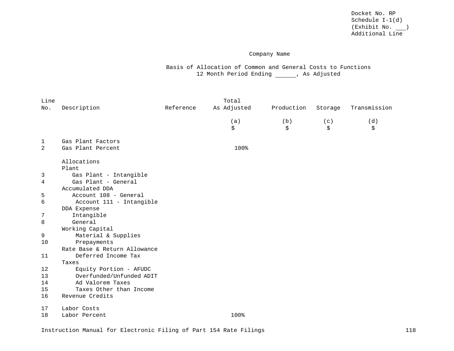## Company Name

Basis of Allocation of Common and General Costs to Functions 12 Month Period Ending \_\_\_\_\_\_, As Adjusted

| Line |                              |           | Total       |            |         |              |
|------|------------------------------|-----------|-------------|------------|---------|--------------|
| No.  | Description                  | Reference | As Adjusted | Production | Storage | Transmission |
|      |                              |           | (a)         | (b)        | (c)     | (d)          |
|      |                              |           | \$          | \$         | \$      | \$           |
| 1    | Gas Plant Factors            |           |             |            |         |              |
| 2    | Gas Plant Percent            |           | 100%        |            |         |              |
|      | Allocations                  |           |             |            |         |              |
|      | Plant                        |           |             |            |         |              |
| 3    | Gas Plant - Intangible       |           |             |            |         |              |
| 4    | Gas Plant - General          |           |             |            |         |              |
|      | Accumulated DDA              |           |             |            |         |              |
| 5    | Account 108 - General        |           |             |            |         |              |
| 6    | Account 111 - Intangible     |           |             |            |         |              |
|      | DDA Expense                  |           |             |            |         |              |
| 7    | Intangible                   |           |             |            |         |              |
| 8    | General                      |           |             |            |         |              |
|      | Working Capital              |           |             |            |         |              |
| 9    | Material & Supplies          |           |             |            |         |              |
| 10   | Prepayments                  |           |             |            |         |              |
|      | Rate Base & Return Allowance |           |             |            |         |              |
| 11   | Deferred Income Tax          |           |             |            |         |              |
|      | Taxes                        |           |             |            |         |              |
| 12   | Equity Portion - AFUDC       |           |             |            |         |              |
| 13   | Overfunded/Unfunded ADIT     |           |             |            |         |              |
| 14   | Ad Valorem Taxes             |           |             |            |         |              |
| 15   | Taxes Other than Income      |           |             |            |         |              |
| 16   | Revenue Credits              |           |             |            |         |              |
| 17   | Labor Costs                  |           |             |            |         |              |
| 18   | Labor Percent                |           | 100%        |            |         |              |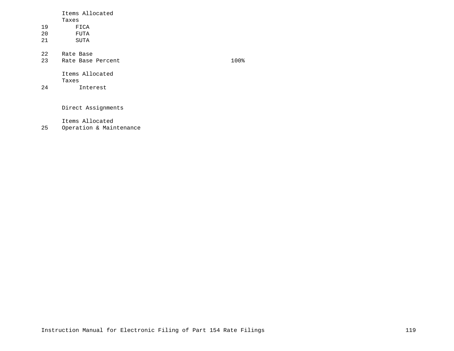|    | Items Allocated   |      |
|----|-------------------|------|
|    | Taxes             |      |
| 19 | FICA              |      |
| 20 | FUTA              |      |
| 21 | SUTA              |      |
| 22 | Rate Base         |      |
| 23 | Rate Base Percent | 100% |
|    | Items Allocated   |      |

Taxes 24 Interest

Direct Assignments

Items Allocated

25 Operation & Maintenance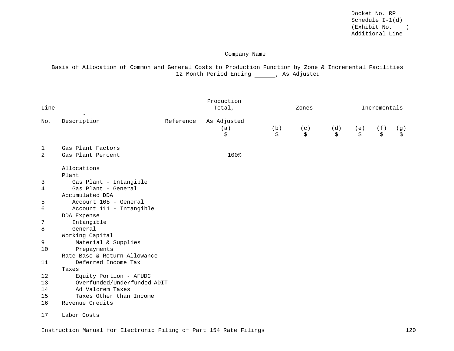## Company Name

Basis of Allocation of Common and General Costs to Production Function by Zone & Incremental Facilities 12 Month Period Ending \_\_\_\_\_, As Adjusted

| Line        |                              |           | Production<br>Total,     |           | -Zones-------- |           |           | ---Incrementals |           |  |
|-------------|------------------------------|-----------|--------------------------|-----------|----------------|-----------|-----------|-----------------|-----------|--|
| No.         | Description                  | Reference | As Adjusted<br>(a)<br>\$ | (b)<br>\$ | (c)<br>\$      | (d)<br>\$ | (e)<br>\$ | (f)<br>\$       | (g)<br>\$ |  |
| $\mathbf 1$ | Gas Plant Factors            |           |                          |           |                |           |           |                 |           |  |
| 2           | Gas Plant Percent            |           | 100%                     |           |                |           |           |                 |           |  |
|             | Allocations<br>Plant         |           |                          |           |                |           |           |                 |           |  |
| 3           | Gas Plant - Intangible       |           |                          |           |                |           |           |                 |           |  |
| 4           | Gas Plant - General          |           |                          |           |                |           |           |                 |           |  |
|             | Accumulated DDA              |           |                          |           |                |           |           |                 |           |  |
| 5           | Account 108 - General        |           |                          |           |                |           |           |                 |           |  |
| 6           | Account 111 - Intangible     |           |                          |           |                |           |           |                 |           |  |
|             | DDA Expense                  |           |                          |           |                |           |           |                 |           |  |
| 7           | Intangible<br>General        |           |                          |           |                |           |           |                 |           |  |
| 8           | Working Capital              |           |                          |           |                |           |           |                 |           |  |
| 9           | Material & Supplies          |           |                          |           |                |           |           |                 |           |  |
| 10          | Prepayments                  |           |                          |           |                |           |           |                 |           |  |
|             | Rate Base & Return Allowance |           |                          |           |                |           |           |                 |           |  |
| 11          | Deferred Income Tax          |           |                          |           |                |           |           |                 |           |  |
|             | Taxes                        |           |                          |           |                |           |           |                 |           |  |
| 12          | Equity Portion - AFUDC       |           |                          |           |                |           |           |                 |           |  |
| 13          | Overfunded/Underfunded ADIT  |           |                          |           |                |           |           |                 |           |  |
| 14          | Ad Valorem Taxes             |           |                          |           |                |           |           |                 |           |  |
| 15          | Taxes Other than Income      |           |                          |           |                |           |           |                 |           |  |
| 16          | Revenue Credits              |           |                          |           |                |           |           |                 |           |  |
| 17          | Labor Costs                  |           |                          |           |                |           |           |                 |           |  |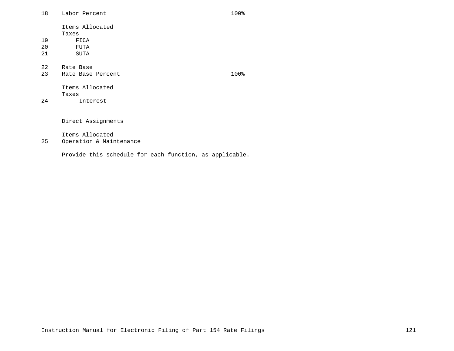18 Labor Percent 100%

Items Allocated Taxes 19 FICA<br>20 FUTA

- 20 FUTA<br>21 SUTA SUTA
- 

22 Rate Base<br>23 Rate Base

Produced Rate Base Percent 100%

Items Allocated Taxes

24 Interest

Direct Assignments

Items Allocated

25 Operation & Maintenance

Provide this schedule for each function, as applicable.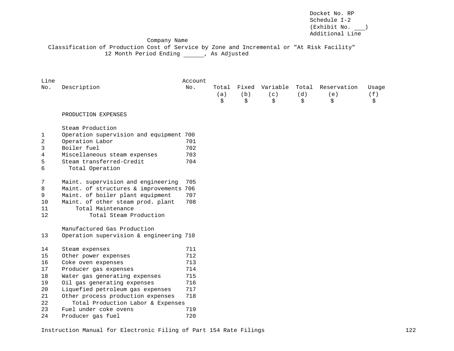Docket No. RP Schedule I-2 (Exhibit No. ) Additional Line

#### Company Name

Classification of Production Cost of Service by Zone and Incremental or "At Risk Facility" 12 Month Period Ending \_\_\_\_\_\_, As Adjusted

| Line |                                         | Account |                    |                    |                       |                    |                          |                    |
|------|-----------------------------------------|---------|--------------------|--------------------|-----------------------|--------------------|--------------------------|--------------------|
| No.  | Description                             | No.     | Total<br>(a)<br>\$ | Fixed<br>(b)<br>\$ | Variable<br>(c)<br>\$ | Total<br>(d)<br>\$ | Reservation<br>(e)<br>\$ | Usage<br>(f)<br>\$ |
|      | PRODUCTION EXPENSES                     |         |                    |                    |                       |                    |                          |                    |
|      | Steam Production                        |         |                    |                    |                       |                    |                          |                    |
| 1    | Operation supervision and equipment 700 |         |                    |                    |                       |                    |                          |                    |
| 2    | Operation Labor                         | 701     |                    |                    |                       |                    |                          |                    |
| 3    | Boiler fuel                             | 702     |                    |                    |                       |                    |                          |                    |
| 4    | Miscellaneous steam expenses            | 703     |                    |                    |                       |                    |                          |                    |
| 5    | Steam transferred-Credit                | 704     |                    |                    |                       |                    |                          |                    |
| 6    | Total Operation                         |         |                    |                    |                       |                    |                          |                    |
| 7    | Maint. supervision and engineering      | 705     |                    |                    |                       |                    |                          |                    |
| 8    | Maint. of structures & improvements 706 |         |                    |                    |                       |                    |                          |                    |
| 9    | Maint. of boiler plant equipment        | 707     |                    |                    |                       |                    |                          |                    |
| 10   | Maint. of other steam prod. plant       | 708     |                    |                    |                       |                    |                          |                    |
| 11   | Total Maintenance                       |         |                    |                    |                       |                    |                          |                    |
| 12   | Total Steam Production                  |         |                    |                    |                       |                    |                          |                    |
|      | Manufactured Gas Production             |         |                    |                    |                       |                    |                          |                    |
| 13   | Operation supervision & engineering 710 |         |                    |                    |                       |                    |                          |                    |
| 14   | Steam expenses                          | 711     |                    |                    |                       |                    |                          |                    |
| 15   | Other power expenses                    | 712     |                    |                    |                       |                    |                          |                    |
| 16   | Coke oven expenses                      | 713     |                    |                    |                       |                    |                          |                    |
| 17   | Producer gas expenses                   | 714     |                    |                    |                       |                    |                          |                    |
| 18   | Water gas generating expenses           | 715     |                    |                    |                       |                    |                          |                    |
| 19   | Oil gas generating expenses             | 716     |                    |                    |                       |                    |                          |                    |
| 20   | Liquefied petroleum gas expenses        | 717     |                    |                    |                       |                    |                          |                    |
| 21   | Other process production expenses       | 718     |                    |                    |                       |                    |                          |                    |
| 22   | Total Production Labor & Expenses       |         |                    |                    |                       |                    |                          |                    |
| 23   | Fuel under coke ovens                   | 719     |                    |                    |                       |                    |                          |                    |
| 24   | Producer gas fuel                       | 720     |                    |                    |                       |                    |                          |                    |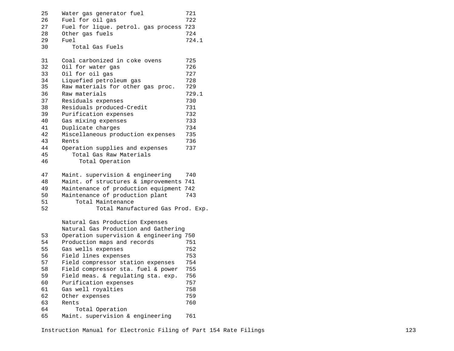| 25 | Water gas generator fuel                | 721   |
|----|-----------------------------------------|-------|
| 26 | Fuel for oil gas                        | 722   |
| 27 | Fuel for lique. petrol. gas process     | 723   |
| 28 | Other gas fuels                         | 724   |
| 29 | Fuel                                    | 724.1 |
| 30 | Total Gas Fuels                         |       |
| 31 | Coal carbonized in coke ovens           | 725   |
| 32 | Oil for water gas                       | 726   |
| 33 | Oil for oil gas                         | 727   |
| 34 | Liquefied petroleum gas                 | 728   |
| 35 | Raw materials for other gas proc.       | 729   |
| 36 | Raw materials                           | 729.1 |
| 37 | Residuals expenses                      | 730   |
| 38 | Residuals produced-Credit               | 731   |
| 39 | Purification expenses                   | 732   |
| 40 | Gas mixing expenses                     | 733   |
| 41 | Duplicate charges                       | 734   |
| 42 | Miscellaneous production expenses       | 735   |
| 43 | Rents                                   | 736   |
| 44 | Operation supplies and expenses         | 737   |
| 45 | Total Gas Raw Materials                 |       |
| 46 | Total Operation                         |       |
|    |                                         |       |
| 47 | Maint. supervision & engineering        | 740   |
| 48 | Maint. of structures & improvements     | 741   |
| 49 | Maintenance of production equipment     | 742   |
| 50 | Maintenance of production plant         | 743   |
| 51 | Total Maintenance                       |       |
| 52 | Total Manufactured Gas Prod. Exp.       |       |
|    |                                         |       |
|    | Natural Gas Production Expenses         |       |
|    | Natural Gas Production and Gathering    |       |
| 53 | Operation supervision & engineering 750 |       |
| 54 | Production maps and records             | 751   |
| 55 | Gas wells expenses                      | 752   |
| 56 | Field lines expenses                    | 753   |
| 57 | Field compressor station expenses       | 754   |
| 58 | Field compressor sta. fuel & power      | 755   |
| 59 | Field meas. & regulating sta. exp.      | 756   |
| 60 | Purification expenses                   | 757   |
| 61 | Gas well royalties                      | 758   |
| 62 | Other expenses                          | 759   |
| 63 | Rents                                   | 760   |
| 64 | Total Operation                         |       |
| 65 | Maint. supervision & engineering        | 761   |
|    |                                         |       |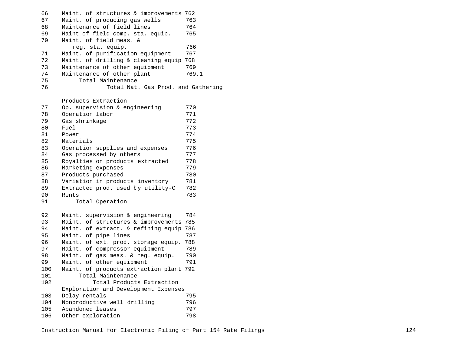| 66 | Maint. of structures & improvements 762 |       |
|----|-----------------------------------------|-------|
| 67 | Maint. of producing gas wells           | 763   |
| 68 | Maintenance of field lines              | 764   |
| 69 | Maint of field comp. sta. equip.        | 765   |
| 70 | Maint, of field meas. &                 |       |
|    | req. sta. equip.                        | 766   |
| 71 | Maint, of purification equipment        | 767   |
| 72 | Maint. of drilling & cleaning equip 768 |       |
| 73 | Maintenance of other equipment          | 769   |
| 74 | Maintenance of other plant              | 769.1 |
| 75 | Total Maintenance                       |       |
| 76 | Total Nat. Gas Prod. and Gathering      |       |
|    |                                         |       |

Products Extraction

| 77  | Op. supervision & engineering        | 770 |
|-----|--------------------------------------|-----|
| 78  | Operation labor                      | 771 |
| 79  | Gas shrinkage                        | 772 |
| 80  | Fuel                                 | 773 |
| 81  | Power                                | 774 |
| 82  | Materials                            | 775 |
| 83  | Operation supplies and expenses      | 776 |
| 84  | Gas processed by others              | 777 |
| 85  | Royalties on products extracted      | 778 |
| 86  | Marketing expenses                   | 779 |
| 87  | Products purchased                   | 780 |
| 88  | Variation in products inventory      | 781 |
| 89  | Extracted prod. used ky utility-C:   | 782 |
| 90  | Rents                                | 783 |
| 91  | Total Operation                      |     |
|     |                                      |     |
| 92  | Maint. supervision & engineering     | 784 |
| 93  | Maint. of structures & improvements  | 785 |
| 94  | Maint. of extract. & refining equip  | 786 |
| 95  | Maint. of pipe lines                 | 787 |
| 96  | Maint. of ext. prod. storage equip.  | 788 |
| 97  | Maint. of compressor equipment       | 789 |
| 98  | Maint. of gas meas. & reg. equip.    | 790 |
| 99  | Maint. of other equipment            | 791 |
| 100 | Maint. of products extraction plant  | 792 |
| 101 | Total Maintenance                    |     |
| 102 | Total Products Extraction            |     |
|     | Exploration and Development Expenses |     |
| 103 | Delay rentals                        | 795 |
| 104 | Nonproductive well drilling          | 796 |
| 105 | Abandoned leases                     | 797 |
| 106 | Other exploration                    | 798 |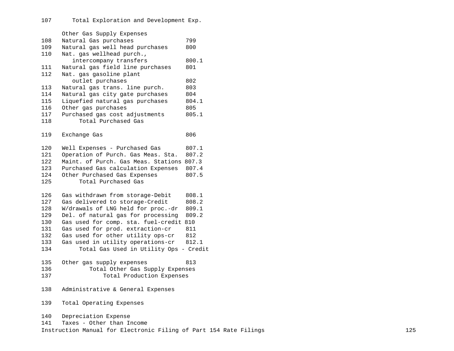Other Gas Supply Expenses 108 Natural Gas purchases 799 109 Natural gas well head purchases<br>110 Nat. gas wellhead purch.. Nat. gas wellhead purch., intercompany transfers 800.1<br>ural gas field line purchases 801 111 Natural gas field line purchases<br>112 Nat. gas gasoline plant Nat. gas gasoline plant outlet purchases and the set of the set of the set of the set of the set of the set of the set of the set of t<br>
803 monotography set of the set of the purch. 113 Natural gas trans. line purch. 803<br>114 Natural gas city gate purchases 804 114 Natural gas city gate purchases 804<br>115 Liquefied natural gas purchases 804.1 115 Liquefied natural gas purchases 804<br>116 Other gas purchases 805 116 Other gas purchases 605<br>117 Purchased gas cost adjustments 805.1 117 Purchased gas cost adjustments<br>118 Total Purchased Gas Total Purchased Gas 119 Exchange Gas 806 120 Well Expenses - Purchased Gas 807.1<br>121 Operation of Purch. Gas Meas. Sta. 807.2 121 Operation of Purch. Gas Meas. Sta.<br>122 Maint. of Purch. Gas Meas. Stations 122 Maint. of Purch. Gas Meas. Stations 807.3<br>123 Purchased Gas calculation Expenses 807.4 123 Purchased Gas calculation Expenses 807.4<br>124 Other Purchased Gas Expenses 807.5 124 Other Purchased Gas Expenses<br>125 Total Purchased Gas Total Purchased Gas 126 Gas withdrawn from storage-Debit 808.1<br>127 Gas delivered to storage-Credit 808.2 127 Gas delivered to storage-Credit<br>128 W/drawals of LNG held for proc.-128 W/drawals of LNG held for proc.-dr 809.1<br>129 Del. of natural gas for processing 809.2 129 Del. of natural gas for processing 809.2<br>130 Gas used for comp. sta. fuel-credit 810 130 Gas used for comp. sta. fuel-credit 810<br>131 Gas used for prod. extraction-cr 811 131 Gas used for prod. extraction-cr 811<br>132 Gas used for other utility ops-cr 812 132 Gas used for other utility ops-cr 812<br>133 Gas used in utility operations-cr 812.1 133 Gas used in utility operations-cr<br>134 Total Gas Used in Utility Ops Total Gas Used in Utility Ops - Credit 135 Other gas supply expenses 813<br>136 Total Other Gas Supply Expenses 136 Total Other Gas Supply Expenses<br>137 Total Production Expenses Total Production Expenses 138 Administrative & General Expenses 139 Total Operating Expenses 140 Depreciation Expense 141 Taxes - Other than Income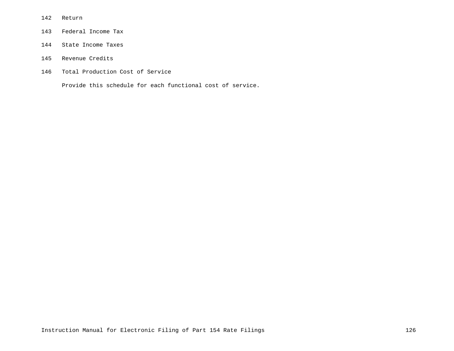- Return
- Federal Income Tax
- State Income Taxes
- Revenue Credits
- Total Production Cost of Service

Provide this schedule for each functional cost of service.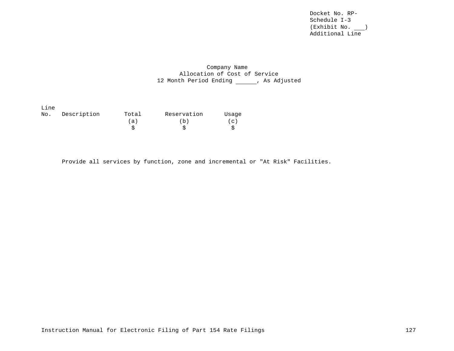Docket No. RP-Schedule I-3 (Exhibit No. ) Additional Line

# Company Name Allocation of Cost of Service 12 Month Period Ending \_\_\_\_\_\_, As Adjusted

| Line |             |       |             |             |
|------|-------------|-------|-------------|-------------|
| No.  | Description | Total | Reservation | Usage       |
|      |             | (a)   | (b)         | $\subset$ ) |
|      |             |       |             |             |

Provide all services by function, zone and incremental or "At Risk" Facilities.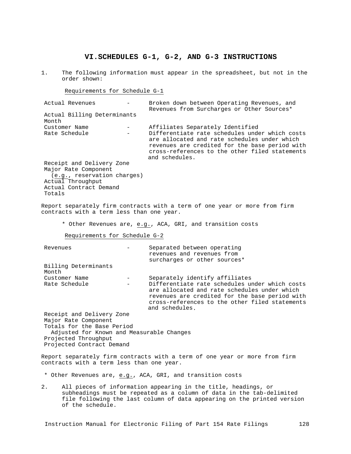# **VI.SCHEDULES G-1, G-2, AND G-3 INSTRUCTIONS**

1. The following information must appear in the spreadsheet, but not in the order shown:

Requirements for Schedule G-1

| Actual Revenues             | Broken down between Operating Revenues, and<br>Revenues from Surcharges or Other Sources*                                                                                                                            |
|-----------------------------|----------------------------------------------------------------------------------------------------------------------------------------------------------------------------------------------------------------------|
| Actual Billing Determinants |                                                                                                                                                                                                                      |
| Month                       |                                                                                                                                                                                                                      |
| Customer Name               | Affiliates Separately Identified                                                                                                                                                                                     |
| Rate Schedule               | Differentiate rate schedules under which costs<br>are allocated and rate schedules under which<br>revenues are credited for the base period with<br>cross-references to the other filed statements<br>and schedules. |
| Receipt and Delivery Zone   |                                                                                                                                                                                                                      |
| Major Rate Component        |                                                                                                                                                                                                                      |
| (e.g., reservation charges) |                                                                                                                                                                                                                      |
| Actual Throughput           |                                                                                                                                                                                                                      |
| Actual Contract Demand      |                                                                                                                                                                                                                      |
| Totals                      |                                                                                                                                                                                                                      |

Report separately firm contracts with a term of one year or more from firm contracts with a term less than one year.

\* Other Revenues are, e.g., ACA, GRI, and transition costs

Requirements for Schedule G-2

| Revenues                                  | Separated between operating                                                                                                                                                                                          |
|-------------------------------------------|----------------------------------------------------------------------------------------------------------------------------------------------------------------------------------------------------------------------|
|                                           | revenues and revenues from                                                                                                                                                                                           |
|                                           | surcharges or other sources*                                                                                                                                                                                         |
| Billing Determinants<br>Month             |                                                                                                                                                                                                                      |
| Customer Name                             | Separately identify affiliates                                                                                                                                                                                       |
| Rate Schedule                             | Differentiate rate schedules under which costs<br>are allocated and rate schedules under which<br>revenues are credited for the base period with<br>cross-references to the other filed statements<br>and schedules. |
| Receipt and Delivery Zone                 |                                                                                                                                                                                                                      |
| Major Rate Component                      |                                                                                                                                                                                                                      |
| Totals for the Base Period                |                                                                                                                                                                                                                      |
| Adjusted for Known and Measurable Changes |                                                                                                                                                                                                                      |
| Projected Throughput                      |                                                                                                                                                                                                                      |
| Projected Contract Demand                 |                                                                                                                                                                                                                      |

Report separately firm contracts with a term of one year or more from firm contracts with a term less than one year.

- \* Other Revenues are, e.g., ACA, GRI, and transition costs
- 2. All pieces of information appearing in the title, headings, or subheadings must be repeated as a column of data in the tab-delimited file following the last column of data appearing on the printed version of the schedule.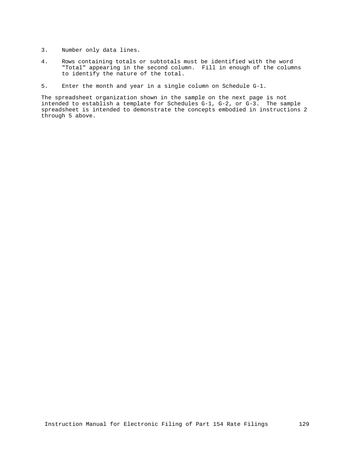- 3. Number only data lines.
- 4. Rows containing totals or subtotals must be identified with the word "Total" appearing in the second column. Fill in enough of the columns to identify the nature of the total.
- 5. Enter the month and year in a single column on Schedule G-1.

The spreadsheet organization shown in the sample on the next page is not intended to establish a template for Schedules G-1, G-2, or G-3. The sample spreadsheet is intended to demonstrate the concepts embodied in instructions 2 through 5 above.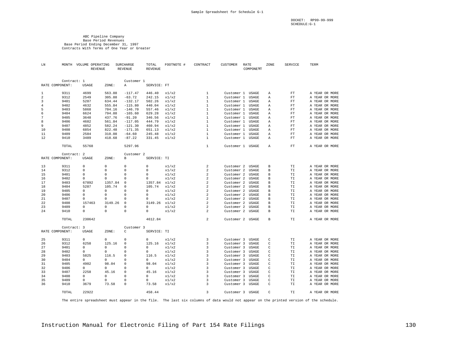DOCKET: RP99-99-999 SCHEDULE:G-1

#### ABC Pipeline Company Base Period Revenues Base Period Ending December 31, 1997 Contracts With Terms of One Year or Greater

| LN             |                 | MONTH VOLUME OPERATING<br><b>REVENUE</b> |                  | <b>SURCHARGE</b><br>REVENUE | TOTAL<br><b>REVENUE</b> | FOOTNOTE #     | CONTRACT                     | <b>CUSTOMER</b>          | RATE<br>COMPONENT | ZONE         | <b>SERVICE</b> | TERM                             |
|----------------|-----------------|------------------------------------------|------------------|-----------------------------|-------------------------|----------------|------------------------------|--------------------------|-------------------|--------------|----------------|----------------------------------|
|                | Contract: 1     |                                          |                  | Customer 1                  |                         |                |                              |                          |                   |              |                |                                  |
|                | RATE COMPONENT: | USAGE                                    | ZONE:            | Α                           | SERVICE: FT             |                |                              |                          |                   |              |                |                                  |
|                |                 |                                          |                  |                             |                         |                |                              |                          |                   |              |                |                                  |
| 1              | 9311            | 4699                                     | 563.88           | $-117.47$                   | 446.40                  | x1/x2          | 1                            |                          | Customer 1 USAGE  | А            | FT             | A YEAR OR MORE                   |
| $\sqrt{2}$     | 9312            | 2549                                     | 305.88           | $-63.72$                    | 242.15                  | x1/x2          | $\mathbf{1}$                 | Customer 1               | USAGE             | Α            | FT             | A YEAR OR MORE                   |
| 3              | 9401            | 5287                                     | 634.44           | $-132.17$                   | 502.26                  | x1/x2          | $\mathbf{1}$                 | Customer 1               | <b>USAGE</b>      | Α            | FT             | A YEAR OR MORE                   |
| $\overline{4}$ | 9402            | 4632                                     | 555.84           | $-115.80$                   | 440.04                  | x1/x2          | $\mathbf{1}$                 | Customer 1               | USAGE             | Α            | FT             | A YEAR OR MORE                   |
| 5              | 9403            | 5868                                     | 704.16           | $-146.70$                   | 557.46                  | x1/x2          | $\mathbf{1}$<br>$\mathbf{1}$ | Customer 1               | USAGE             | Α            | FT             | A YEAR OR MORE                   |
| 6<br>7         | 9404            | 6624                                     | 794.88           | $-165.60$                   | 629.28                  | x1/x2          | $\mathbf{1}$                 | Customer 1               | USAGE             | Α            | FT<br>FT       | A YEAR OR MORE                   |
| 8              | 9405<br>9406    | 3648<br>4682                             | 437.76<br>561.84 | $-91.20$<br>$-117.05$       | 346.56<br>444.79        | x1/x2<br>x1/x2 | $1\,$                        | Customer 1<br>Customer 1 | USAGE<br>USAGE    | Α<br>Α       | FT             | A YEAR OR MORE<br>A YEAR OR MORE |
| 9              | 9407            | 4852                                     | 582.24           | $-121.30$                   | 460.94                  | x1/x2          | 1                            | Customer 1               | <b>USAGE</b>      | Α            | FT             | A YEAR OR MORE                   |
| 10             | 9408            |                                          |                  |                             |                         |                | $\mathbf{1}$                 |                          |                   |              |                |                                  |
| 11             | 9409            | 6854<br>2584                             | 822.48<br>310.08 | $-171.35$<br>$-64.60$       | 651.13<br>245.48        | x1/x2<br>x1/x2 | $\mathbf{1}$                 | Customer 1               | USAGE             | Α            | FT             | A YEAR OR MORE                   |
| 12             | 9410            | 3489                                     | 418.68           | $-87.22$                    | 331.45                  | x1/x2          | $\,1\,$                      | Customer 1               | USAGE<br>USAGE    | А<br>Α       | FT<br>FT       | A YEAR OR MORE<br>A YEAR OR MORE |
|                |                 |                                          |                  |                             |                         |                |                              | Customer 1               |                   |              |                |                                  |
|                | TOTAL           | 55768                                    |                  | 5297.96                     |                         |                | $\mathbf{1}$                 |                          | Customer 1 USAGE  | Α            | ${\rm FT}$     | A YEAR OR MORE                   |
|                | Contract: 2     |                                          |                  | Customer 2                  |                         |                |                              |                          |                   |              |                |                                  |
|                | RATE COMPONENT: | USAGE                                    | ZONE:            | В                           | SERVICE: TI             |                |                              |                          |                   |              |                |                                  |
| 13             | 9311            | 0                                        | $\mathbf 0$      | $\Omega$                    | $\circ$                 | x1/x2          | 2                            | Customer 2               | USAGE             | $\, {\bf B}$ | TI             | A YEAR OR MORE                   |
| 14             | 9312            | $\circ$                                  | $\mathbf 0$      | $\circ$                     | 0                       | x1/x2          | 2                            | Customer 2               | USAGE             | В            | TI             | A YEAR OR MORE                   |
| 15             | 9401            | 0                                        | 0                | 0                           | 0                       | x1/x2          | $\overline{2}$               | Customer 2               | USAGE             | B            | TI             | A YEAR OR MORE                   |
| 16             | 9402            | 0                                        | 0                | 0                           | 0                       | x1/x2          | $\overline{2}$               | Customer 2               | USAGE             | В            | ТI             | A YEAR OR MORE                   |
| 17             | 9403            | 67892                                    | 1357.84          | $\circ$                     | 1357.84                 | x1/x2          | $\overline{2}$               | Customer 2               | USAGE             | B            | TI             | A YEAR OR MORE                   |
| 18             | 9404            | 5287                                     | 105.74           | $\circ$                     | 105.74                  | x1/x2          | $\overline{a}$               | Customer 2               | USAGE             | В            | TI             | A YEAR OR MORE                   |
| 19             | 9405            | $\Omega$                                 | $\Omega$         | $\Omega$                    | $\Omega$                | x1/x2          | $\overline{2}$               | Customer 2               | USAGE             | В            | TI             | A YEAR OR MORE                   |
| 20             | 9406            | 0                                        | 0                | 0                           | 0                       | x1/x2          | $\overline{2}$               | Customer 2               | USAGE             | В            | TI             | A YEAR OR MORE                   |
| 21             | 9407            | 0                                        | $\mathbf{0}$     | $\Omega$                    | 0                       | x1/x2          | $\overline{2}$               | Customer 2               | USAGE             | В            | ТI             | A YEAR OR MORE                   |
| 22             | 9408            | 157463                                   | 3149.26          | $\circ$                     | $3149.26 \times 1/x2$   |                | $\overline{2}$               | Customer 2               | USAGE             | В            | ТI             | A YEAR OR MORE                   |
| 23             | 9409            | 0                                        | 0                | $\circ$                     | 0                       | x1/x2          | $\overline{a}$               | Customer 2               | USAGE             | $\, {\bf B}$ | TI             | A YEAR OR MORE                   |
| 2.4            | 9410            | $\Omega$                                 | $\Omega$         | $\Omega$                    | $\Omega$                | x1/x2          | $\mathfrak{D}$               | Customer 2               | USAGE             | B            | <b>TT</b>      | A YEAR OR MORE                   |
|                | TOTAL           | 230642                                   |                  |                             | 4612.84                 |                | $\overline{2}$               | Customer 2               | USAGE             | В            | TI             | A YEAR OR MORE                   |
|                | Contract:       | 3                                        |                  | Customer 3                  |                         |                |                              |                          |                   |              |                |                                  |
|                | RATE COMPONENT: | USAGE                                    | ZONE:            | C                           | SERVICE: TI             |                |                              |                          |                   |              |                |                                  |
| 25             | 9311            | $\mathbf 0$                              | $^{\circ}$       | 0                           | 0                       | x1/x2          | 3                            | Customer 3               | USAGE             | $\mathsf C$  | TI             | A YEAR OR MORE                   |
| 26             | 9312            | 6258                                     | 125.16           | 0                           | 125.16                  | x1/x2          | 3                            | Customer 3               | USAGE             | C            | TI             | A YEAR OR MORE                   |
| 27             | 9401            | 0                                        | $^{\circ}$       | $\circ$                     | 0                       | x1/x2          | 3                            | Customer 3               | USAGE             | C            | TI             | A YEAR OR MORE                   |
| 28             | 9402            | 0                                        | $\mathbf{0}$     | $\Omega$                    | 0                       | x1/x2          | 3                            | Customer 3               | USAGE             | C            | TI             | A YEAR OR MORE                   |
| 29             | 9403            | 5825                                     | 116.5            | $\circ$                     | 116.5                   | x1/x2          | 3                            | Customer 3               | USAGE             | C            | TI             | A YEAR OR MORE                   |
| 30             | 9404            | 0                                        | $^{\circ}$       | $\circ$                     | 0                       | x1/x2          | 3                            | Customer 3               | USAGE             | C            | TI             | A YEAR OR MORE                   |
| 31             | 9405            | 4902                                     | 98.04            | $\circ$                     | 98.04                   | x1/x2          | 3                            | Customer 3               | USAGE             | $\mathsf C$  | TI             | A YEAR OR MORE                   |
| 32             | 9406            | 0                                        | 0                | $\circ$                     | 0                       | x1/x2          | 3                            | Customer 3               | USAGE             | $\mathsf C$  | ТI             | A YEAR OR MORE                   |
| 33             | 9407            | 2258                                     | 45.16            | $\circ$                     | 45.16                   | x1/x2          | 3                            | Customer 3               | USAGE             | C            | TI             | A YEAR OR MORE                   |
| 34             | 9408            | 0                                        | $\Omega$         | $\Omega$                    | $\Omega$                | x1/x2          | $\overline{\mathbf{3}}$      | Customer 3               | USAGE             | $\mathsf{C}$ | TI             | A YEAR OR MORE                   |
| 35             | 9409            | $\Omega$                                 | 0                | $\circ$                     | 0                       | x1/x2          | 3                            | Customer 3               | USAGE             | C            | ТI             | A YEAR OR MORE                   |
| 36             | 9410            | 3679                                     | 73.58            | $\circ$                     | 73.58                   | x1/x2          | 3                            | Customer 3               | USAGE             | C            | TI             | A YEAR OR MORE                   |
|                | TOTAL           | 22922                                    |                  |                             | 458.44                  |                | 3                            |                          | Customer 3 USAGE  | $\mathsf{C}$ | TI             | A YEAR OR MORE                   |

The entire spreadsheet must appear in the file. The last six columns of data would not appear on the printed version of the schedule.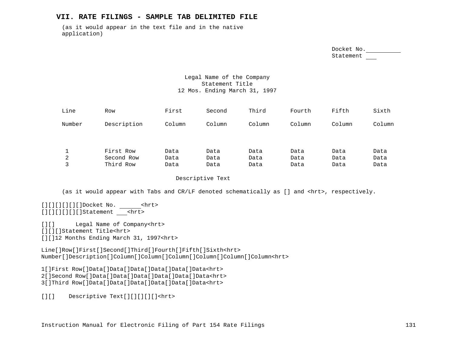## **VII. RATE FILINGS - SAMPLE TAB DELIMITED FILE**

(as it would appear in the text file and in the native application)

> Docket No. Statement

## Legal Name of the Company Statement Title 12 Mos. Ending March 31, 1997

| Line   | Row                                  | First                | Second               | Third                | Fourth               | Fifth                | Sixth                |
|--------|--------------------------------------|----------------------|----------------------|----------------------|----------------------|----------------------|----------------------|
| Number | Description                          | Column               | Column               | Column               | Column               | Column               | Column               |
| 2<br>3 | First Row<br>Second Row<br>Third Row | Data<br>Data<br>Data | Data<br>Data<br>Data | Data<br>Data<br>Data | Data<br>Data<br>Data | Data<br>Data<br>Data | Data<br>Data<br>Data |

Descriptive Text

(as it would appear with Tabs and CR/LF denoted schematically as [] and <hrt>, respectively.

[][][][][][]Docket No. <hrt> [][][][][][]Statement <hrt>

[][] Legal Name of Company<hrt> [][][]Statement Title<hrt> [][]12 Months Ending March 31, 1997<hrt>

Line[]Row[]First[]Second[]Third[]Fourth[]Fifth[]Sixth<hrt> Number[]Description[]Column[]Column[]Column[]Column[]Column[]Column<hrt>

1[]First Row[]Data[]Data[]Data[]Data[]Data[]Data<hrt> 2[]Second Row[]Data[]Data[]Data[]Data[]Data[]Data<hrt>

3[]Third Row[]Data[]Data[]Data[]Data[]Data[]Data<hrt>

[][] Descriptive Text[][][][][]<hrt>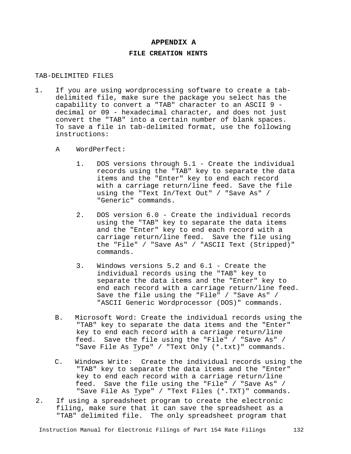## **APPENDIX A**

# **FILE CREATION HINTS**

## TAB-DELIMITED FILES

- 1. If you are using wordprocessing software to create a tabdelimited file, make sure the package you select has the capability to convert a "TAB" character to an ASCII 9 decimal or 09 - hexadecimal character, and does not just convert the "TAB" into a certain number of blank spaces. To save a file in tab-delimited format, use the following instructions:
	- A WordPerfect:
		- 1. DOS versions through 5.1 Create the individual records using the "TAB" key to separate the data items and the "Enter" key to end each record with a carriage return/line feed. Save the file using the "Text In/Text Out" / "Save As" / "Generic" commands.
		- 2. DOS version 6.0 Create the individual records using the "TAB" key to separate the data items and the "Enter" key to end each record with a carriage return/line feed. Save the file using the "File" / "Save As" / "ASCII Text (Stripped)" commands.
		- 3. Windows versions 5.2 and 6.1 Create the individual records using the "TAB" key to separate the data items and the "Enter" key to end each record with a carriage return/line feed. Save the file using the "File" / "Save As" / "ASCII Generic Wordprocessor (DOS)" commands.
	- B. Microsoft Word: Create the individual records using the "TAB" key to separate the data items and the "Enter" key to end each record with a carriage return/line feed. Save the file using the "File" / "Save As" / "Save File As Type" / "Text Only (\*.txt)" commands.
	- C. Windows Write: Create the individual records using the "TAB" key to separate the data items and the "Enter" key to end each record with a carriage return/line feed. Save the file using the "File" / "Save As" / "Save File As Type" / "Text Files (\*.TXT)" commands.
- 2. If using a spreadsheet program to create the electronic filing, make sure that it can save the spreadsheet as a "TAB" delimited file. The only spreadsheet program that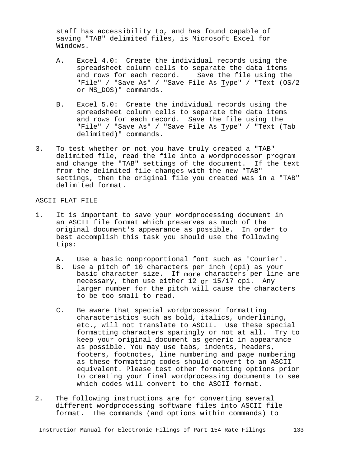staff has accessibility to, and has found capable of saving "TAB" delimited files, is Microsoft Excel for Windows.

- A. Excel 4.0: Create the individual records using the spreadsheet column cells to separate the data items and rows for each record. Save the file using the "File" / "Save As" / "Save File As Type" / "Text (OS/2 or MS\_DOS)" commands.
- B. Excel 5.0: Create the individual records using the spreadsheet column cells to separate the data items and rows for each record. Save the file using the "File" / "Save As" / "Save File As Type" / "Text (Tab delimited)" commands.
- 3. To test whether or not you have truly created a "TAB" delimited file, read the file into a wordprocessor program and change the "TAB" settings of the document. If the text from the delimited file changes with the new "TAB" settings, then the original file you created was in a "TAB" delimited format.

## ASCII FLAT FILE

- 1. It is important to save your wordprocessing document in an ASCII file format which preserves as much of the original document's appearance as possible. In order to best accomplish this task you should use the following tips:
	- A. Use a basic nonproportional font such as 'Courier'.<br>B. Use a pitch of 10 characters per inch (cpi) as your
	- Use a pitch of 10 characters per inch (cpi) as your basic character size. If more characters per line are necessary, then use either 12 or 15/17 cpi. Any larger number for the pitch will cause the characters to be too small to read.
	- C. Be aware that special wordprocessor formatting characteristics such as bold, italics, underlining, etc., will not translate to ASCII. Use these special formatting characters sparingly or not at all. Try to keep your original document as generic in appearance as possible. You may use tabs, indents, headers, footers, footnotes, line numbering and page numbering as these formatting codes should convert to an ASCII equivalent. Please test other formatting options prior to creating your final wordprocessing documents to see which codes will convert to the ASCII format.
- 2. The following instructions are for converting several different wordprocessing software files into ASCII file format. The commands (and options within commands) to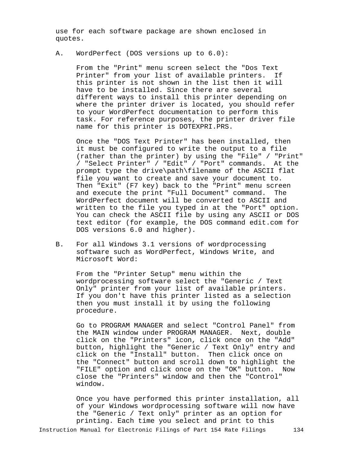use for each software package are shown enclosed in quotes.

A. WordPerfect (DOS versions up to 6.0):

From the "Print" menu screen select the "Dos Text Printer" from your list of available printers. If this printer is not shown in the list then it will have to be installed. Since there are several different ways to install this printer depending on where the printer driver is located, you should refer to your WordPerfect documentation to perform this task. For reference purposes, the printer driver file name for this printer is DOTEXPRI.PRS.

Once the "DOS Text Printer" has been installed, then it must be configured to write the output to a file (rather than the printer) by using the "File" / "Print" / "Select Printer" / "Edit" / "Port" commands. At the prompt type the drive\path\filename of the ASCII flat file you want to create and save your document to. Then "Exit" (F7 key) back to the "Print" menu screen<br>and execute the print "Full Document" command. The and execute the print "Full Document" command. WordPerfect document will be converted to ASCII and written to the file you typed in at the "Port" option. You can check the ASCII file by using any ASCII or DOS text editor (for example, the DOS command edit.com for DOS versions 6.0 and higher).

B. For all Windows 3.1 versions of wordprocessing software such as WordPerfect, Windows Write, and Microsoft Word:

From the "Printer Setup" menu within the wordprocessing software select the "Generic / Text Only" printer from your list of available printers. If you don't have this printer listed as a selection then you must install it by using the following procedure.

Go to PROGRAM MANAGER and select "Control Panel" from the MAIN window under PROGRAM MANAGER. Next, double click on the "Printers" icon, click once on the "Add" button, highlight the "Generic / Text Only" entry and click on the "Install" button. Then click once on the "Connect" button and scroll down to highlight the "FILE" option and click once on the "OK" button. Now close the "Printers" window and then the "Control" window.

Once you have performed this printer installation, all of your Windows wordprocessing software will now have the "Generic / Text only" printer as an option for printing. Each time you select and print to this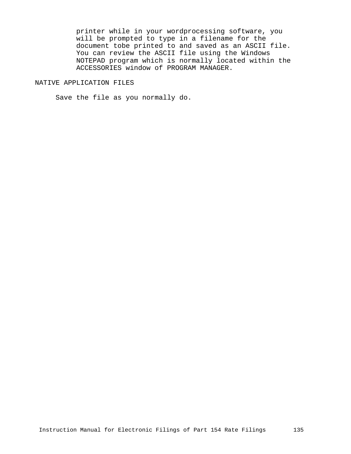printer while in your wordprocessing software, you will be prompted to type in a filename for the document tobe printed to and saved as an ASCII file. You can review the ASCII file using the Windows NOTEPAD program which is normally located within the ACCESSORIES window of PROGRAM MANAGER.

## NATIVE APPLICATION FILES

Save the file as you normally do.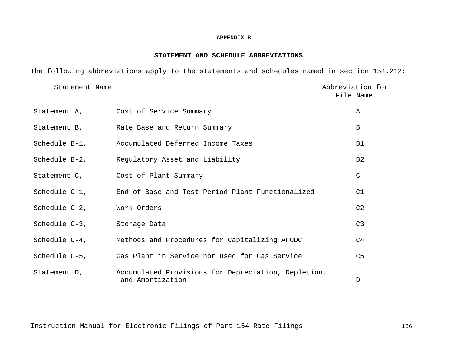## **APPENDIX B**

## **STATEMENT AND SCHEDULE ABBREVIATIONS**

The following abbreviations apply to the statements and schedules named in section 154.212:

| Statement Name |                                                                         | Abbreviation for |
|----------------|-------------------------------------------------------------------------|------------------|
|                |                                                                         | File Name        |
|                | Statement A, Cost of Service Summary                                    | Α                |
|                | Statement B, Rate Base and Return Summary                               | B                |
| Schedule B-1,  | Accumulated Deferred Income Taxes                                       | B1               |
|                | Schedule B-2, Regulatory Asset and Liability                            | B <sub>2</sub>   |
|                | Statement C, Cost of Plant Summary                                      | $\mathsf C$      |
| Schedule C-1,  | End of Base and Test Period Plant Functionalized                        | C1               |
| Schedule C-2,  | Work Orders                                                             | C <sub>2</sub>   |
| Schedule C-3,  | Storage Data                                                            | C <sub>3</sub>   |
| Schedule C-4,  | Methods and Procedures for Capitalizing AFUDC                           | C <sub>4</sub>   |
| Schedule C-5,  | Gas Plant in Service not used for Gas Service                           | C <sub>5</sub>   |
| Statement D,   | Accumulated Provisions for Depreciation, Depletion,<br>and Amortization | D                |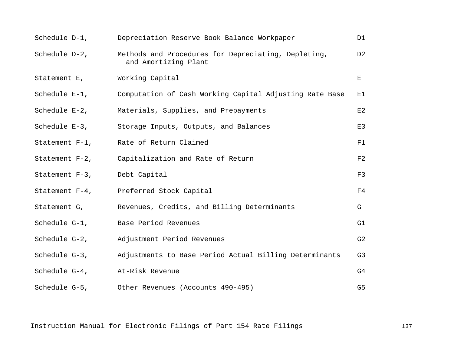| Schedule D-1,                | Depreciation Reserve Book Balance Workpaper                                 | D1             |
|------------------------------|-----------------------------------------------------------------------------|----------------|
| Schedule D-2,                | Methods and Procedures for Depreciating, Depleting,<br>and Amortizing Plant | D <sub>2</sub> |
| Statement E, Working Capital |                                                                             | E              |
| Schedule E-1,                | Computation of Cash Working Capital Adjusting Rate Base                     | Е1             |
| Schedule E-2,                | Materials, Supplies, and Prepayments                                        | E2             |
|                              | Schedule E-3, Storage Inputs, Outputs, and Balances                         | E3             |
|                              | Statement F-1, Rate of Return Claimed                                       | F1             |
|                              | Statement F-2, Capitalization and Rate of Return                            | F2             |
| Statement F-3, Debt Capital  |                                                                             | F3             |
|                              | Statement F-4, Preferred Stock Capital                                      | F4             |
|                              | Statement G, Revenues, Credits, and Billing Determinants                    | G              |
| Schedule G-1,                | Base Period Revenues                                                        | G1             |
| Schedule G-2,                | Adjustment Period Revenues                                                  | G2             |
| Schedule G-3,                | Adjustments to Base Period Actual Billing Determinants                      | G3             |
| Schedule G-4,                | At-Risk Revenue                                                             | G4             |
|                              | Schedule G-5, Other Revenues (Accounts 490-495)                             | G5             |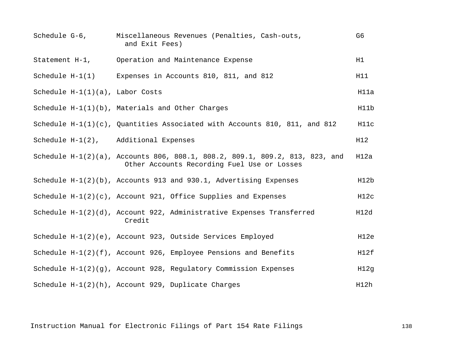| Schedule G-6,                      | Miscellaneous Revenues (Penalties, Cash-outs,<br>and Exit Fees)                                                            | G6   |
|------------------------------------|----------------------------------------------------------------------------------------------------------------------------|------|
| Statement $H-1$ ,                  | Operation and Maintenance Expense                                                                                          | H1   |
| Schedule $H-1(1)$                  | Expenses in Accounts 810, 811, and 812                                                                                     | H11  |
| Schedule $H-1(1)(a)$ , Labor Costs |                                                                                                                            | H11a |
|                                    | Schedule H-1(1)(b), Materials and Other Charges                                                                            | H11b |
|                                    | Schedule $H-1(1)(c)$ , Quantities Associated with Accounts 810, 811, and 812                                               | H11c |
|                                    | Schedule H-1(2), Additional Expenses                                                                                       | H12  |
|                                    | Schedule H-1(2)(a), Accounts 806, 808.1, 808.2, 809.1, 809.2, 813, 823, and<br>Other Accounts Recording Fuel Use or Losses | H12a |
|                                    | Schedule $H-1(2)(b)$ , Accounts 913 and 930.1, Advertising Expenses                                                        | H12b |
|                                    | Schedule $H-1(2)(c)$ , Account 921, Office Supplies and Expenses                                                           | H12c |
|                                    | Schedule H-1(2)(d), Account 922, Administrative Expenses Transferred<br>Credit                                             | H12d |
|                                    | Schedule H-1(2)(e), Account 923, Outside Services Employed                                                                 | H12e |
|                                    | Schedule $H-1(2)(f)$ , Account 926, Employee Pensions and Benefits                                                         | H12f |
|                                    | Schedule $H-1(2)(q)$ , Account 928, Regulatory Commission Expenses                                                         | H12g |
|                                    | Schedule H-1(2)(h), Account 929, Duplicate Charges                                                                         | H12h |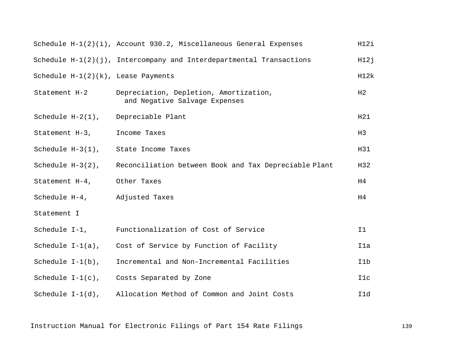|                                       | Schedule $H-1(2)(i)$ , Account 930.2, Miscellaneous General Expenses    | H12i |
|---------------------------------------|-------------------------------------------------------------------------|------|
|                                       | Schedule $H-1(2)(j)$ , Intercompany and Interdepartmental Transactions  | H12j |
| Schedule $H-1(2)(k)$ , Lease Payments |                                                                         | H12k |
| Statement H-2                         | Depreciation, Depletion, Amortization,<br>and Negative Salvage Expenses | H2   |
| Schedule $H-2(1)$ ,                   | Depreciable Plant                                                       | H21  |
| Statement H-3,                        | Income Taxes                                                            | H3   |
| Schedule H-3(1), State Income Taxes   |                                                                         | H31  |
| Schedule $H-3(2)$ ,                   | Reconciliation between Book and Tax Depreciable Plant                   | H32  |
| Statement H-4, Other Taxes            |                                                                         | H4   |
| Schedule H-4, Adjusted Taxes          |                                                                         | H4   |
| Statement I                           |                                                                         |      |
|                                       | Schedule I-1, Functionalization of Cost of Service                      | I1   |
|                                       | Schedule $I-I(a)$ , Cost of Service by Function of Facility             | I1a  |
| Schedule $I-1(b)$ ,                   | Incremental and Non-Incremental Facilities                              | I1b  |
|                                       | Schedule $I-I(c)$ , Costs Separated by Zone                             | I1c  |
| Schedule $I-1(d)$ ,                   | Allocation Method of Common and Joint Costs                             | I1d  |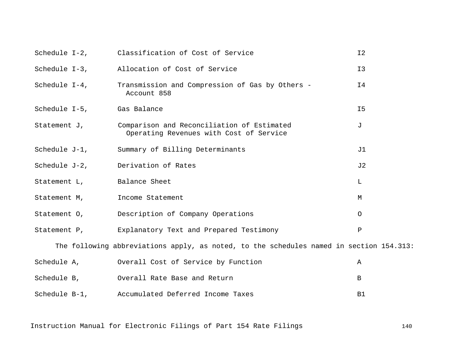|                                                                                         | Schedule I-2, Classification of Cost of Service                                                    | I <sub>2</sub> |  |  |
|-----------------------------------------------------------------------------------------|----------------------------------------------------------------------------------------------------|----------------|--|--|
|                                                                                         | Schedule I-3, Allocation of Cost of Service                                                        | I3             |  |  |
|                                                                                         | Schedule I-4, Transmission and Compression of Gas by Others -<br>Account 858                       | Ι4             |  |  |
| Schedule I-5, Gas Balance                                                               |                                                                                                    | I <sub>5</sub> |  |  |
|                                                                                         | Statement J, Comparison and Reconciliation of Estimated<br>Operating Revenues with Cost of Service | J              |  |  |
|                                                                                         | Schedule J-1, Summary of Billing Determinants                                                      | J1             |  |  |
|                                                                                         | Schedule J-2, Derivation of Rates                                                                  | J2             |  |  |
| Statement L, Balance Sheet                                                              |                                                                                                    | $\mathbf L$    |  |  |
| Statement M, Income Statement                                                           |                                                                                                    | М              |  |  |
|                                                                                         | Statement 0, Description of Company Operations                                                     | $\circ$        |  |  |
|                                                                                         | Statement P, Explanatory Text and Prepared Testimony                                               | $\, {\bf P}$   |  |  |
| The following abbreviations apply, as noted, to the schedules named in section 154.313: |                                                                                                    |                |  |  |
|                                                                                         | Schedule A, Schedule A, Overall Cost of Service by Function                                        | Α              |  |  |
|                                                                                         | Schedule B, Overall Rate Base and Return                                                           | B              |  |  |
| Schedule B-1,                                                                           | Accumulated Deferred Income Taxes                                                                  | B1             |  |  |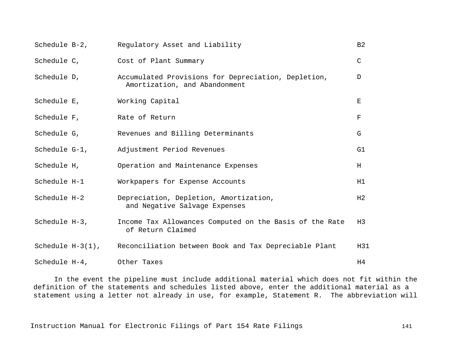| Schedule B-2,             | Regulatory Asset and Liability                                                       | B <sub>2</sub> |
|---------------------------|--------------------------------------------------------------------------------------|----------------|
| Schedule C,               | Cost of Plant Summary                                                                | $\mathsf C$    |
| Schedule D,               | Accumulated Provisions for Depreciation, Depletion,<br>Amortization, and Abandonment | D              |
| Schedule E,               | Working Capital                                                                      | Е              |
| Schedule F,               | Rate of Return                                                                       | F              |
| Schedule G,               | Revenues and Billing Determinants                                                    | G              |
| Schedule G-1,             | Adjustment Period Revenues                                                           | G1             |
| Schedule H,               | Operation and Maintenance Expenses                                                   | H              |
| Schedule H-1              | Workpapers for Expense Accounts                                                      | H1             |
| Schedule H-2              | Depreciation, Depletion, Amortization,<br>and Negative Salvage Expenses              | H2             |
| Schedule H-3,             | Income Tax Allowances Computed on the Basis of the Rate<br>of Return Claimed         | H3             |
| Schedule $H-3(1)$ ,       | Reconciliation between Book and Tax Depreciable Plant                                | H31            |
| Schedule H-4, Other Taxes |                                                                                      | H4             |

In the event the pipeline must include additional material which does not fit within the definition of the statements and schedules listed above, enter the additional material as a statement using a letter not already in use, for example, Statement R. The abbreviation will